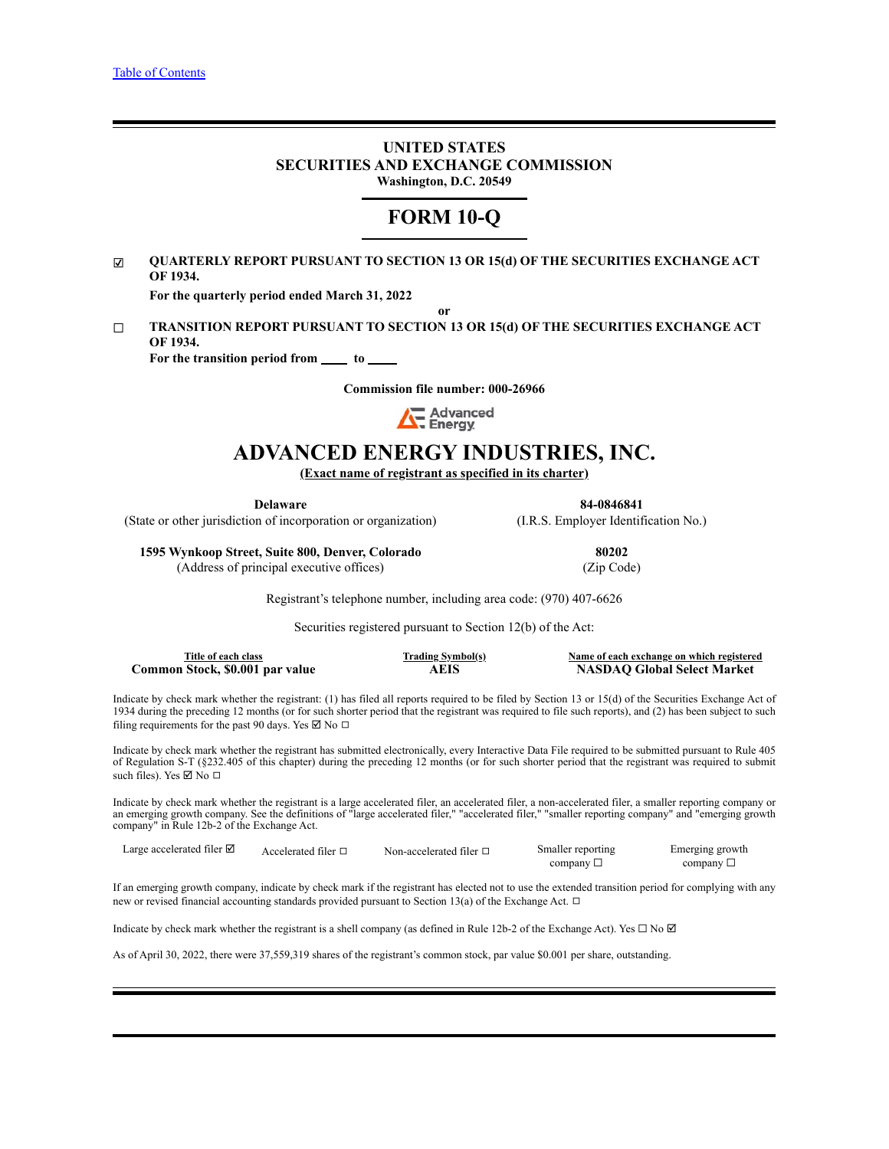# **UNITED STATES SECURITIES AND EXCHANGE COMMISSION Washington, D.C. 20549**

# **FORM 10-Q**

☑ **QUARTERLY REPORT PURSUANT TO SECTION 13 OR 15(d) OF THE SECURITIES EXCHANGE ACT OF 1934.**

**For the quarterly period ended March 31, 2022**

**or**

☐ **TRANSITION REPORT PURSUANT TO SECTION 13 OR 15(d) OF THE SECURITIES EXCHANGE ACT OF 1934.**

**For the transition period from to**

**Commission file number: 000-26966**

# Advanced

# **ADVANCED ENERGY INDUSTRIES, INC.**

**(Exact name of registrant as specified in its charter)**

**Delaware 84-0846841** (State or other jurisdiction of incorporation or organization) (I.R.S. Employer Identification No.)

**1595 Wynkoop Street, Suite 800, Denver, Colorado 80202**

(Address of principal executive offices) (Zip Code)

Registrant's telephone number, including area code: (970) 407-6626

Securities registered pursuant to Section 12(b) of the Act:

| Title of each class             | <b>Trading Symbol(s)</b> | Name of each exchange on which registered |
|---------------------------------|--------------------------|-------------------------------------------|
| Common Stock, \$0.001 par value | AEIS                     | <b>NASDAQ Global Select Market</b>        |

Indicate by check mark whether the registrant: (1) has filed all reports required to be filed by Section 13 or 15(d) of the Securities Exchange Act of 1934 during the preceding 12 months (or for such shorter period that the registrant was required to file such reports), and (2) has been subject to such filing requirements for the past 90 days. Yes  $\boxtimes$  No  $\Box$ 

Indicate by check mark whether the registrant has submitted electronically, every Interactive Data File required to be submitted pursuant to Rule 405 of Regulation S-T (§232.405 of this chapter) during the preceding 12 months (or for such shorter period that the registrant was required to submit such files). Yes  $\boxtimes$  No  $\square$ 

Indicate by check mark whether the registrant is a large accelerated filer, an accelerated filer, a non-accelerated filer, a smaller reporting company or an emerging growth company. See the definitions of "large accelerated filer," "accelerated filer," "smaller reporting company" and "emerging growth company" in Rule 12b-2 of the Exchange Act.

| Large accelerated filer $\boxtimes$ | Accelerated filer $\Box$ | Non-accelerated filer $\Box$ | Smaller reporting | Emerging growth |
|-------------------------------------|--------------------------|------------------------------|-------------------|-----------------|
|                                     |                          |                              | company $\Box$    | company $\Box$  |

If an emerging growth company, indicate by check mark if the registrant has elected not to use the extended transition period for complying with any new or revised financial accounting standards provided pursuant to Section 13(a) of the Exchange Act. □

Indicate by check mark whether the registrant is a shell company (as defined in Rule 12b-2 of the Exchange Act). Yes  $\Box$  No  $\Box$ 

As of April 30, 2022, there were 37,559,319 shares of the registrant's common stock, par value \$0.001 per share, outstanding.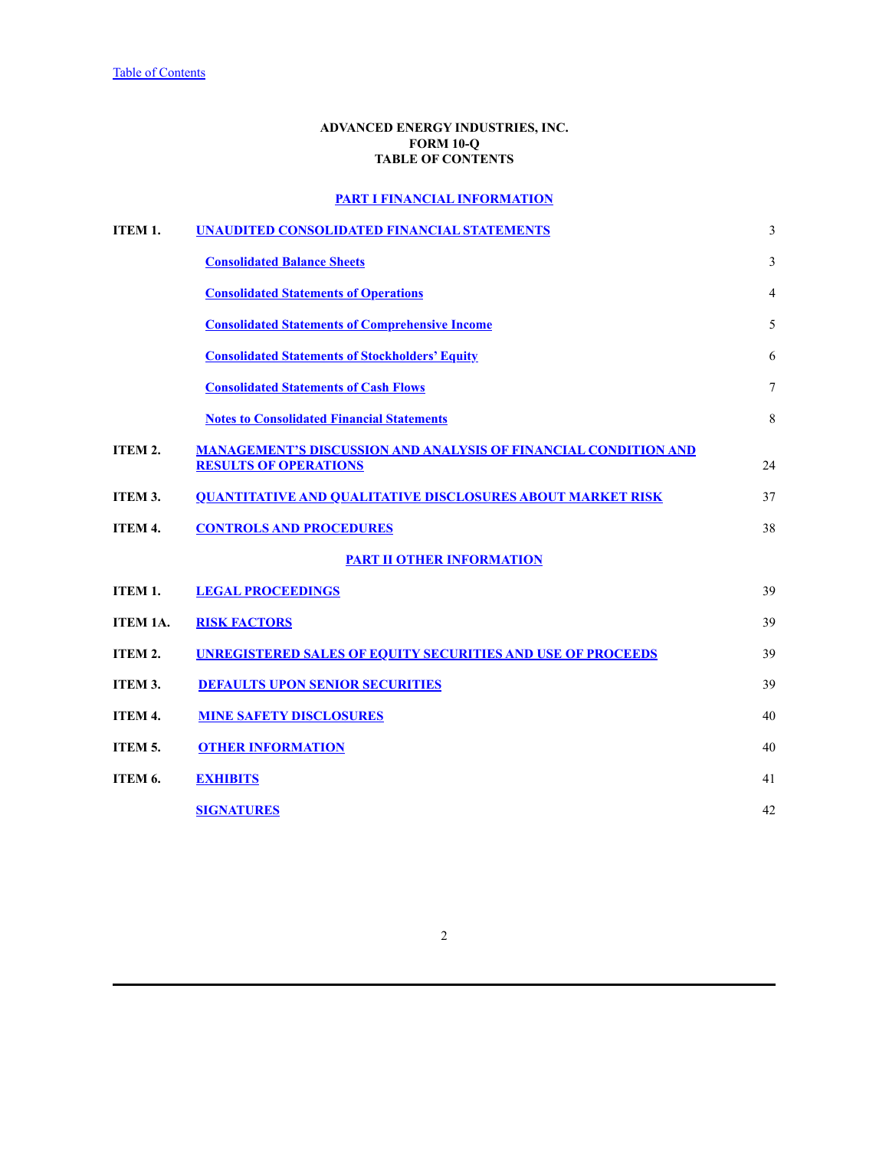# **ADVANCED ENERGY INDUSTRIES, INC. FORM 10-Q TABLE OF CONTENTS**

# **PART I FINANCIAL [INFORMATION](#page-2-0)**

<span id="page-1-0"></span>

| ITEM 1.  | UNAUDITED CONSOLIDATED FINANCIAL STATEMENTS                                                            | $\mathfrak{Z}$  |
|----------|--------------------------------------------------------------------------------------------------------|-----------------|
|          | <b>Consolidated Balance Sheets</b>                                                                     | 3               |
|          | <b>Consolidated Statements of Operations</b>                                                           | $\overline{4}$  |
|          | <b>Consolidated Statements of Comprehensive Income</b>                                                 | 5               |
|          | <b>Consolidated Statements of Stockholders' Equity</b>                                                 | 6               |
|          | <b>Consolidated Statements of Cash Flows</b>                                                           | $7\phantom{.0}$ |
|          | <b>Notes to Consolidated Financial Statements</b>                                                      | $\,8\,$         |
| ITEM 2.  | <b>MANAGEMENT'S DISCUSSION AND ANALYSIS OF FINANCIAL CONDITION AND</b><br><b>RESULTS OF OPERATIONS</b> | 24              |
| ITEM 3.  | <b>QUANTITATIVE AND QUALITATIVE DISCLOSURES ABOUT MARKET RISK</b>                                      | 37              |
| ITEM 4.  | <b>CONTROLS AND PROCEDURES</b>                                                                         | 38              |
|          | <b>PART II OTHER INFORMATION</b>                                                                       |                 |
| ITEM 1.  | <b>LEGAL PROCEEDINGS</b>                                                                               | 39              |
| ITEM 1A. | <b>RISK FACTORS</b>                                                                                    | 39              |
| ITEM 2.  | <b>UNREGISTERED SALES OF EQUITY SECURITIES AND USE OF PROCEEDS</b>                                     | 39              |
| ITEM 3.  | <b>DEFAULTS UPON SENIOR SECURITIES</b>                                                                 | 39              |
| ITEM 4.  | <b>MINE SAFETY DISCLOSURES</b>                                                                         | 40              |
| ITEM 5.  | <b>OTHER INFORMATION</b>                                                                               | 40              |
| ITEM 6.  | <b>EXHIBITS</b>                                                                                        | 41              |
|          | <b>SIGNATURES</b>                                                                                      | 42              |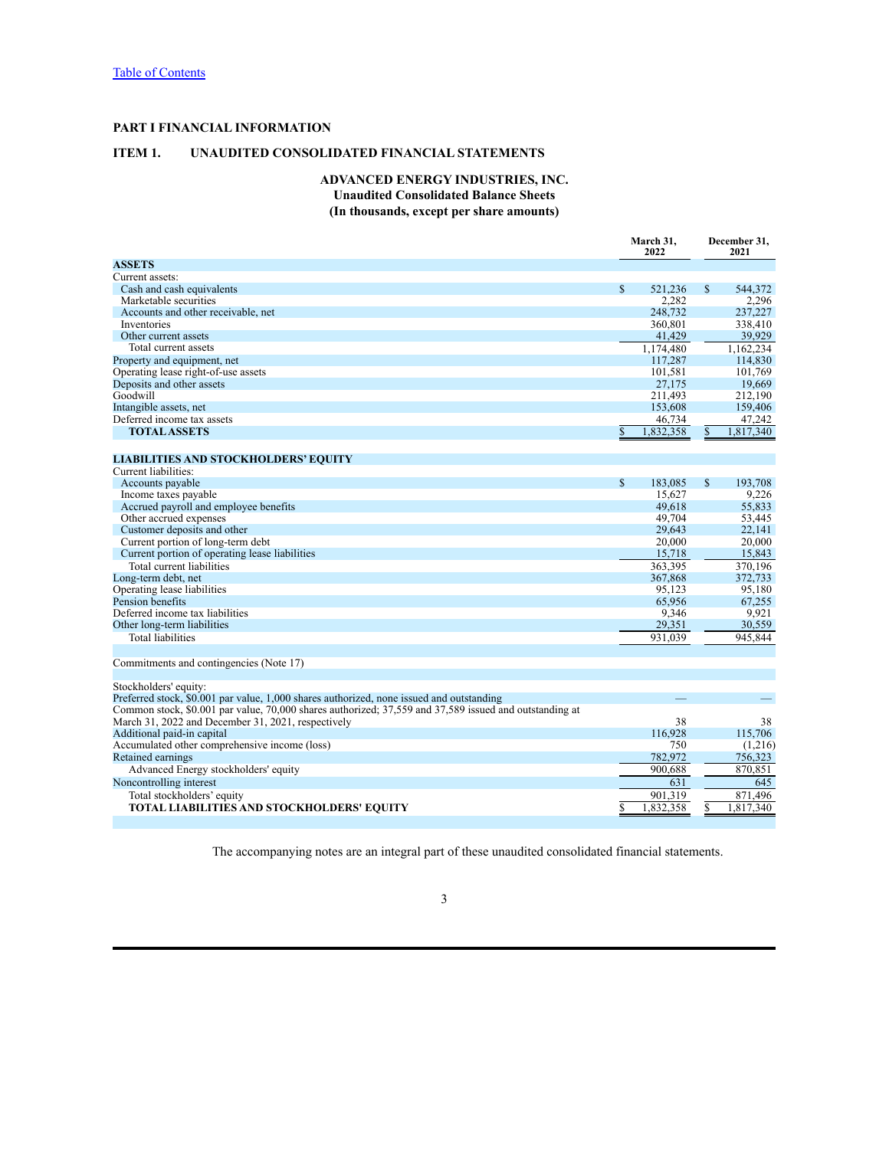# <span id="page-2-0"></span>**PART I FINANCIAL INFORMATION**

# <span id="page-2-2"></span><span id="page-2-1"></span>**ITEM 1. UNAUDITED CONSOLIDATED FINANCIAL STATEMENTS**

# **ADVANCED ENERGY INDUSTRIES, INC.**

**Unaudited Consolidated Balance Sheets (In thousands, except per share amounts)**

|                                                                                                        |              | March 31.<br>2022 |              | December 31.<br>2021 |  |
|--------------------------------------------------------------------------------------------------------|--------------|-------------------|--------------|----------------------|--|
| <b>ASSETS</b>                                                                                          |              |                   |              |                      |  |
| Current assets:                                                                                        |              |                   |              |                      |  |
| Cash and cash equivalents                                                                              | $\mathbb{S}$ | 521.236           | $\mathbb{S}$ | 544,372              |  |
| Marketable securities                                                                                  |              | 2.282             |              | 2,296                |  |
| Accounts and other receivable, net                                                                     |              | 248,732           |              | 237,227              |  |
| Inventories                                                                                            |              | 360,801           |              | 338.410              |  |
| Other current assets                                                                                   |              | 41,429            |              | 39,929               |  |
| Total current assets                                                                                   |              | 1,174,480         |              | 1,162,234            |  |
| Property and equipment, net                                                                            |              | 117,287           |              | 114,830              |  |
| Operating lease right-of-use assets                                                                    |              | 101,581           |              | 101,769              |  |
| Deposits and other assets                                                                              |              | 27,175            |              | 19,669               |  |
| Goodwill                                                                                               |              | 211,493           |              | 212,190              |  |
| Intangible assets, net                                                                                 |              | 153,608           |              | 159,406              |  |
| Deferred income tax assets                                                                             |              | 46,734            |              | 47,242               |  |
| <b>TOTAL ASSETS</b>                                                                                    | \$           | 1,832,358         | S            | 1,817,340            |  |
| <b>LIABILITIES AND STOCKHOLDERS' EQUITY</b>                                                            |              |                   |              |                      |  |
| Current liabilities:                                                                                   |              |                   |              |                      |  |
| Accounts payable                                                                                       | $\mathbf S$  | 183.085           | $\mathbb{S}$ | 193,708              |  |
| Income taxes payable                                                                                   |              | 15,627            |              | 9,226                |  |
| Accrued payroll and employee benefits                                                                  |              | 49.618            |              | 55,833               |  |
| Other accrued expenses                                                                                 |              | 49,704            |              | 53,445               |  |
| Customer deposits and other                                                                            |              | 29.643            |              | 22.141               |  |
| Current portion of long-term debt                                                                      |              | 20.000            |              | 20.000               |  |
| Current portion of operating lease liabilities                                                         |              | 15,718            |              | 15,843               |  |
| Total current liabilities                                                                              |              | 363,395           |              | 370,196              |  |
| Long-term debt, net                                                                                    |              | 367,868           |              | 372,733              |  |
| Operating lease liabilities                                                                            |              | 95.123            |              | 95,180               |  |
| Pension benefits                                                                                       |              | 65,956            |              | 67,255               |  |
| Deferred income tax liabilities                                                                        |              | 9,346             |              | 9,921                |  |
| Other long-term liabilities                                                                            |              | 29,351            |              | 30,559               |  |
| <b>Total liabilities</b>                                                                               |              | 931,039           |              | 945.844              |  |
|                                                                                                        |              |                   |              |                      |  |
| Commitments and contingencies (Note 17)                                                                |              |                   |              |                      |  |
| Stockholders' equity:                                                                                  |              |                   |              |                      |  |
| Preferred stock, \$0,001 par value, 1,000 shares authorized, none issued and outstanding               |              |                   |              |                      |  |
| Common stock, \$0.001 par value, 70.000 shares authorized; 37,559 and 37,589 issued and outstanding at |              |                   |              |                      |  |
| March 31, 2022 and December 31, 2021, respectively                                                     |              | 38                |              | 38                   |  |
| Additional paid-in capital                                                                             |              | 116,928           |              | 115,706              |  |
| Accumulated other comprehensive income (loss)                                                          |              | 750               |              | (1,216)              |  |
| Retained earnings                                                                                      |              | 782,972           |              | 756,323              |  |
| Advanced Energy stockholders' equity                                                                   |              | 900.688           |              | 870.851              |  |
| Noncontrolling interest                                                                                |              | 631               |              | 645                  |  |
| Total stockholders' equity                                                                             |              | 901,319           |              | 871,496              |  |
| TOTAL LIABILITIES AND STOCKHOLDERS' EQUITY                                                             |              | 1,832,358         | S            | 1.817.340            |  |
|                                                                                                        |              |                   |              |                      |  |

The accompanying notes are an integral part of these unaudited consolidated financial statements.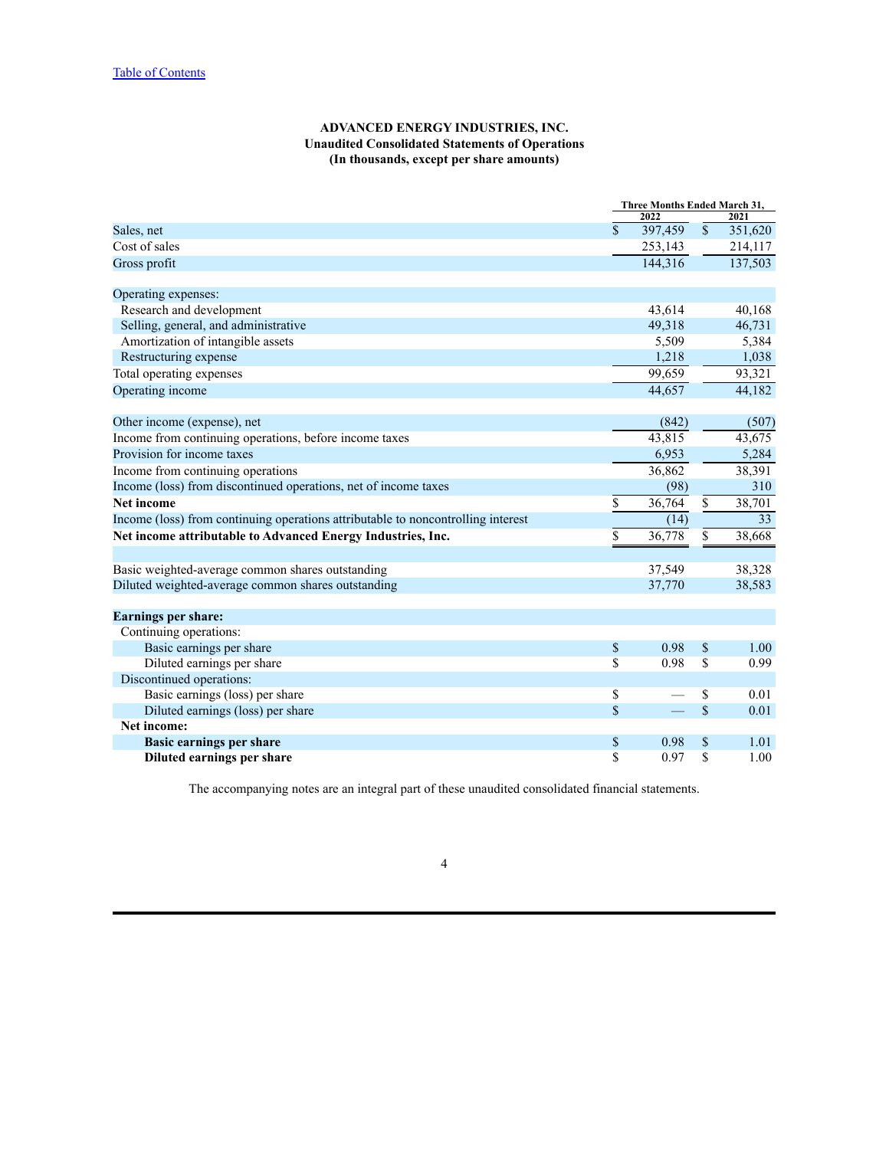# **ADVANCED ENERGY INDUSTRIES, INC. Unaudited Consolidated Statements of Operations (In thousands, except per share amounts)**

<span id="page-3-0"></span>

|                                                                                  | Three Months Ended March 31, |         |                           |         |
|----------------------------------------------------------------------------------|------------------------------|---------|---------------------------|---------|
|                                                                                  |                              | 2022    |                           | 2021    |
| Sales, net                                                                       | \$                           | 397,459 | $\sqrt{\ }$               | 351,620 |
| Cost of sales                                                                    |                              | 253,143 |                           | 214,117 |
| Gross profit                                                                     |                              | 144,316 |                           | 137,503 |
| Operating expenses:                                                              |                              |         |                           |         |
| Research and development                                                         |                              | 43,614  |                           | 40,168  |
| Selling, general, and administrative                                             |                              | 49,318  |                           | 46,731  |
| Amortization of intangible assets                                                |                              | 5,509   |                           | 5,384   |
| Restructuring expense                                                            |                              | 1,218   |                           | 1,038   |
| Total operating expenses                                                         |                              | 99,659  |                           | 93,321  |
| Operating income                                                                 |                              | 44,657  |                           | 44,182  |
| Other income (expense), net                                                      |                              | (842)   |                           | (507)   |
| Income from continuing operations, before income taxes                           |                              | 43,815  |                           | 43,675  |
| Provision for income taxes                                                       |                              | 6,953   |                           | 5,284   |
| Income from continuing operations                                                |                              | 36,862  |                           | 38,391  |
| Income (loss) from discontinued operations, net of income taxes                  |                              | (98)    |                           | 310     |
| <b>Net income</b>                                                                | \$                           | 36,764  | \$                        | 38,701  |
| Income (loss) from continuing operations attributable to noncontrolling interest |                              | (14)    |                           | 33      |
| Net income attributable to Advanced Energy Industries, Inc.                      | \$                           | 36,778  | \$                        | 38,668  |
|                                                                                  |                              |         |                           |         |
| Basic weighted-average common shares outstanding                                 |                              | 37,549  |                           | 38,328  |
| Diluted weighted-average common shares outstanding                               |                              | 37,770  |                           | 38,583  |
| <b>Earnings per share:</b>                                                       |                              |         |                           |         |
| Continuing operations:                                                           |                              |         |                           |         |
| Basic earnings per share                                                         | \$                           | 0.98    | $\boldsymbol{\mathsf{S}}$ | 1.00    |
| Diluted earnings per share                                                       | \$                           | 0.98    | S                         | 0.99    |
| Discontinued operations:                                                         |                              |         |                           |         |
| Basic earnings (loss) per share                                                  | \$                           |         | \$                        | 0.01    |
| Diluted earnings (loss) per share                                                | \$                           |         | $\mathsf{\$}$             | 0.01    |
| Net income:                                                                      |                              |         |                           |         |
| <b>Basic earnings per share</b>                                                  | \$                           | 0.98    | \$                        | 1.01    |
| Diluted earnings per share                                                       | $\overline{\mathbb{S}}$      | 0.97    | \$                        | 1.00    |

The accompanying notes are an integral part of these unaudited consolidated financial statements.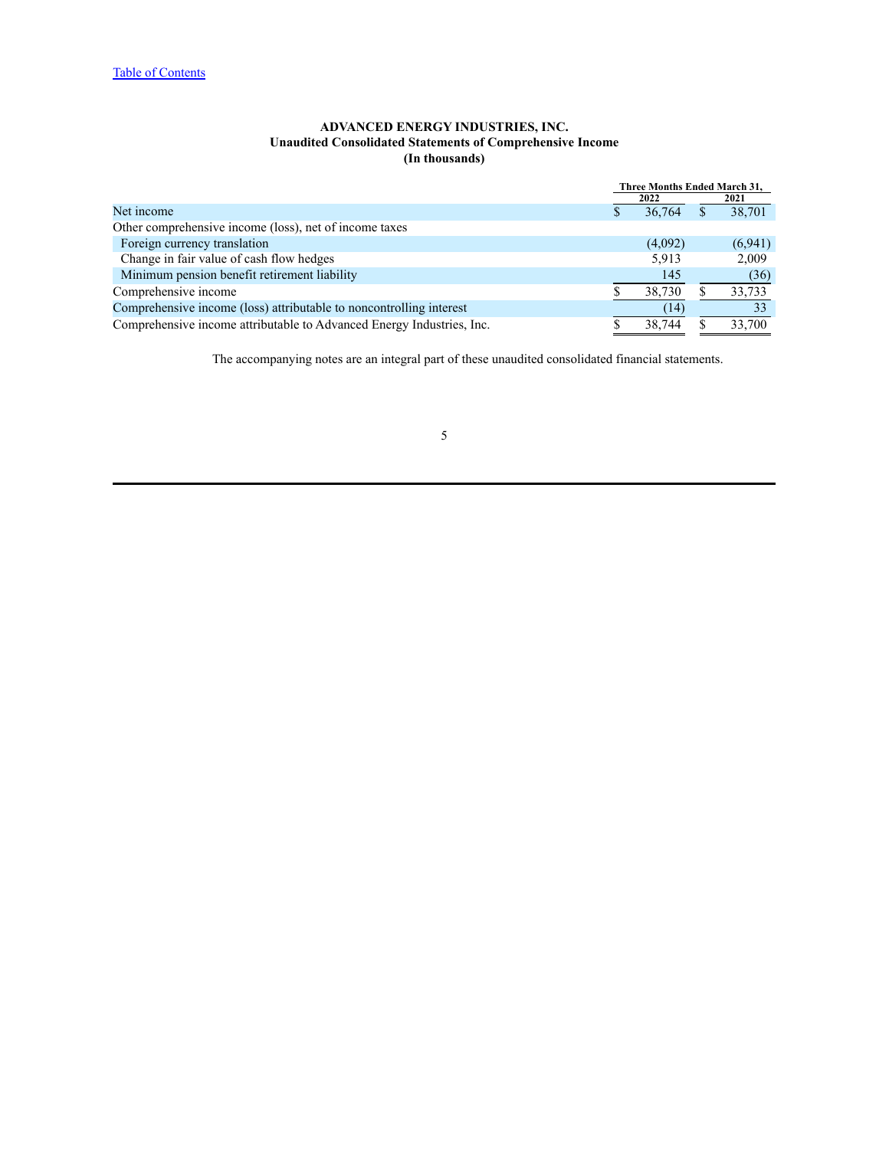# **ADVANCED ENERGY INDUSTRIES, INC. Unaudited Consolidated Statements of Comprehensive Income (In thousands)**

<span id="page-4-0"></span>

|                                                                       | Three Months Ended March 31, |         |  |         |
|-----------------------------------------------------------------------|------------------------------|---------|--|---------|
|                                                                       |                              | 2022    |  | 2021    |
| Net income                                                            |                              | 36,764  |  | 38,701  |
| Other comprehensive income (loss), net of income taxes                |                              |         |  |         |
| Foreign currency translation                                          |                              | (4,092) |  | (6,941) |
| Change in fair value of cash flow hedges                              |                              | 5.913   |  | 2,009   |
| Minimum pension benefit retirement liability                          |                              | 145     |  | (36)    |
| Comprehensive income                                                  |                              | 38.730  |  | 33,733  |
| Comprehensive income (loss) attributable to noncontrolling interest   |                              | (14)    |  | 33      |
| Comprehensive income attributable to Advanced Energy Industries, Inc. |                              | 38.744  |  | 33,700  |

The accompanying notes are an integral part of these unaudited consolidated financial statements.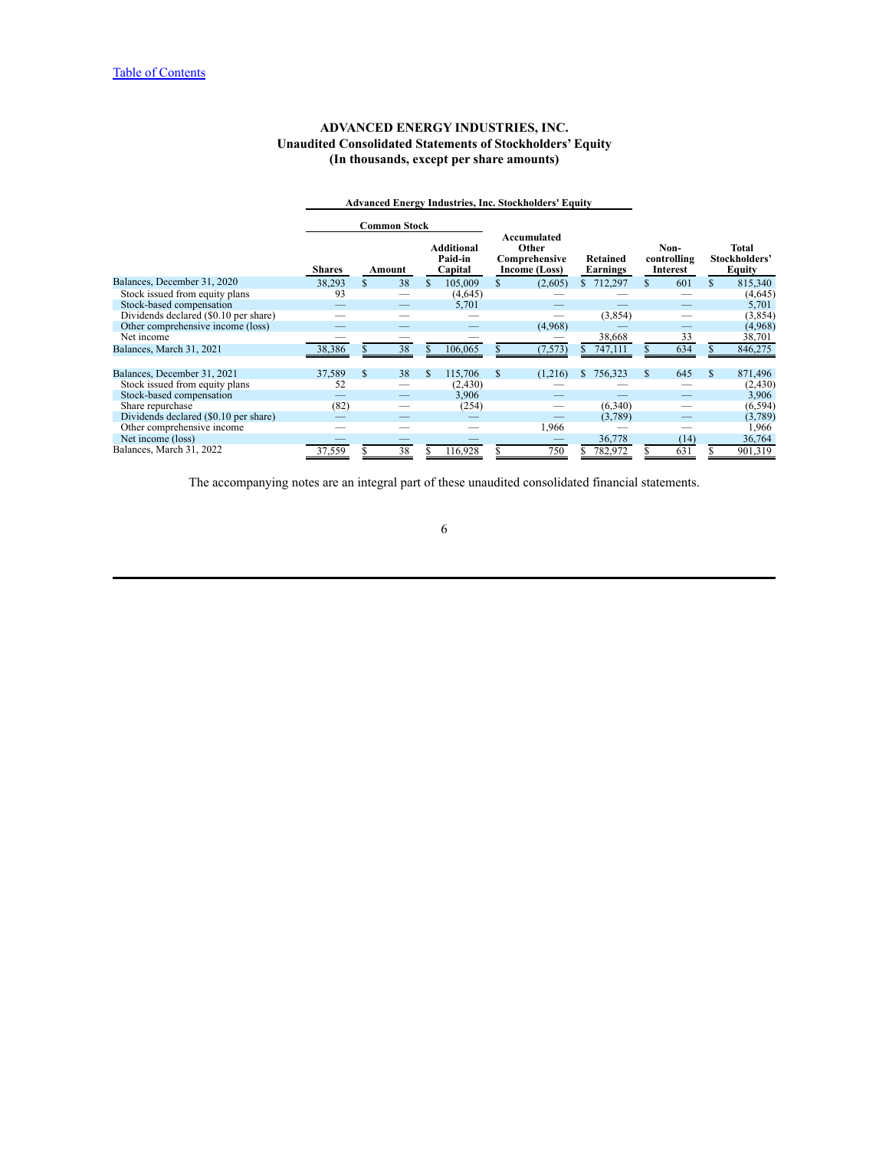# **ADVANCED ENERGY INDUSTRIES, INC. Unaudited Consolidated Statements of Stockholders' Equity (In thousands, except per share amounts)**

<span id="page-5-0"></span>

|                                       |               |                     |   |                                         | <b>Advanced Energy Industries, Inc. Stockholders' Equity</b> |    |                      |    |                                 |              |                                         |
|---------------------------------------|---------------|---------------------|---|-----------------------------------------|--------------------------------------------------------------|----|----------------------|----|---------------------------------|--------------|-----------------------------------------|
|                                       |               | <b>Common Stock</b> |   |                                         |                                                              |    |                      |    |                                 |              |                                         |
|                                       | <b>Shares</b> | Amount              |   | <b>Additional</b><br>Paid-in<br>Capital | Accumulated<br>Other<br>Comprehensive<br>Income (Loss)       |    | Retained<br>Earnings |    | Non-<br>controlling<br>Interest |              | <b>Total</b><br>Stockholders'<br>Equity |
| Balances, December 31, 2020           | 38,293        | \$<br>38            | S | 105,009                                 | \$<br>(2,605)                                                |    | \$712,297            | S. | 601                             | \$           | 815,340                                 |
| Stock issued from equity plans        | 93            |                     |   | (4,645)                                 |                                                              |    |                      |    |                                 |              | (4,645)                                 |
| Stock-based compensation              |               |                     |   | 5,701                                   |                                                              |    |                      |    |                                 |              | 5,701                                   |
| Dividends declared (\$0.10 per share) |               |                     |   |                                         |                                                              |    | (3,854)              |    |                                 |              | (3, 854)                                |
| Other comprehensive income (loss)     |               |                     |   |                                         | (4,968)                                                      |    |                      |    |                                 |              | (4,968)                                 |
| Net income                            |               |                     |   |                                         |                                                              |    | 38,668               |    | 33                              |              | 38,701                                  |
| Balances, March 31, 2021              | 38,386        | 38                  |   | 106,065                                 | (7,573)                                                      |    | 747,111              |    | 634                             |              | 846,275                                 |
|                                       |               |                     |   |                                         |                                                              |    |                      |    |                                 |              |                                         |
| Balances, December 31, 2021           | 37,589        | \$<br>38            |   | 115.706                                 | \$<br>(1,216)                                                | S. | 756,323              | S. | 645                             | $\mathbf{s}$ | 871,496                                 |
| Stock issued from equity plans        | 52            |                     |   | (2, 430)                                |                                                              |    |                      |    |                                 |              | (2, 430)                                |
| Stock-based compensation              |               |                     |   | 3,906                                   |                                                              |    |                      |    |                                 |              | 3,906                                   |
| Share repurchase                      | (82)          |                     |   | (254)                                   |                                                              |    | (6,340)              |    |                                 |              | (6, 594)                                |
| Dividends declared (\$0.10 per share) |               |                     |   |                                         |                                                              |    | (3,789)              |    |                                 |              | (3,789)                                 |
| Other comprehensive income            |               |                     |   |                                         | 1,966                                                        |    |                      |    |                                 |              | 1,966                                   |
| Net income (loss)                     |               |                     |   |                                         |                                                              |    | 36,778               |    | (14)                            |              | 36,764                                  |
| Balances, March 31, 2022              | 37,559        | 38                  |   | 116,928                                 | 750                                                          |    | 782,972              |    | 631                             |              | 901,319                                 |

The accompanying notes are an integral part of these unaudited consolidated financial statements.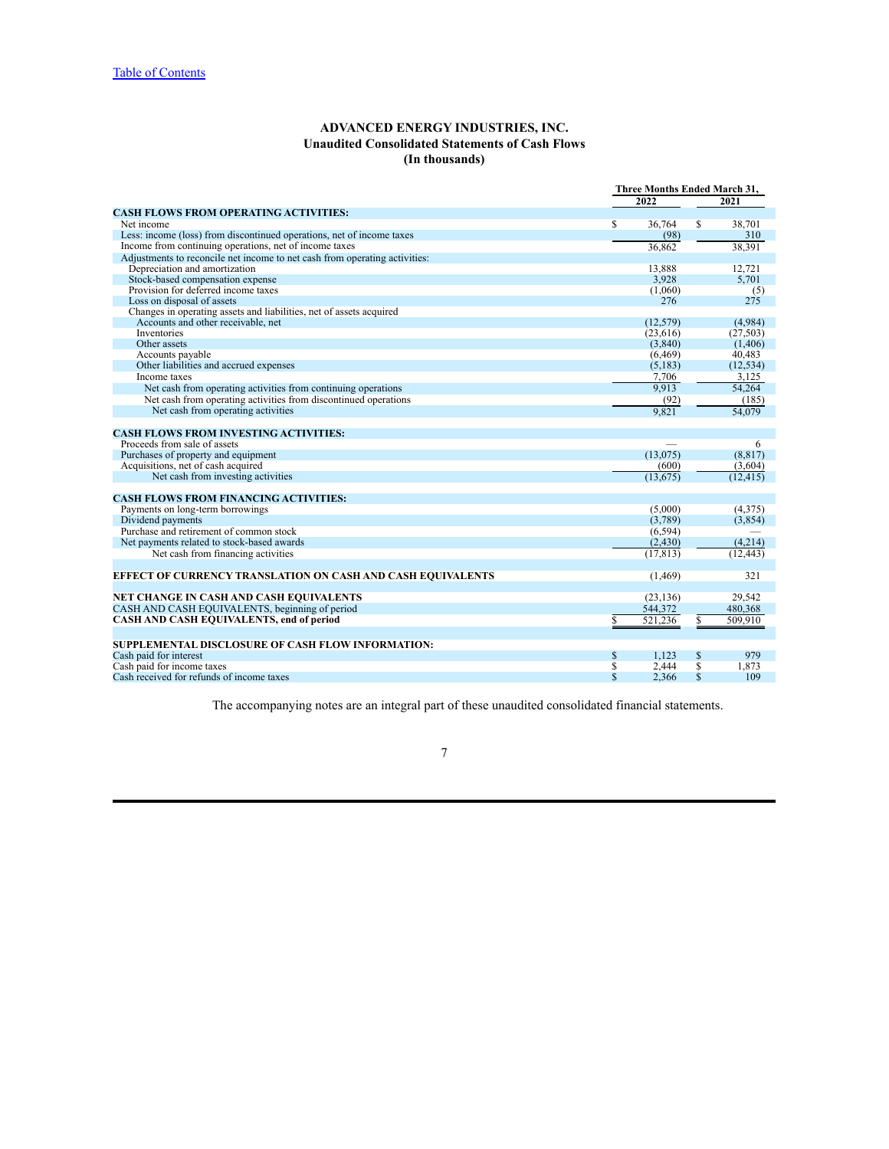# **ADVANCED ENERGY INDUSTRIES, INC. Unaudited Consolidated Statements of Cash Flows (In thousands)**

<span id="page-6-0"></span>

| 2022<br>2021<br><b>CASH FLOWS FROM OPERATING ACTIVITIES:</b><br>36,764<br>38,701<br>Net income<br>\$<br>S<br>(98)<br>310<br>Less: income (loss) from discontinued operations, net of income taxes<br>Income from continuing operations, net of income taxes<br>38,391<br>36.862<br>Adjustments to reconcile net income to net cash from operating activities:<br>Depreciation and amortization<br>13.888<br>12,721<br>Stock-based compensation expense<br>3,928<br>5.701<br>Provision for deferred income taxes<br>(1,060)<br>(5)<br>Loss on disposal of assets<br>276<br>275<br>Changes in operating assets and liabilities, net of assets acquired<br>Accounts and other receivable, net<br>(12, 579)<br>(4,984)<br>Inventories<br>(23,616)<br>(27, 503)<br>Other assets<br>(3,840)<br>(1, 406)<br>40,483<br>Accounts payable<br>(6, 469)<br>Other liabilities and accrued expenses<br>(5, 183)<br>(12, 534)<br>Income taxes<br>7,706<br>3,125<br>9,913<br>54,264<br>Net cash from operating activities from continuing operations<br>Net cash from operating activities from discontinued operations<br>(92)<br>(185)<br>Net cash from operating activities<br>9.821<br>54,079<br><b>CASH FLOWS FROM INVESTING ACTIVITIES:</b><br>Proceeds from sale of assets<br>6<br>(13,075)<br>(8, 817)<br>Purchases of property and equipment<br>Acquisitions, net of cash acquired<br>(3,604)<br>(600)<br>Net cash from investing activities<br>(13, 675)<br>(12, 415)<br><b>CASH FLOWS FROM FINANCING ACTIVITIES:</b><br>Payments on long-term borrowings<br>(5,000)<br>(4,375)<br>Dividend payments<br>(3,854)<br>(3,789)<br>Purchase and retirement of common stock<br>(6, 594)<br>Net payments related to stock-based awards<br>(2, 430)<br>(4,214)<br>Net cash from financing activities<br>(17, 813)<br>(12, 443)<br>321<br><b>EFFECT OF CURRENCY TRANSLATION ON CASH AND CASH EQUIVALENTS</b><br>(1, 469)<br>NET CHANGE IN CASH AND CASH EQUIVALENTS<br>29.542<br>(23, 136)<br>CASH AND CASH EQUIVALENTS, beginning of period<br>544,372<br>480,368<br>CASH AND CASH EQUIVALENTS, end of period<br>509,910<br>521,236<br>\$<br>\$<br>SUPPLEMENTAL DISCLOSURE OF CASH FLOW INFORMATION:<br>\$<br>979<br>Cash paid for interest<br>\$<br>1.123<br>$\overline{\mathbf{s}}$<br>\$<br>Cash paid for income taxes<br>2,444<br>1,873 |                                           | Three Months Ended March 31, |       |               |     |
|-------------------------------------------------------------------------------------------------------------------------------------------------------------------------------------------------------------------------------------------------------------------------------------------------------------------------------------------------------------------------------------------------------------------------------------------------------------------------------------------------------------------------------------------------------------------------------------------------------------------------------------------------------------------------------------------------------------------------------------------------------------------------------------------------------------------------------------------------------------------------------------------------------------------------------------------------------------------------------------------------------------------------------------------------------------------------------------------------------------------------------------------------------------------------------------------------------------------------------------------------------------------------------------------------------------------------------------------------------------------------------------------------------------------------------------------------------------------------------------------------------------------------------------------------------------------------------------------------------------------------------------------------------------------------------------------------------------------------------------------------------------------------------------------------------------------------------------------------------------------------------------------------------------------------------------------------------------------------------------------------------------------------------------------------------------------------------------------------------------------------------------------------------------------------------------------------------------------------------------------------------------------------------------------------------------------------------|-------------------------------------------|------------------------------|-------|---------------|-----|
|                                                                                                                                                                                                                                                                                                                                                                                                                                                                                                                                                                                                                                                                                                                                                                                                                                                                                                                                                                                                                                                                                                                                                                                                                                                                                                                                                                                                                                                                                                                                                                                                                                                                                                                                                                                                                                                                                                                                                                                                                                                                                                                                                                                                                                                                                                                               |                                           |                              |       |               |     |
|                                                                                                                                                                                                                                                                                                                                                                                                                                                                                                                                                                                                                                                                                                                                                                                                                                                                                                                                                                                                                                                                                                                                                                                                                                                                                                                                                                                                                                                                                                                                                                                                                                                                                                                                                                                                                                                                                                                                                                                                                                                                                                                                                                                                                                                                                                                               |                                           |                              |       |               |     |
|                                                                                                                                                                                                                                                                                                                                                                                                                                                                                                                                                                                                                                                                                                                                                                                                                                                                                                                                                                                                                                                                                                                                                                                                                                                                                                                                                                                                                                                                                                                                                                                                                                                                                                                                                                                                                                                                                                                                                                                                                                                                                                                                                                                                                                                                                                                               |                                           |                              |       |               |     |
|                                                                                                                                                                                                                                                                                                                                                                                                                                                                                                                                                                                                                                                                                                                                                                                                                                                                                                                                                                                                                                                                                                                                                                                                                                                                                                                                                                                                                                                                                                                                                                                                                                                                                                                                                                                                                                                                                                                                                                                                                                                                                                                                                                                                                                                                                                                               |                                           |                              |       |               |     |
|                                                                                                                                                                                                                                                                                                                                                                                                                                                                                                                                                                                                                                                                                                                                                                                                                                                                                                                                                                                                                                                                                                                                                                                                                                                                                                                                                                                                                                                                                                                                                                                                                                                                                                                                                                                                                                                                                                                                                                                                                                                                                                                                                                                                                                                                                                                               |                                           |                              |       |               |     |
|                                                                                                                                                                                                                                                                                                                                                                                                                                                                                                                                                                                                                                                                                                                                                                                                                                                                                                                                                                                                                                                                                                                                                                                                                                                                                                                                                                                                                                                                                                                                                                                                                                                                                                                                                                                                                                                                                                                                                                                                                                                                                                                                                                                                                                                                                                                               |                                           |                              |       |               |     |
|                                                                                                                                                                                                                                                                                                                                                                                                                                                                                                                                                                                                                                                                                                                                                                                                                                                                                                                                                                                                                                                                                                                                                                                                                                                                                                                                                                                                                                                                                                                                                                                                                                                                                                                                                                                                                                                                                                                                                                                                                                                                                                                                                                                                                                                                                                                               |                                           |                              |       |               |     |
|                                                                                                                                                                                                                                                                                                                                                                                                                                                                                                                                                                                                                                                                                                                                                                                                                                                                                                                                                                                                                                                                                                                                                                                                                                                                                                                                                                                                                                                                                                                                                                                                                                                                                                                                                                                                                                                                                                                                                                                                                                                                                                                                                                                                                                                                                                                               |                                           |                              |       |               |     |
|                                                                                                                                                                                                                                                                                                                                                                                                                                                                                                                                                                                                                                                                                                                                                                                                                                                                                                                                                                                                                                                                                                                                                                                                                                                                                                                                                                                                                                                                                                                                                                                                                                                                                                                                                                                                                                                                                                                                                                                                                                                                                                                                                                                                                                                                                                                               |                                           |                              |       |               |     |
|                                                                                                                                                                                                                                                                                                                                                                                                                                                                                                                                                                                                                                                                                                                                                                                                                                                                                                                                                                                                                                                                                                                                                                                                                                                                                                                                                                                                                                                                                                                                                                                                                                                                                                                                                                                                                                                                                                                                                                                                                                                                                                                                                                                                                                                                                                                               |                                           |                              |       |               |     |
|                                                                                                                                                                                                                                                                                                                                                                                                                                                                                                                                                                                                                                                                                                                                                                                                                                                                                                                                                                                                                                                                                                                                                                                                                                                                                                                                                                                                                                                                                                                                                                                                                                                                                                                                                                                                                                                                                                                                                                                                                                                                                                                                                                                                                                                                                                                               |                                           |                              |       |               |     |
|                                                                                                                                                                                                                                                                                                                                                                                                                                                                                                                                                                                                                                                                                                                                                                                                                                                                                                                                                                                                                                                                                                                                                                                                                                                                                                                                                                                                                                                                                                                                                                                                                                                                                                                                                                                                                                                                                                                                                                                                                                                                                                                                                                                                                                                                                                                               |                                           |                              |       |               |     |
|                                                                                                                                                                                                                                                                                                                                                                                                                                                                                                                                                                                                                                                                                                                                                                                                                                                                                                                                                                                                                                                                                                                                                                                                                                                                                                                                                                                                                                                                                                                                                                                                                                                                                                                                                                                                                                                                                                                                                                                                                                                                                                                                                                                                                                                                                                                               |                                           |                              |       |               |     |
|                                                                                                                                                                                                                                                                                                                                                                                                                                                                                                                                                                                                                                                                                                                                                                                                                                                                                                                                                                                                                                                                                                                                                                                                                                                                                                                                                                                                                                                                                                                                                                                                                                                                                                                                                                                                                                                                                                                                                                                                                                                                                                                                                                                                                                                                                                                               |                                           |                              |       |               |     |
|                                                                                                                                                                                                                                                                                                                                                                                                                                                                                                                                                                                                                                                                                                                                                                                                                                                                                                                                                                                                                                                                                                                                                                                                                                                                                                                                                                                                                                                                                                                                                                                                                                                                                                                                                                                                                                                                                                                                                                                                                                                                                                                                                                                                                                                                                                                               |                                           |                              |       |               |     |
|                                                                                                                                                                                                                                                                                                                                                                                                                                                                                                                                                                                                                                                                                                                                                                                                                                                                                                                                                                                                                                                                                                                                                                                                                                                                                                                                                                                                                                                                                                                                                                                                                                                                                                                                                                                                                                                                                                                                                                                                                                                                                                                                                                                                                                                                                                                               |                                           |                              |       |               |     |
|                                                                                                                                                                                                                                                                                                                                                                                                                                                                                                                                                                                                                                                                                                                                                                                                                                                                                                                                                                                                                                                                                                                                                                                                                                                                                                                                                                                                                                                                                                                                                                                                                                                                                                                                                                                                                                                                                                                                                                                                                                                                                                                                                                                                                                                                                                                               |                                           |                              |       |               |     |
|                                                                                                                                                                                                                                                                                                                                                                                                                                                                                                                                                                                                                                                                                                                                                                                                                                                                                                                                                                                                                                                                                                                                                                                                                                                                                                                                                                                                                                                                                                                                                                                                                                                                                                                                                                                                                                                                                                                                                                                                                                                                                                                                                                                                                                                                                                                               |                                           |                              |       |               |     |
|                                                                                                                                                                                                                                                                                                                                                                                                                                                                                                                                                                                                                                                                                                                                                                                                                                                                                                                                                                                                                                                                                                                                                                                                                                                                                                                                                                                                                                                                                                                                                                                                                                                                                                                                                                                                                                                                                                                                                                                                                                                                                                                                                                                                                                                                                                                               |                                           |                              |       |               |     |
|                                                                                                                                                                                                                                                                                                                                                                                                                                                                                                                                                                                                                                                                                                                                                                                                                                                                                                                                                                                                                                                                                                                                                                                                                                                                                                                                                                                                                                                                                                                                                                                                                                                                                                                                                                                                                                                                                                                                                                                                                                                                                                                                                                                                                                                                                                                               |                                           |                              |       |               |     |
|                                                                                                                                                                                                                                                                                                                                                                                                                                                                                                                                                                                                                                                                                                                                                                                                                                                                                                                                                                                                                                                                                                                                                                                                                                                                                                                                                                                                                                                                                                                                                                                                                                                                                                                                                                                                                                                                                                                                                                                                                                                                                                                                                                                                                                                                                                                               |                                           |                              |       |               |     |
|                                                                                                                                                                                                                                                                                                                                                                                                                                                                                                                                                                                                                                                                                                                                                                                                                                                                                                                                                                                                                                                                                                                                                                                                                                                                                                                                                                                                                                                                                                                                                                                                                                                                                                                                                                                                                                                                                                                                                                                                                                                                                                                                                                                                                                                                                                                               |                                           |                              |       |               |     |
|                                                                                                                                                                                                                                                                                                                                                                                                                                                                                                                                                                                                                                                                                                                                                                                                                                                                                                                                                                                                                                                                                                                                                                                                                                                                                                                                                                                                                                                                                                                                                                                                                                                                                                                                                                                                                                                                                                                                                                                                                                                                                                                                                                                                                                                                                                                               |                                           |                              |       |               |     |
|                                                                                                                                                                                                                                                                                                                                                                                                                                                                                                                                                                                                                                                                                                                                                                                                                                                                                                                                                                                                                                                                                                                                                                                                                                                                                                                                                                                                                                                                                                                                                                                                                                                                                                                                                                                                                                                                                                                                                                                                                                                                                                                                                                                                                                                                                                                               |                                           |                              |       |               |     |
|                                                                                                                                                                                                                                                                                                                                                                                                                                                                                                                                                                                                                                                                                                                                                                                                                                                                                                                                                                                                                                                                                                                                                                                                                                                                                                                                                                                                                                                                                                                                                                                                                                                                                                                                                                                                                                                                                                                                                                                                                                                                                                                                                                                                                                                                                                                               |                                           |                              |       |               |     |
|                                                                                                                                                                                                                                                                                                                                                                                                                                                                                                                                                                                                                                                                                                                                                                                                                                                                                                                                                                                                                                                                                                                                                                                                                                                                                                                                                                                                                                                                                                                                                                                                                                                                                                                                                                                                                                                                                                                                                                                                                                                                                                                                                                                                                                                                                                                               |                                           |                              |       |               |     |
|                                                                                                                                                                                                                                                                                                                                                                                                                                                                                                                                                                                                                                                                                                                                                                                                                                                                                                                                                                                                                                                                                                                                                                                                                                                                                                                                                                                                                                                                                                                                                                                                                                                                                                                                                                                                                                                                                                                                                                                                                                                                                                                                                                                                                                                                                                                               |                                           |                              |       |               |     |
|                                                                                                                                                                                                                                                                                                                                                                                                                                                                                                                                                                                                                                                                                                                                                                                                                                                                                                                                                                                                                                                                                                                                                                                                                                                                                                                                                                                                                                                                                                                                                                                                                                                                                                                                                                                                                                                                                                                                                                                                                                                                                                                                                                                                                                                                                                                               |                                           |                              |       |               |     |
|                                                                                                                                                                                                                                                                                                                                                                                                                                                                                                                                                                                                                                                                                                                                                                                                                                                                                                                                                                                                                                                                                                                                                                                                                                                                                                                                                                                                                                                                                                                                                                                                                                                                                                                                                                                                                                                                                                                                                                                                                                                                                                                                                                                                                                                                                                                               |                                           |                              |       |               |     |
|                                                                                                                                                                                                                                                                                                                                                                                                                                                                                                                                                                                                                                                                                                                                                                                                                                                                                                                                                                                                                                                                                                                                                                                                                                                                                                                                                                                                                                                                                                                                                                                                                                                                                                                                                                                                                                                                                                                                                                                                                                                                                                                                                                                                                                                                                                                               |                                           |                              |       |               |     |
|                                                                                                                                                                                                                                                                                                                                                                                                                                                                                                                                                                                                                                                                                                                                                                                                                                                                                                                                                                                                                                                                                                                                                                                                                                                                                                                                                                                                                                                                                                                                                                                                                                                                                                                                                                                                                                                                                                                                                                                                                                                                                                                                                                                                                                                                                                                               |                                           |                              |       |               |     |
|                                                                                                                                                                                                                                                                                                                                                                                                                                                                                                                                                                                                                                                                                                                                                                                                                                                                                                                                                                                                                                                                                                                                                                                                                                                                                                                                                                                                                                                                                                                                                                                                                                                                                                                                                                                                                                                                                                                                                                                                                                                                                                                                                                                                                                                                                                                               |                                           |                              |       |               |     |
|                                                                                                                                                                                                                                                                                                                                                                                                                                                                                                                                                                                                                                                                                                                                                                                                                                                                                                                                                                                                                                                                                                                                                                                                                                                                                                                                                                                                                                                                                                                                                                                                                                                                                                                                                                                                                                                                                                                                                                                                                                                                                                                                                                                                                                                                                                                               |                                           |                              |       |               |     |
|                                                                                                                                                                                                                                                                                                                                                                                                                                                                                                                                                                                                                                                                                                                                                                                                                                                                                                                                                                                                                                                                                                                                                                                                                                                                                                                                                                                                                                                                                                                                                                                                                                                                                                                                                                                                                                                                                                                                                                                                                                                                                                                                                                                                                                                                                                                               |                                           |                              |       |               |     |
|                                                                                                                                                                                                                                                                                                                                                                                                                                                                                                                                                                                                                                                                                                                                                                                                                                                                                                                                                                                                                                                                                                                                                                                                                                                                                                                                                                                                                                                                                                                                                                                                                                                                                                                                                                                                                                                                                                                                                                                                                                                                                                                                                                                                                                                                                                                               |                                           |                              |       |               |     |
|                                                                                                                                                                                                                                                                                                                                                                                                                                                                                                                                                                                                                                                                                                                                                                                                                                                                                                                                                                                                                                                                                                                                                                                                                                                                                                                                                                                                                                                                                                                                                                                                                                                                                                                                                                                                                                                                                                                                                                                                                                                                                                                                                                                                                                                                                                                               |                                           |                              |       |               |     |
|                                                                                                                                                                                                                                                                                                                                                                                                                                                                                                                                                                                                                                                                                                                                                                                                                                                                                                                                                                                                                                                                                                                                                                                                                                                                                                                                                                                                                                                                                                                                                                                                                                                                                                                                                                                                                                                                                                                                                                                                                                                                                                                                                                                                                                                                                                                               |                                           |                              |       |               |     |
|                                                                                                                                                                                                                                                                                                                                                                                                                                                                                                                                                                                                                                                                                                                                                                                                                                                                                                                                                                                                                                                                                                                                                                                                                                                                                                                                                                                                                                                                                                                                                                                                                                                                                                                                                                                                                                                                                                                                                                                                                                                                                                                                                                                                                                                                                                                               |                                           |                              |       |               |     |
|                                                                                                                                                                                                                                                                                                                                                                                                                                                                                                                                                                                                                                                                                                                                                                                                                                                                                                                                                                                                                                                                                                                                                                                                                                                                                                                                                                                                                                                                                                                                                                                                                                                                                                                                                                                                                                                                                                                                                                                                                                                                                                                                                                                                                                                                                                                               |                                           |                              |       |               |     |
|                                                                                                                                                                                                                                                                                                                                                                                                                                                                                                                                                                                                                                                                                                                                                                                                                                                                                                                                                                                                                                                                                                                                                                                                                                                                                                                                                                                                                                                                                                                                                                                                                                                                                                                                                                                                                                                                                                                                                                                                                                                                                                                                                                                                                                                                                                                               |                                           |                              |       |               |     |
|                                                                                                                                                                                                                                                                                                                                                                                                                                                                                                                                                                                                                                                                                                                                                                                                                                                                                                                                                                                                                                                                                                                                                                                                                                                                                                                                                                                                                                                                                                                                                                                                                                                                                                                                                                                                                                                                                                                                                                                                                                                                                                                                                                                                                                                                                                                               |                                           |                              |       |               |     |
|                                                                                                                                                                                                                                                                                                                                                                                                                                                                                                                                                                                                                                                                                                                                                                                                                                                                                                                                                                                                                                                                                                                                                                                                                                                                                                                                                                                                                                                                                                                                                                                                                                                                                                                                                                                                                                                                                                                                                                                                                                                                                                                                                                                                                                                                                                                               |                                           |                              |       |               |     |
|                                                                                                                                                                                                                                                                                                                                                                                                                                                                                                                                                                                                                                                                                                                                                                                                                                                                                                                                                                                                                                                                                                                                                                                                                                                                                                                                                                                                                                                                                                                                                                                                                                                                                                                                                                                                                                                                                                                                                                                                                                                                                                                                                                                                                                                                                                                               |                                           |                              |       |               |     |
|                                                                                                                                                                                                                                                                                                                                                                                                                                                                                                                                                                                                                                                                                                                                                                                                                                                                                                                                                                                                                                                                                                                                                                                                                                                                                                                                                                                                                                                                                                                                                                                                                                                                                                                                                                                                                                                                                                                                                                                                                                                                                                                                                                                                                                                                                                                               | Cash received for refunds of income taxes | \$                           | 2.366 | <sup>\$</sup> | 109 |

The accompanying notes are an integral part of these unaudited consolidated financial statements.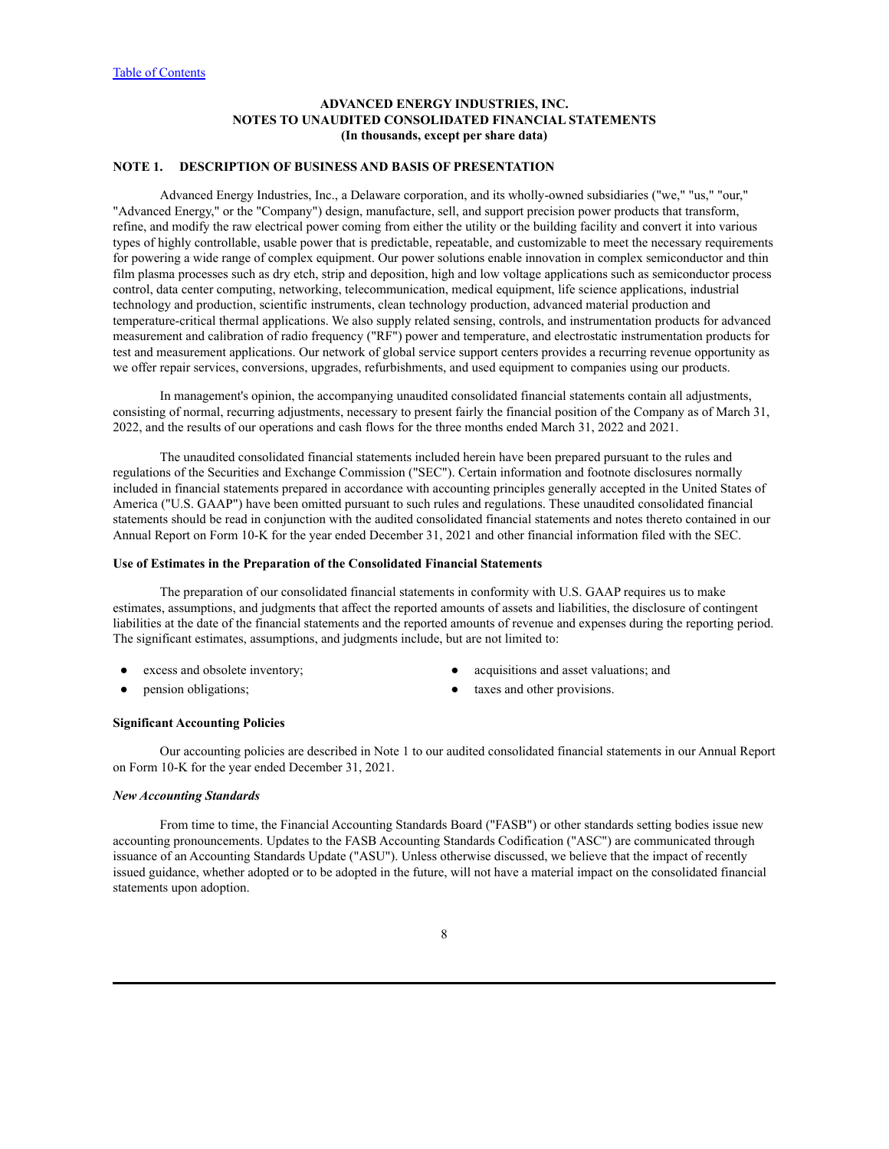# <span id="page-7-0"></span>**NOTE 1. DESCRIPTION OF BUSINESS AND BASIS OF PRESENTATION**

Advanced Energy Industries, Inc., a Delaware corporation, and its wholly-owned subsidiaries ("we," "us," "our," "Advanced Energy," or the "Company") design, manufacture, sell, and support precision power products that transform, refine, and modify the raw electrical power coming from either the utility or the building facility and convert it into various types of highly controllable, usable power that is predictable, repeatable, and customizable to meet the necessary requirements for powering a wide range of complex equipment. Our power solutions enable innovation in complex semiconductor and thin film plasma processes such as dry etch, strip and deposition, high and low voltage applications such as semiconductor process control, data center computing, networking, telecommunication, medical equipment, life science applications, industrial technology and production, scientific instruments, clean technology production, advanced material production and temperature-critical thermal applications. We also supply related sensing, controls, and instrumentation products for advanced measurement and calibration of radio frequency ("RF") power and temperature, and electrostatic instrumentation products for test and measurement applications. Our network of global service support centers provides a recurring revenue opportunity as we offer repair services, conversions, upgrades, refurbishments, and used equipment to companies using our products.

In management's opinion, the accompanying unaudited consolidated financial statements contain all adjustments, consisting of normal, recurring adjustments, necessary to present fairly the financial position of the Company as of March 31, 2022, and the results of our operations and cash flows for the three months ended March 31, 2022 and 2021.

The unaudited consolidated financial statements included herein have been prepared pursuant to the rules and regulations of the Securities and Exchange Commission ("SEC"). Certain information and footnote disclosures normally included in financial statements prepared in accordance with accounting principles generally accepted in the United States of America ("U.S. GAAP") have been omitted pursuant to such rules and regulations. These unaudited consolidated financial statements should be read in conjunction with the audited consolidated financial statements and notes thereto contained in our Annual Report on Form 10-K for the year ended December 31, 2021 and other financial information filed with the SEC.

#### **Use of Estimates in the Preparation of the Consolidated Financial Statements**

The preparation of our consolidated financial statements in conformity with U.S. GAAP requires us to make estimates, assumptions, and judgments that affect the reported amounts of assets and liabilities, the disclosure of contingent liabilities at the date of the financial statements and the reported amounts of revenue and expenses during the reporting period. The significant estimates, assumptions, and judgments include, but are not limited to:

excess and obsolete inventory;

● acquisitions and asset valuations; and

pension obligations;

● taxes and other provisions.

### **Significant Accounting Policies**

Our accounting policies are described in Note 1 to our audited consolidated financial statements in our Annual Report on Form 10-K for the year ended December 31, 2021.

#### *New Accounting Standards*

From time to time, the Financial Accounting Standards Board ("FASB") or other standards setting bodies issue new accounting pronouncements. Updates to the FASB Accounting Standards Codification ("ASC") are communicated through issuance of an Accounting Standards Update ("ASU"). Unless otherwise discussed, we believe that the impact of recently issued guidance, whether adopted or to be adopted in the future, will not have a material impact on the consolidated financial statements upon adoption.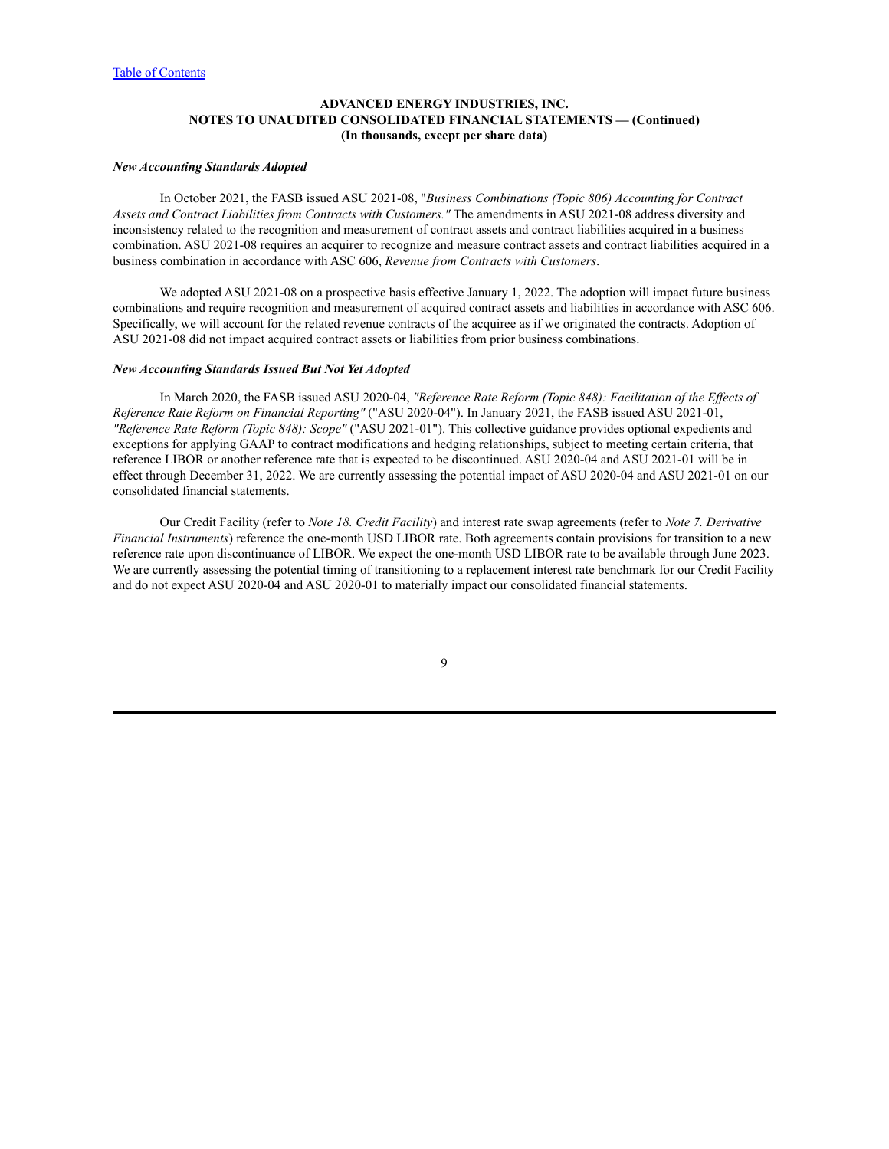#### *New Accounting Standards Adopted*

In October 2021, the FASB issued ASU 2021-08, "*Business Combinations (Topic 806) Accounting for Contract Assets and Contract Liabilities from Contracts with Customers."* The amendments in ASU 2021-08 address diversity and inconsistency related to the recognition and measurement of contract assets and contract liabilities acquired in a business combination. ASU 2021-08 requires an acquirer to recognize and measure contract assets and contract liabilities acquired in a business combination in accordance with ASC 606, *Revenue from Contracts with Customers*.

We adopted ASU 2021-08 on a prospective basis effective January 1, 2022. The adoption will impact future business combinations and require recognition and measurement of acquired contract assets and liabilities in accordance with ASC 606. Specifically, we will account for the related revenue contracts of the acquiree as if we originated the contracts. Adoption of ASU 2021-08 did not impact acquired contract assets or liabilities from prior business combinations.

#### *New Accounting Standards Issued But Not Yet Adopted*

In March 2020, the FASB issued ASU 2020-04, *"Reference Rate Reform (Topic 848): Facilitation of the Ef ects of Reference Rate Reform on Financial Reporting"* ("ASU 2020-04"). In January 2021, the FASB issued ASU 2021-01, *"Reference Rate Reform (Topic 848): Scope"* ("ASU 2021-01"). This collective guidance provides optional expedients and exceptions for applying GAAP to contract modifications and hedging relationships, subject to meeting certain criteria, that reference LIBOR or another reference rate that is expected to be discontinued. ASU 2020-04 and ASU 2021-01 will be in effect through December 31, 2022. We are currently assessing the potential impact of ASU 2020-04 and ASU 2021-01 on our consolidated financial statements.

Our Credit Facility (refer to *Note 18. Credit Facility*) and interest rate swap agreements (refer to *Note 7. Derivative Financial Instruments*) reference the one-month USD LIBOR rate. Both agreements contain provisions for transition to a new reference rate upon discontinuance of LIBOR. We expect the one-month USD LIBOR rate to be available through June 2023. We are currently assessing the potential timing of transitioning to a replacement interest rate benchmark for our Credit Facility and do not expect ASU 2020-04 and ASU 2020-01 to materially impact our consolidated financial statements.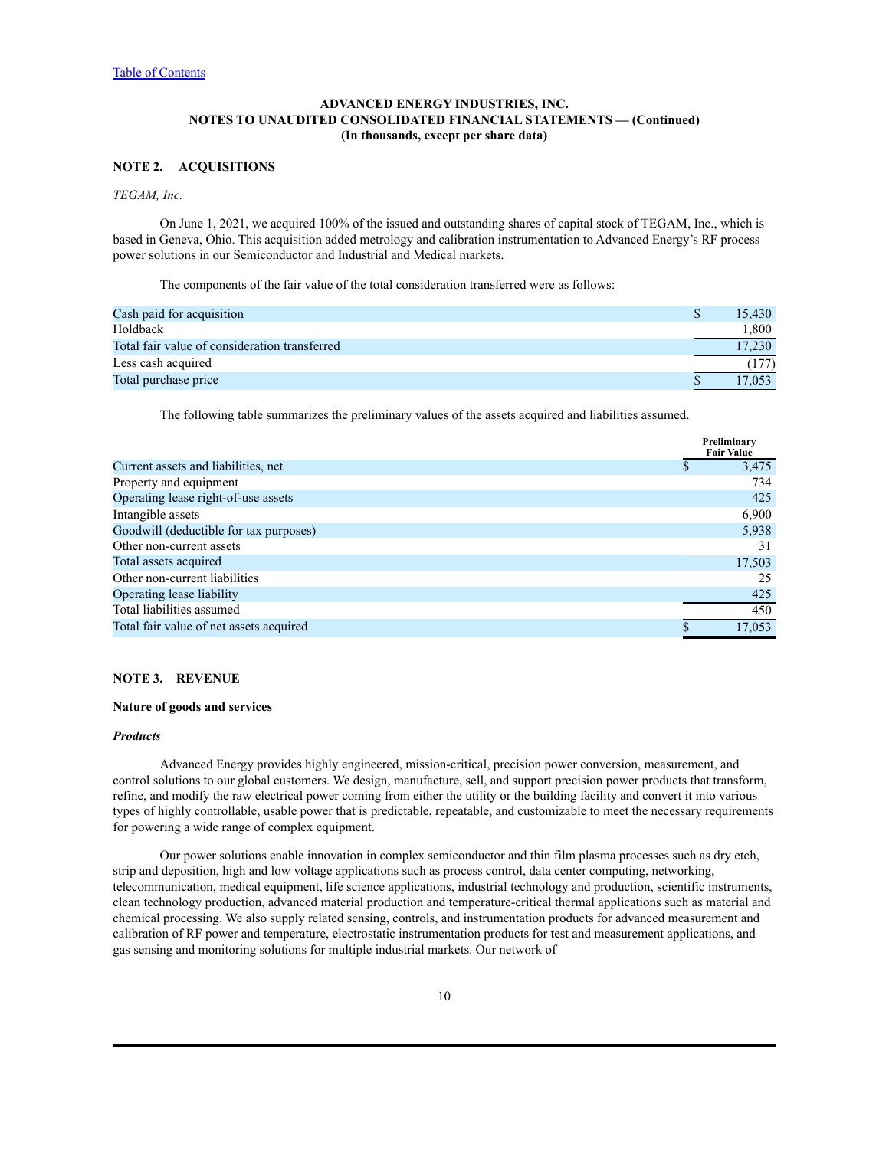# **NOTE 2. ACQUISITIONS**

## *TEGAM, Inc.*

On June 1, 2021, we acquired 100% of the issued and outstanding shares of capital stock of TEGAM, Inc., which is based in Geneva, Ohio. This acquisition added metrology and calibration instrumentation to Advanced Energy's RF process power solutions in our Semiconductor and Industrial and Medical markets.

The components of the fair value of the total consideration transferred were as follows:

| Cash paid for acquisition                     | 15.430 |
|-----------------------------------------------|--------|
| Holdback                                      | 1.800  |
| Total fair value of consideration transferred | 17.230 |
| Less cash acquired                            |        |
| Total purchase price                          | 17.053 |

The following table summarizes the preliminary values of the assets acquired and liabilities assumed.

|                                         | Preliminary<br><b>Fair Value</b> |
|-----------------------------------------|----------------------------------|
| Current assets and liabilities, net     | 3,475                            |
| Property and equipment                  | 734                              |
| Operating lease right-of-use assets     | 425                              |
| Intangible assets                       | 6,900                            |
| Goodwill (deductible for tax purposes)  | 5,938                            |
| Other non-current assets                | 31                               |
| Total assets acquired                   | 17,503                           |
| Other non-current liabilities           | 25                               |
| Operating lease liability               | 425                              |
| Total liabilities assumed               | 450                              |
| Total fair value of net assets acquired | 17,053                           |

#### **NOTE 3. REVENUE**

#### **Nature of goods and services**

#### *Products*

Advanced Energy provides highly engineered, mission-critical, precision power conversion, measurement, and control solutions to our global customers. We design, manufacture, sell, and support precision power products that transform, refine, and modify the raw electrical power coming from either the utility or the building facility and convert it into various types of highly controllable, usable power that is predictable, repeatable, and customizable to meet the necessary requirements for powering a wide range of complex equipment.

Our power solutions enable innovation in complex semiconductor and thin film plasma processes such as dry etch, strip and deposition, high and low voltage applications such as process control, data center computing, networking, telecommunication, medical equipment, life science applications, industrial technology and production, scientific instruments, clean technology production, advanced material production and temperature-critical thermal applications such as material and chemical processing. We also supply related sensing, controls, and instrumentation products for advanced measurement and calibration of RF power and temperature, electrostatic instrumentation products for test and measurement applications, and gas sensing and monitoring solutions for multiple industrial markets. Our network of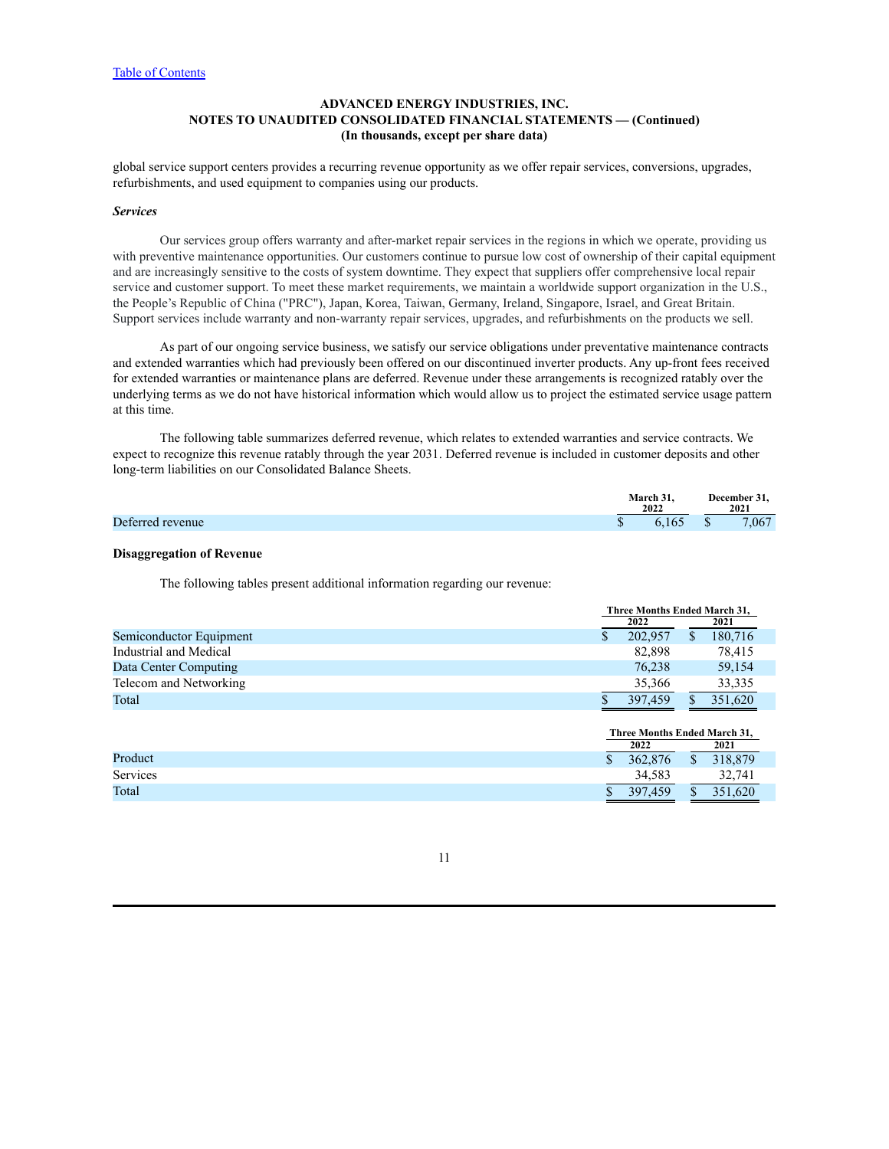global service support centers provides a recurring revenue opportunity as we offer repair services, conversions, upgrades, refurbishments, and used equipment to companies using our products.

#### *Services*

Our services group offers warranty and after-market repair services in the regions in which we operate, providing us with preventive maintenance opportunities. Our customers continue to pursue low cost of ownership of their capital equipment and are increasingly sensitive to the costs of system downtime. They expect that suppliers offer comprehensive local repair service and customer support. To meet these market requirements, we maintain a worldwide support organization in the U.S., the People's Republic of China ("PRC"), Japan, Korea, Taiwan, Germany, Ireland, Singapore, Israel, and Great Britain. Support services include warranty and non-warranty repair services, upgrades, and refurbishments on the products we sell.

As part of our ongoing service business, we satisfy our service obligations under preventative maintenance contracts and extended warranties which had previously been offered on our discontinued inverter products. Any up-front fees received for extended warranties or maintenance plans are deferred. Revenue under these arrangements is recognized ratably over the underlying terms as we do not have historical information which would allow us to project the estimated service usage pattern at this time.

The following table summarizes deferred revenue, which relates to extended warranties and service contracts. We expect to recognize this revenue ratably through the year 2031. Deferred revenue is included in customer deposits and other long-term liabilities on our Consolidated Balance Sheets.

|                  | March 31.<br>2022 |    | December 31.<br>2021 |
|------------------|-------------------|----|----------------------|
| Deferred revenue | 102               | ιυ | ,067                 |

#### **Disaggregation of Revenue**

The following tables present additional information regarding our revenue:

|                         |               | Three Months Ended March 31, |
|-------------------------|---------------|------------------------------|
|                         | 2022          | 2021                         |
| Semiconductor Equipment | 202,957<br>S. | 180,716                      |
| Industrial and Medical  | 82.898        | 78,415                       |
| Data Center Computing   | 76.238        | 59,154                       |
| Telecom and Networking  | 35,366        | 33,335                       |
| Total                   | 397.459       | 351.620                      |
|                         |               |                              |
|                         | $-1$          |                              |

|          | Three Months Ended March 31, |         |  |         |
|----------|------------------------------|---------|--|---------|
|          | 2022                         |         |  | 2021    |
| Product  |                              | 362,876 |  | 318,879 |
| Services |                              | 34.583  |  | 32,741  |
| Total    |                              | 397,459 |  | 351,620 |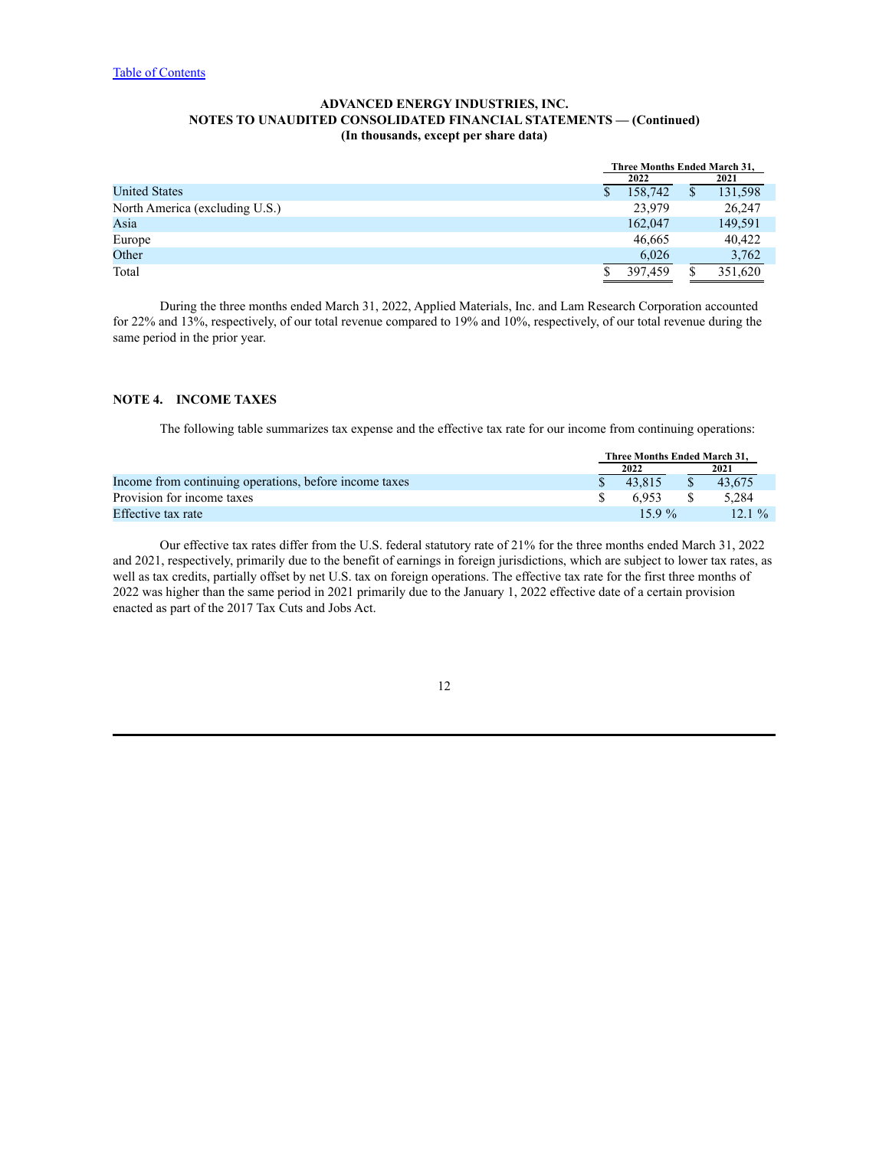|                                | Three Months Ended March 31, |         |    |         |
|--------------------------------|------------------------------|---------|----|---------|
|                                |                              | 2022    |    | 2021    |
| <b>United States</b>           | \$                           | 158,742 | \$ | 131,598 |
| North America (excluding U.S.) |                              | 23.979  |    | 26,247  |
| Asia                           |                              | 162,047 |    | 149,591 |
| Europe                         |                              | 46,665  |    | 40,422  |
| Other                          |                              | 6,026   |    | 3,762   |
| Total                          |                              | 397.459 | J  | 351,620 |

During the three months ended March 31, 2022, Applied Materials, Inc. and Lam Research Corporation accounted for 22% and 13%, respectively, of our total revenue compared to 19% and 10%, respectively, of our total revenue during the same period in the prior year.

# **NOTE 4. INCOME TAXES**

The following table summarizes tax expense and the effective tax rate for our income from continuing operations:

|                                                        | <b>Three Months Ended March 31.</b> |  |          |  |  |
|--------------------------------------------------------|-------------------------------------|--|----------|--|--|
|                                                        | 2022                                |  | 2021     |  |  |
| Income from continuing operations, before income taxes | 43 815                              |  | 43.675   |  |  |
| Provision for income taxes                             | 6953                                |  | 5.284    |  |  |
| Effective tax rate                                     | 15 Q $\%$                           |  | $12.1\%$ |  |  |

Our effective tax rates differ from the U.S. federal statutory rate of 21% for the three months ended March 31, 2022 and 2021, respectively, primarily due to the benefit of earnings in foreign jurisdictions, which are subject to lower tax rates, as well as tax credits, partially offset by net U.S. tax on foreign operations. The effective tax rate for the first three months of 2022 was higher than the same period in 2021 primarily due to the January 1, 2022 effective date of a certain provision enacted as part of the 2017 Tax Cuts and Jobs Act.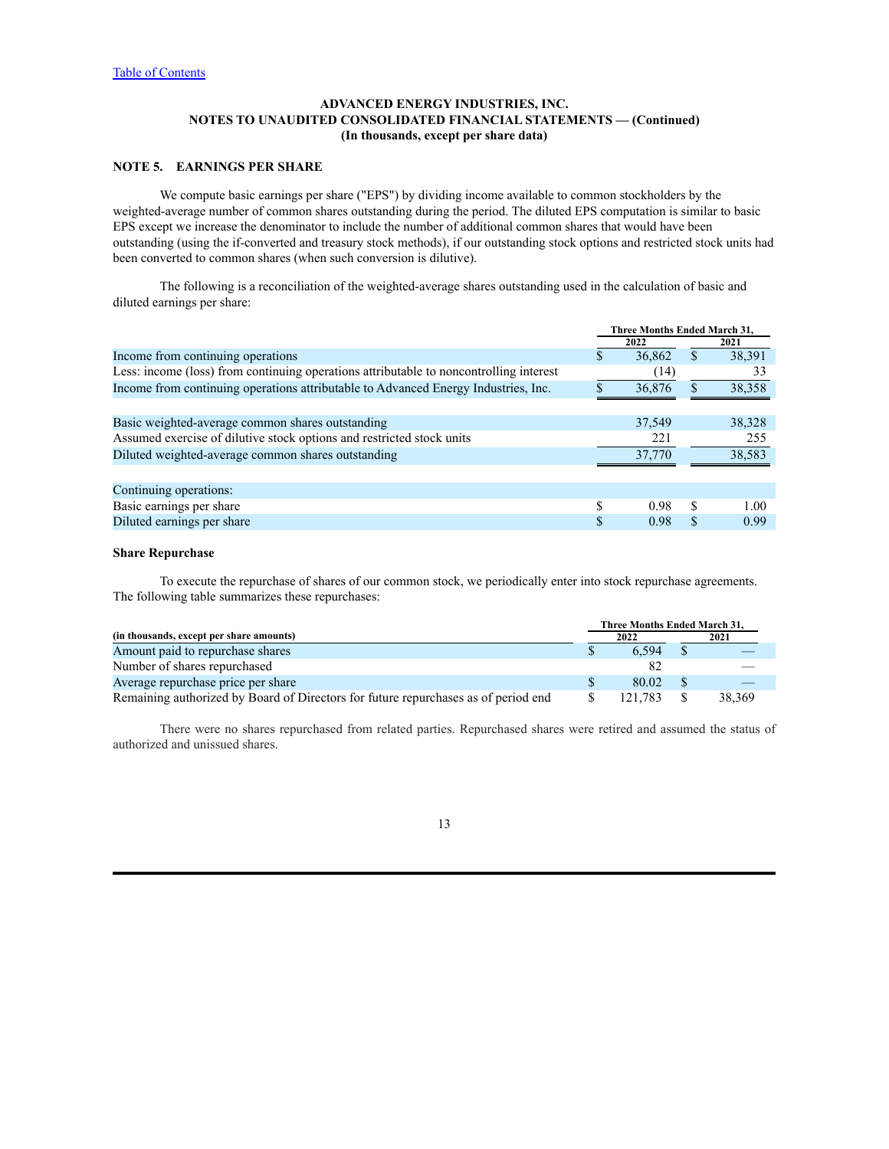# **NOTE 5. EARNINGS PER SHARE**

We compute basic earnings per share ("EPS") by dividing income available to common stockholders by the weighted-average number of common shares outstanding during the period. The diluted EPS computation is similar to basic EPS except we increase the denominator to include the number of additional common shares that would have been outstanding (using the if-converted and treasury stock methods), if our outstanding stock options and restricted stock units had been converted to common shares (when such conversion is dilutive).

The following is a reconciliation of the weighted-average shares outstanding used in the calculation of basic and diluted earnings per share:

|                                                                                        | Three Months Ended March 31, |        |    |        |
|----------------------------------------------------------------------------------------|------------------------------|--------|----|--------|
|                                                                                        |                              | 2022   |    | 2021   |
| Income from continuing operations                                                      |                              | 36,862 |    | 38,391 |
| Less: income (loss) from continuing operations attributable to noncontrolling interest |                              | (14)   |    | 33     |
| Income from continuing operations attributable to Advanced Energy Industries, Inc.     |                              | 36,876 |    | 38,358 |
|                                                                                        |                              |        |    |        |
| Basic weighted-average common shares outstanding                                       |                              | 37,549 |    | 38,328 |
| Assumed exercise of dilutive stock options and restricted stock units                  |                              | 221    |    | 255    |
| Diluted weighted-average common shares outstanding                                     |                              | 37,770 |    | 38,583 |
|                                                                                        |                              |        |    |        |
| Continuing operations:                                                                 |                              |        |    |        |
| Basic earnings per share                                                               | \$                           | 0.98   | £. | 1.00   |
| Diluted earnings per share                                                             | \$                           | 0.98   |    | 0.99   |

#### **Share Repurchase**

To execute the repurchase of shares of our common stock, we periodically enter into stock repurchase agreements. The following table summarizes these repurchases:

|                                                                                    | Three Months Ended March 31, |         |  |        |
|------------------------------------------------------------------------------------|------------------------------|---------|--|--------|
| (in thousands, except per share amounts)                                           |                              | 2022    |  | 2021   |
| Amount paid to repurchase shares                                                   |                              | 6.594   |  |        |
| Number of shares repurchased                                                       |                              |         |  |        |
| Average repurchase price per share                                                 |                              | 80.02   |  |        |
| Remaining authorized by Board of Directors for future repurchases as of period end |                              | 121.783 |  | 38.369 |

There were no shares repurchased from related parties. Repurchased shares were retired and assumed the status of authorized and unissued shares.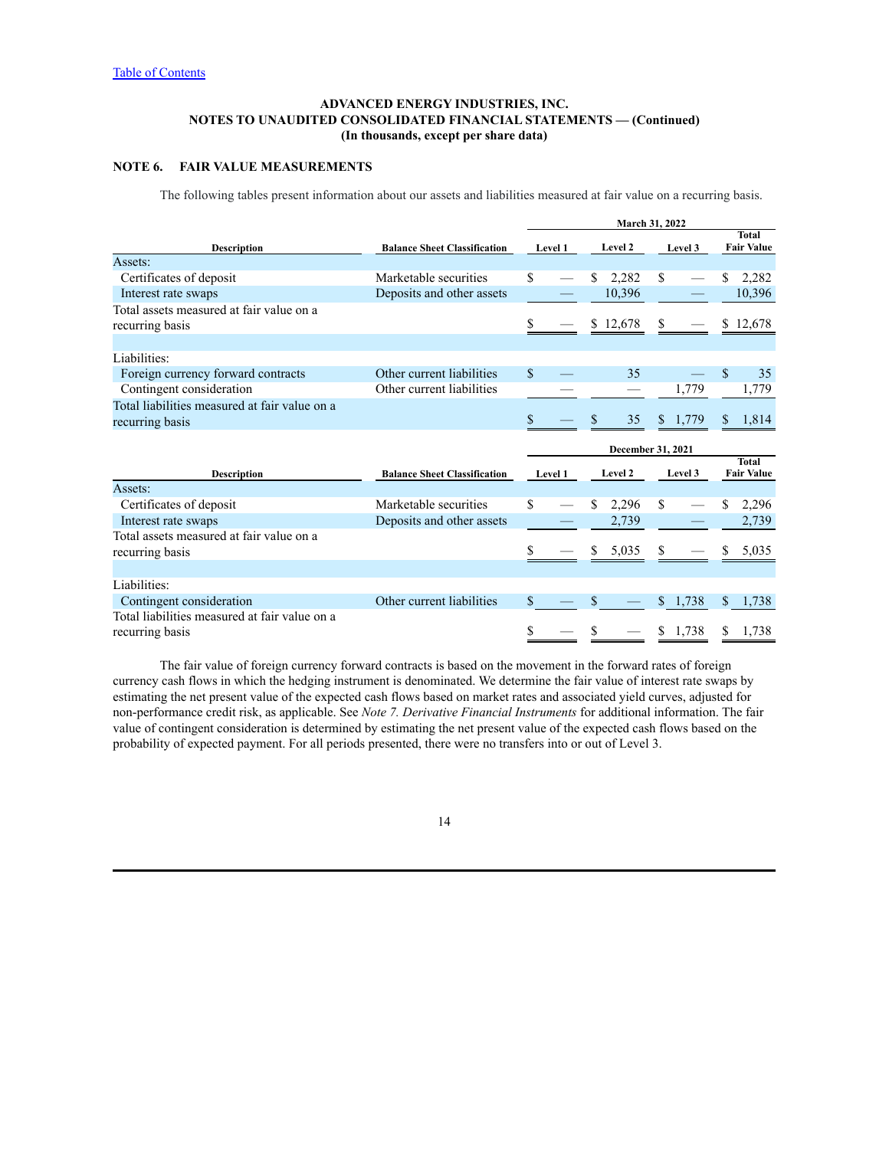# **NOTE 6. FAIR VALUE MEASUREMENTS**

The following tables present information about our assets and liabilities measured at fair value on a recurring basis.

|                                               |                                     | March 31, 2022 |             |                   |                                   |
|-----------------------------------------------|-------------------------------------|----------------|-------------|-------------------|-----------------------------------|
| <b>Description</b>                            | <b>Balance Sheet Classification</b> | Level 1        | Level 2     | Level 3           | <b>Total</b><br><b>Fair Value</b> |
| Assets:                                       |                                     |                |             |                   |                                   |
| Certificates of deposit                       | Marketable securities               | \$             | \$<br>2,282 | \$                | S<br>2,282                        |
| Interest rate swaps                           | Deposits and other assets           |                | 10,396      |                   | 10,396                            |
| Total assets measured at fair value on a      |                                     |                |             |                   |                                   |
| recurring basis                               |                                     | S              | \$12,678    | \$                | \$12,678                          |
| Liabilities:                                  |                                     |                |             |                   |                                   |
| Foreign currency forward contracts            | Other current liabilities           | \$             | 35          |                   | \$<br>35                          |
| Contingent consideration                      | Other current liabilities           |                |             | 1,779             | 1,779                             |
| Total liabilities measured at fair value on a |                                     |                |             |                   |                                   |
| recurring basis                               |                                     |                | 35          | 1,779<br>S.       | 1,814                             |
|                                               |                                     |                |             | December 31, 2021 |                                   |
|                                               |                                     |                |             |                   | <b>Total</b>                      |
| <b>Description</b>                            | <b>Balance Sheet Classification</b> | Level 1        | Level 2     | Level 3           | <b>Fair Value</b>                 |
| Assets:                                       |                                     |                |             |                   |                                   |
| Certificates of deposit                       | Marketable securities               | \$             | \$<br>2,296 | \$                | 2,296                             |
| Interest rate swaps                           | Deposits and other assets           |                | 2,739       |                   | 2,739                             |
| Total assets measured at fair value on a      |                                     |                |             |                   |                                   |
| recurring basis                               |                                     |                | 5,035<br>\$ | S                 | 5,035                             |
|                                               |                                     |                |             |                   |                                   |
| Liabilities:                                  |                                     |                |             |                   |                                   |
| Contingent consideration                      | Other current liabilities           | \$             | $\mathbf S$ | \$<br>1,738       | \$<br>1,738                       |
| Total liabilities measured at fair value on a |                                     |                |             |                   |                                   |
| recurring basis                               |                                     | \$             | \$          | \$<br>1,738       | S.<br>1,738                       |

The fair value of foreign currency forward contracts is based on the movement in the forward rates of foreign currency cash flows in which the hedging instrument is denominated. We determine the fair value of interest rate swaps by estimating the net present value of the expected cash flows based on market rates and associated yield curves, adjusted for non-performance credit risk, as applicable. See *Note 7. Derivative Financial Instruments* for additional information. The fair value of contingent consideration is determined by estimating the net present value of the expected cash flows based on the probability of expected payment. For all periods presented, there were no transfers into or out of Level 3.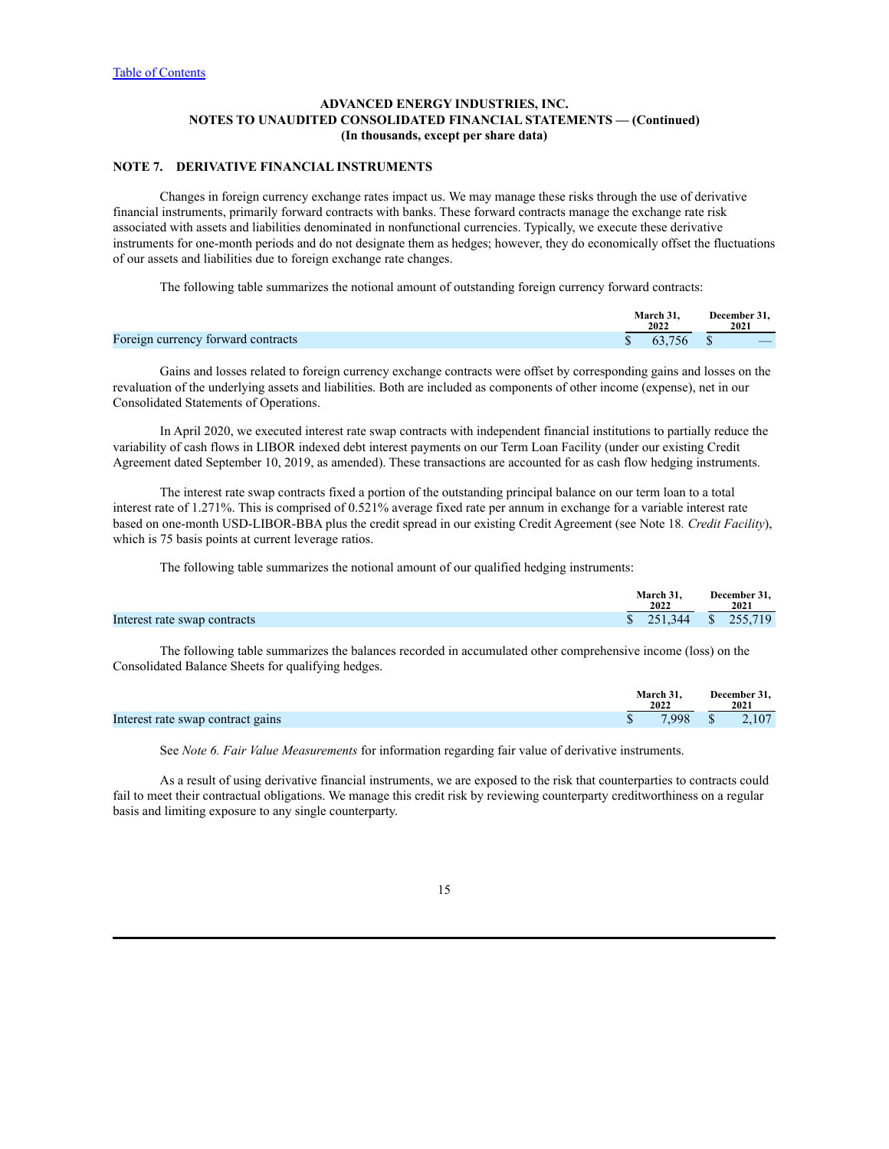# **NOTE 7. DERIVATIVE FINANCIAL INSTRUMENTS**

Changes in foreign currency exchange rates impact us. We may manage these risks through the use of derivative financial instruments, primarily forward contracts with banks. These forward contracts manage the exchange rate risk associated with assets and liabilities denominated in nonfunctional currencies. Typically, we execute these derivative instruments for one-month periods and do not designate them as hedges; however, they do economically offset the fluctuations of our assets and liabilities due to foreign exchange rate changes.

The following table summarizes the notional amount of outstanding foreign currency forward contracts:

|                                    | March 31.<br>2022 | December 31.<br>2021 |
|------------------------------------|-------------------|----------------------|
| Foreign currency forward contracts | 63.756            |                      |

Gains and losses related to foreign currency exchange contracts were offset by corresponding gains and losses on the revaluation of the underlying assets and liabilities. Both are included as components of other income (expense), net in our Consolidated Statements of Operations.

In April 2020, we executed interest rate swap contracts with independent financial institutions to partially reduce the variability of cash flows in LIBOR indexed debt interest payments on our Term Loan Facility (under our existing Credit Agreement dated September 10, 2019, as amended). These transactions are accounted for as cash flow hedging instruments.

The interest rate swap contracts fixed a portion of the outstanding principal balance on our term loan to a total interest rate of 1.271%. This is comprised of 0.521% average fixed rate per annum in exchange for a variable interest rate based on one-month USD-LIBOR-BBA plus the credit spread in our existing Credit Agreement (see Note 18*. Credit Facility*), which is 75 basis points at current leverage ratios.

The following table summarizes the notional amount of our qualified hedging instruments:

|                              | March 31.<br>2022 | December 31.<br>2021 |
|------------------------------|-------------------|----------------------|
| Interest rate swap contracts |                   | 251,344 \$ 255,719   |

The following table summarizes the balances recorded in accumulated other comprehensive income (loss) on the Consolidated Balance Sheets for qualifying hedges.

|                                   | March 31.<br>2022 | December 31.<br>2021 |
|-----------------------------------|-------------------|----------------------|
| Interest rate swap contract gains | 7.998             | 2.107                |

See *Note 6. Fair Value Measurements* for information regarding fair value of derivative instruments.

As a result of using derivative financial instruments, we are exposed to the risk that counterparties to contracts could fail to meet their contractual obligations. We manage this credit risk by reviewing counterparty creditworthiness on a regular basis and limiting exposure to any single counterparty.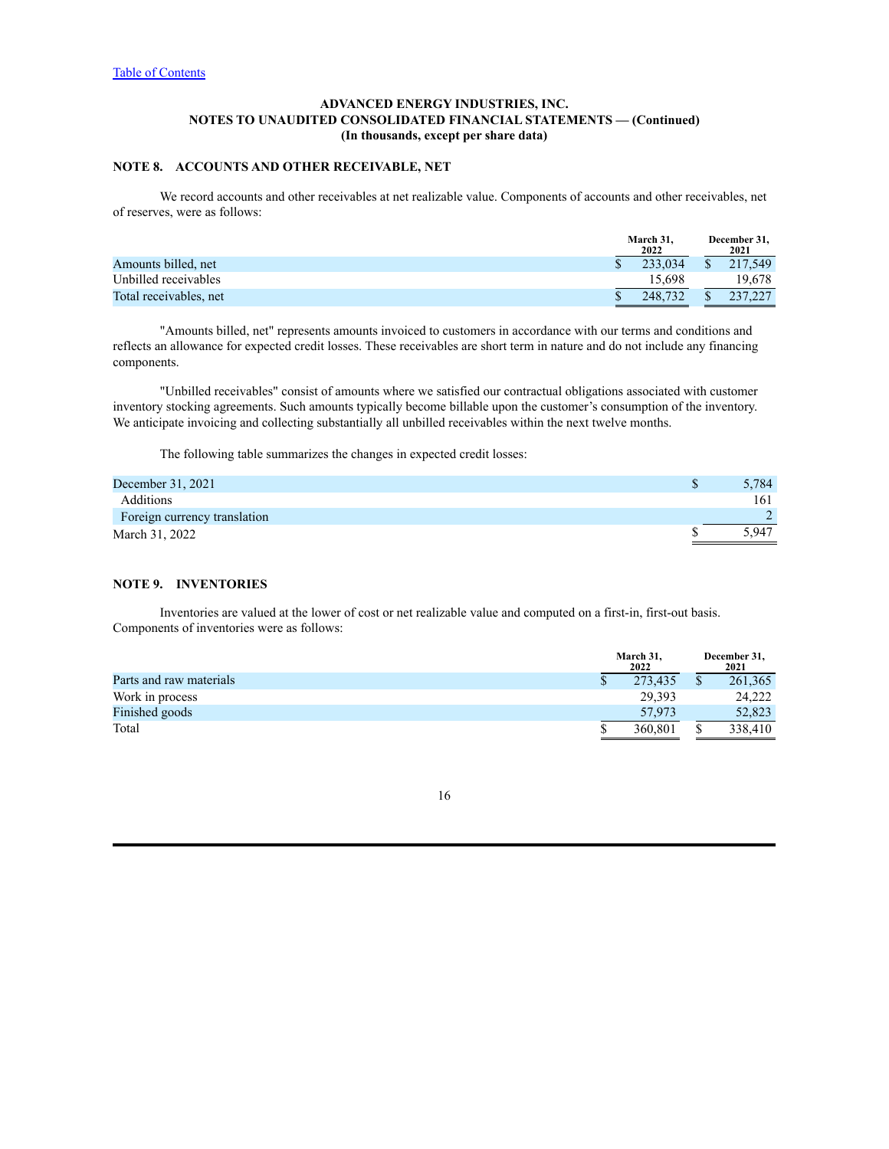# **NOTE 8. ACCOUNTS AND OTHER RECEIVABLE, NET**

We record accounts and other receivables at net realizable value. Components of accounts and other receivables, net of reserves, were as follows:

|                        | March 31,<br>2022 | December 31,<br>2021 |
|------------------------|-------------------|----------------------|
| Amounts billed, net    | 233,034           | 217.549              |
| Unbilled receivables   | 15.698            | 19.678               |
| Total receivables, net | 248,732           | 237.227              |

"Amounts billed, net" represents amounts invoiced to customers in accordance with our terms and conditions and reflects an allowance for expected credit losses. These receivables are short term in nature and do not include any financing components.

"Unbilled receivables" consist of amounts where we satisfied our contractual obligations associated with customer inventory stocking agreements. Such amounts typically become billable upon the customer's consumption of the inventory. We anticipate invoicing and collecting substantially all unbilled receivables within the next twelve months.

The following table summarizes the changes in expected credit losses:

| December 31, 2021            | 5.784 |
|------------------------------|-------|
| Additions                    | 161   |
| Foreign currency translation |       |
| March 31, 2022               | 5.947 |

### **NOTE 9. INVENTORIES**

Inventories are valued at the lower of cost or net realizable value and computed on a first-in, first-out basis. Components of inventories were as follows:

|                         | March 31,<br>2022 |    | December 31,<br>2021 |
|-------------------------|-------------------|----|----------------------|
| Parts and raw materials | 273.435           |    | 261,365              |
| Work in process         | 29.393            |    | 24,222               |
| Finished goods          | 57.973            |    | 52.823               |
| Total                   | 360,801           | \$ | 338,410              |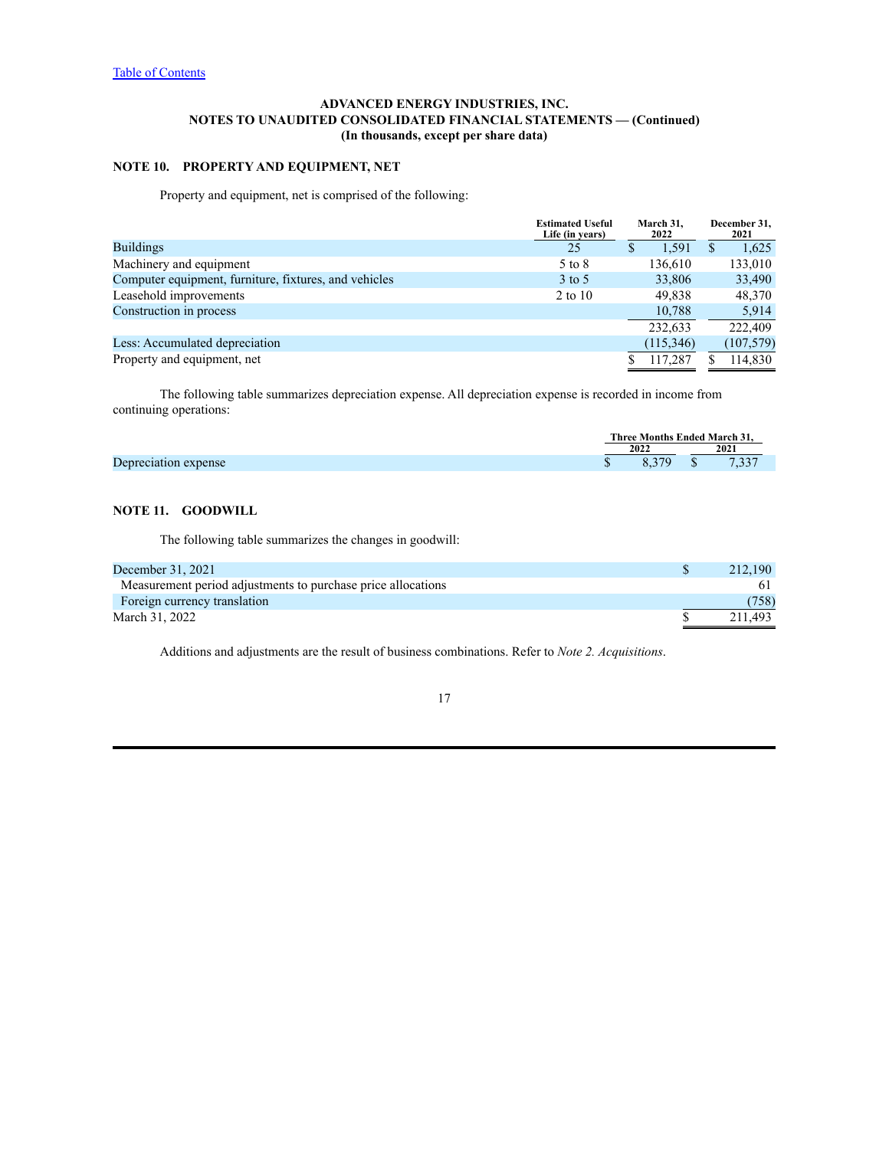# **NOTE 10. PROPERTY AND EQUIPMENT, NET**

Property and equipment, net is comprised of the following:

|                                                       | <b>Estimated Useful</b><br>Life (in years) | March 31.<br>2022 | December 31,<br>2021 |
|-------------------------------------------------------|--------------------------------------------|-------------------|----------------------|
| <b>Buildings</b>                                      | 25                                         | 1,591<br>S        | 1,625                |
| Machinery and equipment                               | 5 to 8                                     | 136.610           | 133,010              |
| Computer equipment, furniture, fixtures, and vehicles | $3$ to 5                                   | 33,806            | 33,490               |
| Leasehold improvements                                | 2 to 10                                    | 49.838            | 48,370               |
| Construction in process                               |                                            | 10,788            | 5,914                |
|                                                       |                                            | 232,633           | 222,409              |
| Less: Accumulated depreciation                        |                                            | (115, 346)        | (107, 579)           |
| Property and equipment, net                           |                                            | 117.287           | 114,830              |

The following table summarizes depreciation expense. All depreciation expense is recorded in income from continuing operations:

|                      |   | Three Months Ended March 31. |   |       |  |
|----------------------|---|------------------------------|---|-------|--|
|                      |   | 2022                         |   | 2021  |  |
| Depreciation expense | w |                              | Ψ | ، ب ب |  |

## **NOTE 11. GOODWILL**

The following table summarizes the changes in goodwill:

| December 31, 2021                                            | 212.190 |
|--------------------------------------------------------------|---------|
| Measurement period adjustments to purchase price allocations |         |
| Foreign currency translation                                 | (758)   |
| March 31, 2022                                               | 211.493 |

Additions and adjustments are the result of business combinations. Refer to *Note 2. Acquisitions*.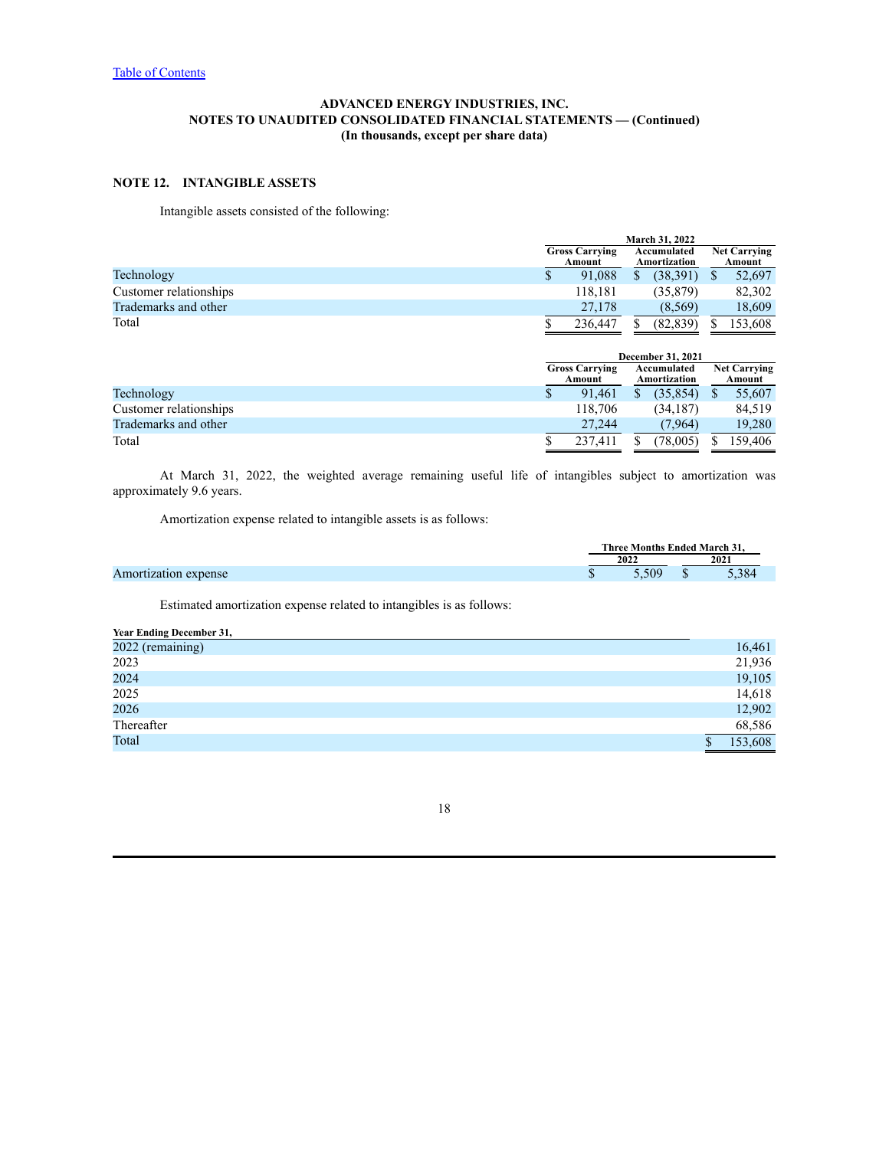## **NOTE 12. INTANGIBLE ASSETS**

Intangible assets consisted of the following:

|                        | <b>March 31, 2022</b> |                                 |  |                             |  |                               |
|------------------------|-----------------------|---------------------------------|--|-----------------------------|--|-------------------------------|
|                        |                       | <b>Gross Carrying</b><br>Amount |  | Accumulated<br>Amortization |  | <b>Net Carrying</b><br>Amount |
| Technology             |                       | 91.088                          |  | (38,391)                    |  | 52.697                        |
| Customer relationships |                       | 118.181                         |  | (35, 879)                   |  | 82,302                        |
| Trademarks and other   |                       | 27,178                          |  | (8,569)                     |  | 18,609                        |
| Total                  |                       | 236,447                         |  | (82, 839)                   |  | 153.608                       |

|                        | <b>December 31, 2021</b> |                                 |  |                             |  |                               |
|------------------------|--------------------------|---------------------------------|--|-----------------------------|--|-------------------------------|
|                        |                          | <b>Gross Carrying</b><br>Amount |  | Accumulated<br>Amortization |  | <b>Net Carrying</b><br>Amount |
| Technology             |                          | 91.461                          |  | (35.854)                    |  | 55,607                        |
| Customer relationships |                          | 118.706                         |  | (34.187)                    |  | 84.519                        |
| Trademarks and other   |                          | 27.244                          |  | (7.964)                     |  | 19.280                        |
| Total                  |                          | 237.411                         |  | (78,005)                    |  | 159.406                       |

At March 31, 2022, the weighted average remaining useful life of intangibles subject to amortization was approximately 9.6 years.

Amortization expense related to intangible assets is as follows:

|                      |      | Three Months Ended March 31. |      |
|----------------------|------|------------------------------|------|
|                      | 2022 |                              | 2021 |
| Amortization expense |      | 5.509                        | 20   |

Estimated amortization expense related to intangibles is as follows:

| <b>Year Ending December 31,</b> |         |
|---------------------------------|---------|
| 2022 (remaining)                | 16,461  |
| 2023                            | 21,936  |
| 2024                            | 19,105  |
| 2025                            | 14,618  |
| 2026                            | 12,902  |
| Thereafter                      | 68,586  |
| Total                           | 153,608 |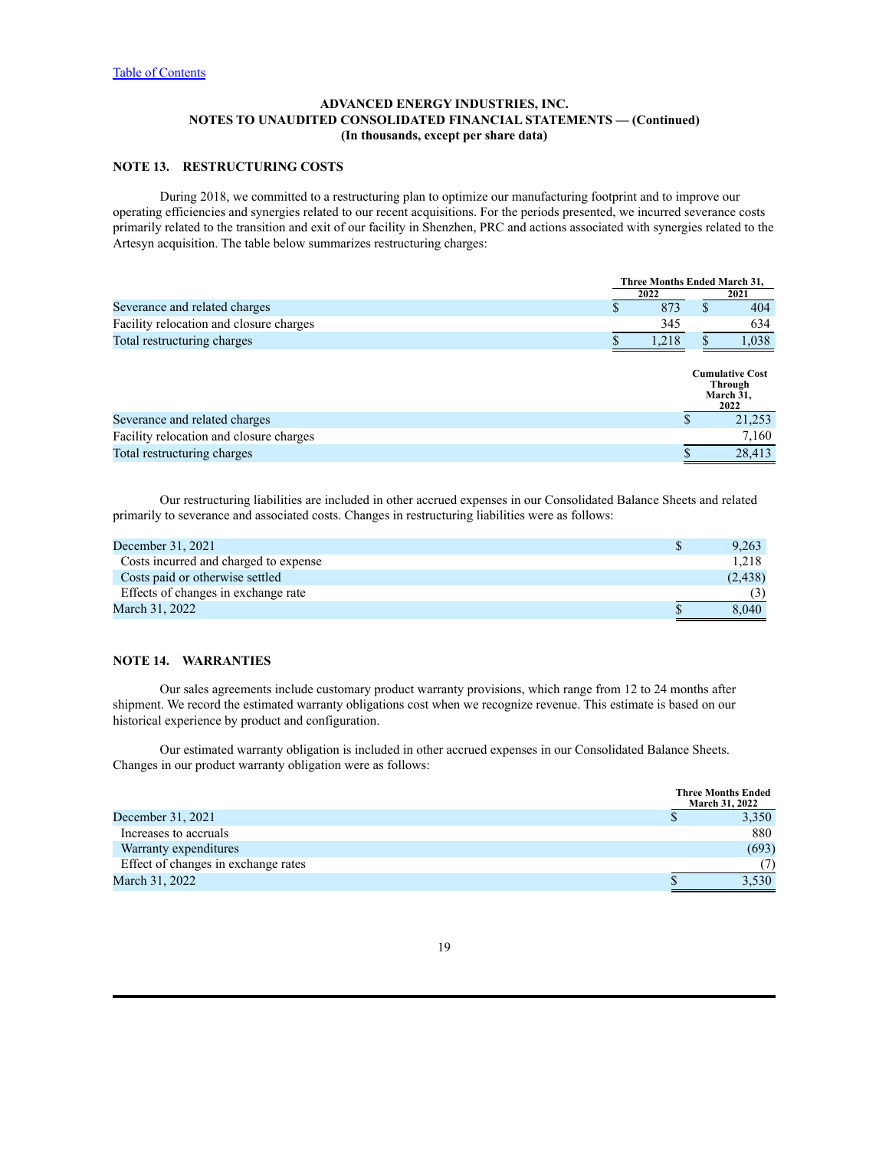# **NOTE 13. RESTRUCTURING COSTS**

During 2018, we committed to a restructuring plan to optimize our manufacturing footprint and to improve our operating efficiencies and synergies related to our recent acquisitions. For the periods presented, we incurred severance costs primarily related to the transition and exit of our facility in Shenzhen, PRC and actions associated with synergies related to the Artesyn acquisition. The table below summarizes restructuring charges:

|                                         | Three Months Ended March 31, |  |                                                               |  |
|-----------------------------------------|------------------------------|--|---------------------------------------------------------------|--|
|                                         | 2022                         |  | 2021                                                          |  |
| Severance and related charges           | 873                          |  | 404                                                           |  |
| Facility relocation and closure charges | 345                          |  | 634                                                           |  |
| Total restructuring charges             | 1,218                        |  | 1,038                                                         |  |
|                                         |                              |  | <b>Cumulative Cost</b><br><b>Through</b><br>March 31,<br>2022 |  |
| Severance and related charges           |                              |  | 21,253                                                        |  |
| Facility relocation and closure charges |                              |  | 7,160                                                         |  |
| Total restructuring charges             |                              |  | 28.413                                                        |  |

Our restructuring liabilities are included in other accrued expenses in our Consolidated Balance Sheets and related primarily to severance and associated costs. Changes in restructuring liabilities were as follows:

| December 31, 2021                     | 9.263    |
|---------------------------------------|----------|
| Costs incurred and charged to expense | 1.218    |
| Costs paid or otherwise settled       | (2, 438) |
| Effects of changes in exchange rate   | (3)      |
| March 31, 2022                        | 8.040    |

## **NOTE 14. WARRANTIES**

Our sales agreements include customary product warranty provisions, which range from 12 to 24 months after shipment. We record the estimated warranty obligations cost when we recognize revenue. This estimate is based on our historical experience by product and configuration.

Our estimated warranty obligation is included in other accrued expenses in our Consolidated Balance Sheets. Changes in our product warranty obligation were as follows:

|                                     | <b>Three Months Ended</b><br><b>March 31, 2022</b> |       |  |  |  |
|-------------------------------------|----------------------------------------------------|-------|--|--|--|
| December 31, 2021                   |                                                    | 3,350 |  |  |  |
| Increases to accruals               |                                                    | 880   |  |  |  |
| Warranty expenditures               |                                                    | (693) |  |  |  |
| Effect of changes in exchange rates |                                                    | (7)   |  |  |  |
| March 31, 2022                      |                                                    | 3.530 |  |  |  |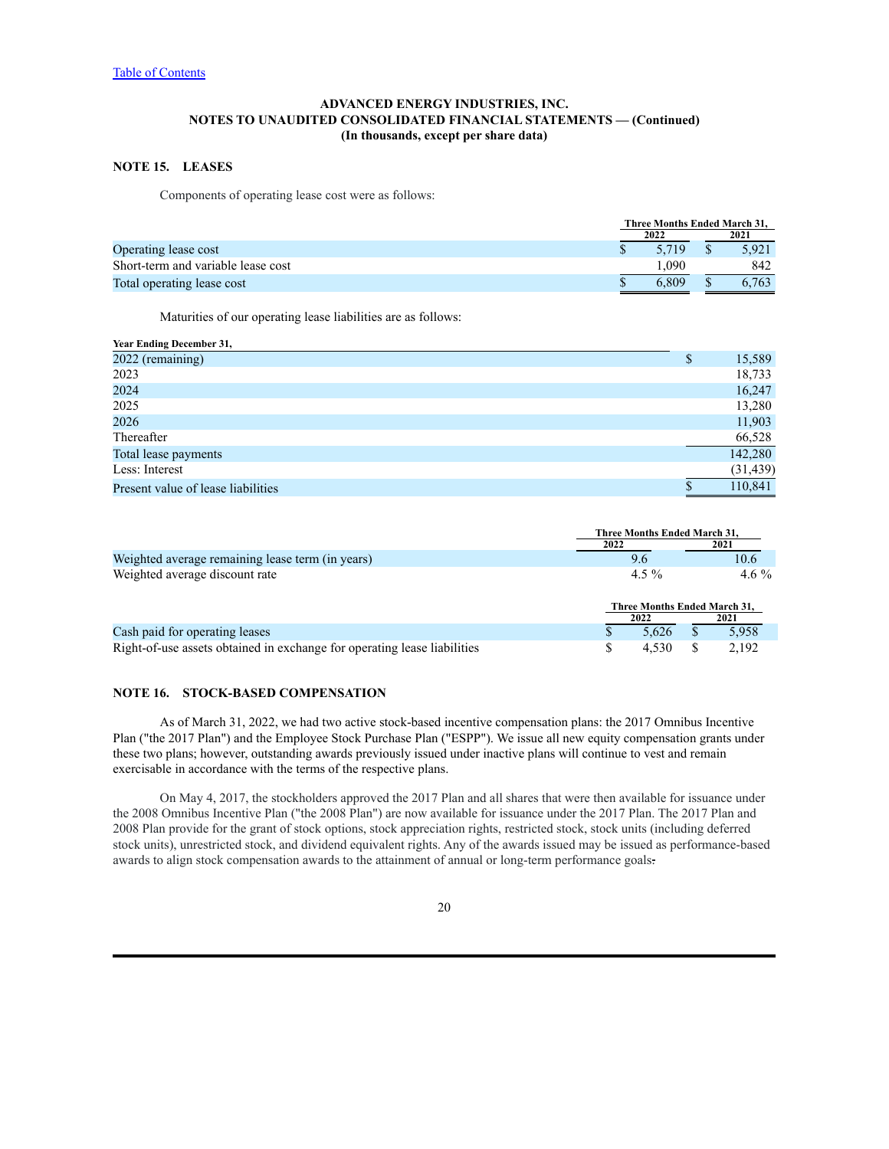# **NOTE 15. LEASES**

Components of operating lease cost were as follows:

|                                    | Three Months Ended March 31, |  |       |
|------------------------------------|------------------------------|--|-------|
|                                    | 2022                         |  | 2021  |
| Operating lease cost               | 5 7 1 9                      |  | 5.921 |
| Short-term and variable lease cost | 1.090                        |  | 842   |
| Total operating lease cost         | 6.809                        |  | 6.763 |
|                                    |                              |  |       |

Maturities of our operating lease liabilities are as follows:

| <b>Year Ending December 31,</b>    |              |
|------------------------------------|--------------|
| 2022 (remaining)                   | \$<br>15,589 |
| 2023                               | 18,733       |
| 2024                               | 16,247       |
| 2025                               | 13,280       |
| 2026                               | 11,903       |
| Thereafter                         | 66,528       |
| Total lease payments               | 142,280      |
| Less: Interest                     | (31, 439)    |
| Present value of lease liabilities | 110,841      |

|                                                                           | Three Months Ended March 31, |                                      |
|---------------------------------------------------------------------------|------------------------------|--------------------------------------|
|                                                                           | 2022                         | 2021                                 |
| Weighted average remaining lease term (in years)                          | 9.6                          | 10.6                                 |
| Weighted average discount rate                                            | $4.5\%$                      | $4.6\%$                              |
|                                                                           | 2022                         | Three Months Ended March 31,<br>2021 |
| Cash paid for operating leases                                            | 5.626                        | 5,958                                |
| Dicht of corresponds abtained in accelerate for commitme lange lightlife. | 1.520                        | 2.102<br>G.                          |

Right-of-use assets obtained in exchange for operating lease liabilities  $\qquad \qquad$  \$ 4,530 \$ 2,192

### **NOTE 16. STOCK-BASED COMPENSATION**

As of March 31, 2022, we had two active stock-based incentive compensation plans: the 2017 Omnibus Incentive Plan ("the 2017 Plan") and the Employee Stock Purchase Plan ("ESPP"). We issue all new equity compensation grants under these two plans; however, outstanding awards previously issued under inactive plans will continue to vest and remain exercisable in accordance with the terms of the respective plans.

On May 4, 2017, the stockholders approved the 2017 Plan and all shares that were then available for issuance under the 2008 Omnibus Incentive Plan ("the 2008 Plan") are now available for issuance under the 2017 Plan. The 2017 Plan and 2008 Plan provide for the grant of stock options, stock appreciation rights, restricted stock, stock units (including deferred stock units), unrestricted stock, and dividend equivalent rights. Any of the awards issued may be issued as performance-based awards to align stock compensation awards to the attainment of annual or long-term performance goals.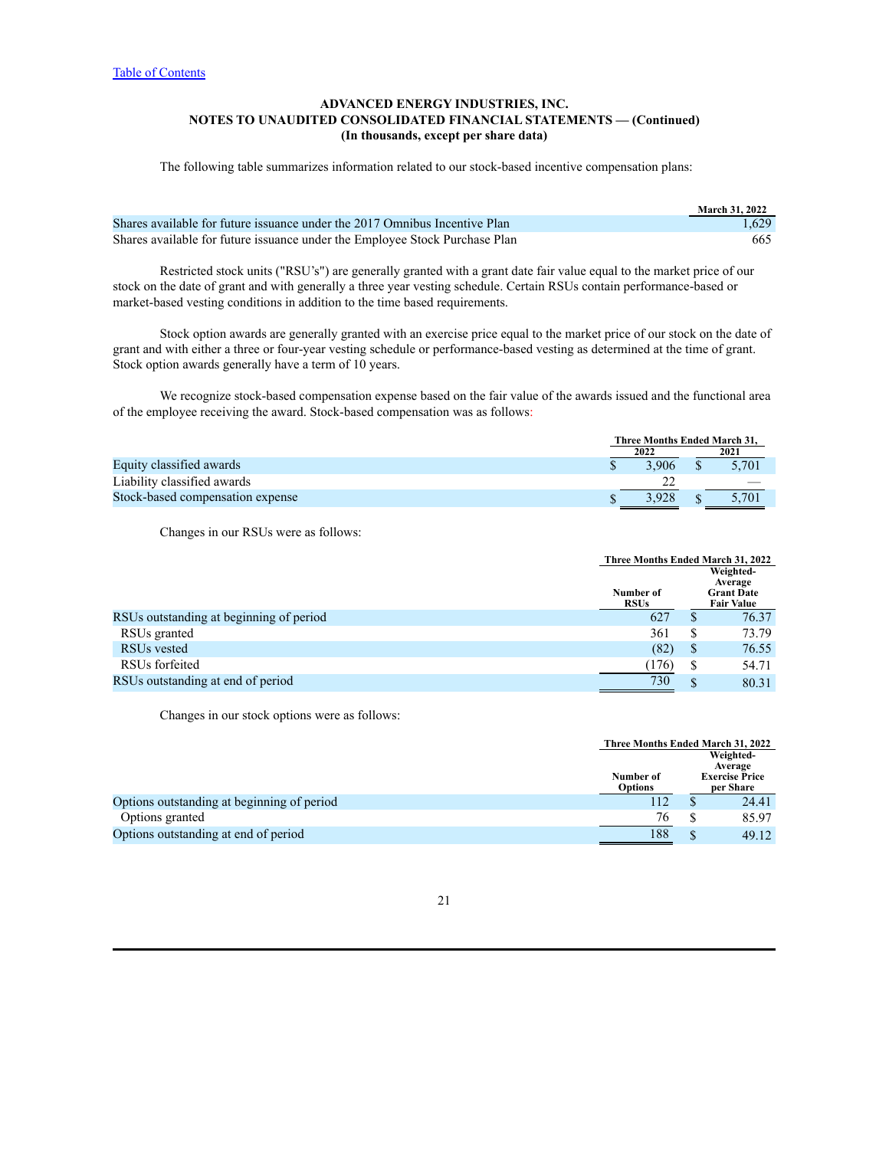The following table summarizes information related to our stock-based incentive compensation plans:

|                                                                             | <b>March 31, 2022</b> |
|-----------------------------------------------------------------------------|-----------------------|
| Shares available for future issuance under the 2017 Omnibus Incentive Plan  | 1,629                 |
| Shares available for future issuance under the Employee Stock Purchase Plan | 665                   |

Restricted stock units ("RSU's") are generally granted with a grant date fair value equal to the market price of our stock on the date of grant and with generally a three year vesting schedule. Certain RSUs contain performance-based or market-based vesting conditions in addition to the time based requirements.

Stock option awards are generally granted with an exercise price equal to the market price of our stock on the date of grant and with either a three or four-year vesting schedule or performance-based vesting as determined at the time of grant. Stock option awards generally have a term of 10 years.

We recognize stock-based compensation expense based on the fair value of the awards issued and the functional area of the employee receiving the award. Stock-based compensation was as follows:

|                                  |      | Three Months Ended March 31. |                 |  |
|----------------------------------|------|------------------------------|-----------------|--|
|                                  | 2022 |                              | 2021            |  |
| Equity classified awards         |      | 3.906                        | 5.701           |  |
| Liability classified awards      |      |                              |                 |  |
| Stock-based compensation expense |      | 3.928                        | 70 <sub>i</sub> |  |

Changes in our RSUs were as follows:

|                                         | Three Months Ended March 31, 2022 |    |                                                                |
|-----------------------------------------|-----------------------------------|----|----------------------------------------------------------------|
|                                         | Number of<br><b>RSUs</b>          |    | Weighted-<br>Average<br><b>Grant Date</b><br><b>Fair Value</b> |
| RSUs outstanding at beginning of period | 627                               | ۰D | 76.37                                                          |
| RSU <sub>s</sub> granted                | 361                               | S  | 73.79                                                          |
| RSU <sub>s</sub> vested                 | (82)                              | \$ | 76.55                                                          |
| RSUs forfeited                          | (176)                             | S  | 54.71                                                          |
| RSUs outstanding at end of period       | 730                               |    | 80.31                                                          |

Changes in our stock options were as follows:

|                                            |                             | Three Months Ended March 31, 2022 |                                               |  |
|--------------------------------------------|-----------------------------|-----------------------------------|-----------------------------------------------|--|
|                                            |                             |                                   | Weighted-                                     |  |
|                                            | Number of<br><b>Options</b> |                                   | Average<br><b>Exercise Price</b><br>per Share |  |
| Options outstanding at beginning of period | 112                         |                                   | 24.41                                         |  |
| Options granted                            | 76                          |                                   | 85.97                                         |  |
| Options outstanding at end of period       | 188                         | \$                                | 49.12                                         |  |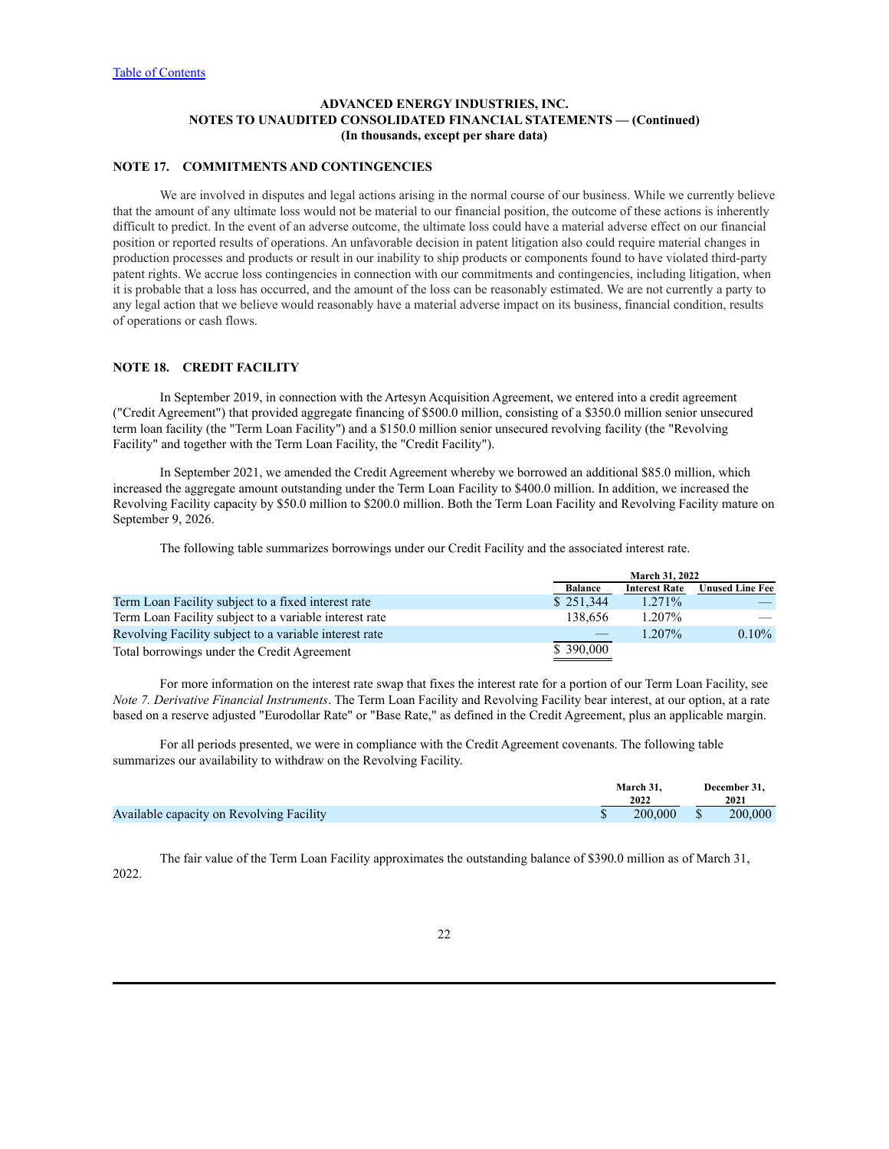### **NOTE 17. COMMITMENTS AND CONTINGENCIES**

We are involved in disputes and legal actions arising in the normal course of our business. While we currently believe that the amount of any ultimate loss would not be material to our financial position, the outcome of these actions is inherently difficult to predict. In the event of an adverse outcome, the ultimate loss could have a material adverse effect on our financial position or reported results of operations. An unfavorable decision in patent litigation also could require material changes in production processes and products or result in our inability to ship products or components found to have violated third-party patent rights. We accrue loss contingencies in connection with our commitments and contingencies, including litigation, when it is probable that a loss has occurred, and the amount of the loss can be reasonably estimated. We are not currently a party to any legal action that we believe would reasonably have a material adverse impact on its business, financial condition, results of operations or cash flows.

### **NOTE 18. CREDIT FACILITY**

In September 2019, in connection with the Artesyn Acquisition Agreement, we entered into a credit agreement ("Credit Agreement") that provided aggregate financing of \$500.0 million, consisting of a \$350.0 million senior unsecured term loan facility (the "Term Loan Facility") and a \$150.0 million senior unsecured revolving facility (the "Revolving Facility" and together with the Term Loan Facility, the "Credit Facility").

In September 2021, we amended the Credit Agreement whereby we borrowed an additional \$85.0 million, which increased the aggregate amount outstanding under the Term Loan Facility to \$400.0 million. In addition, we increased the Revolving Facility capacity by \$50.0 million to \$200.0 million. Both the Term Loan Facility and Revolving Facility mature on September 9, 2026.

The following table summarizes borrowings under our Credit Facility and the associated interest rate.

|                                                        |                | <b>March 31, 2022</b> |                        |  |
|--------------------------------------------------------|----------------|-----------------------|------------------------|--|
|                                                        | <b>Balance</b> | <b>Interest Rate</b>  | <b>Unused Line Fee</b> |  |
| Term Loan Facility subject to a fixed interest rate    | \$251.344      | $1.271\%$             |                        |  |
| Term Loan Facility subject to a variable interest rate | 138.656        | 1.207%                |                        |  |
| Revolving Facility subject to a variable interest rate |                | 1.207%                | $0.10\%$               |  |
| Total borrowings under the Credit Agreement            | \$ 390,000     |                       |                        |  |

For more information on the interest rate swap that fixes the interest rate for a portion of our Term Loan Facility, see *Note 7. Derivative Financial Instruments*. The Term Loan Facility and Revolving Facility bear interest, at our option, at a rate based on a reserve adjusted "Eurodollar Rate" or "Base Rate," as defined in the Credit Agreement, plus an applicable margin.

For all periods presented, we were in compliance with the Credit Agreement covenants. The following table summarizes our availability to withdraw on the Revolving Facility.

|                                          | March 31. |          | December 31. |
|------------------------------------------|-----------|----------|--------------|
|                                          | 2022      |          | 2021         |
| Available capacity on Revolving Facility | 200,000   | $\sim$ S | 200,000      |

The fair value of the Term Loan Facility approximates the outstanding balance of \$390.0 million as of March 31, 2022.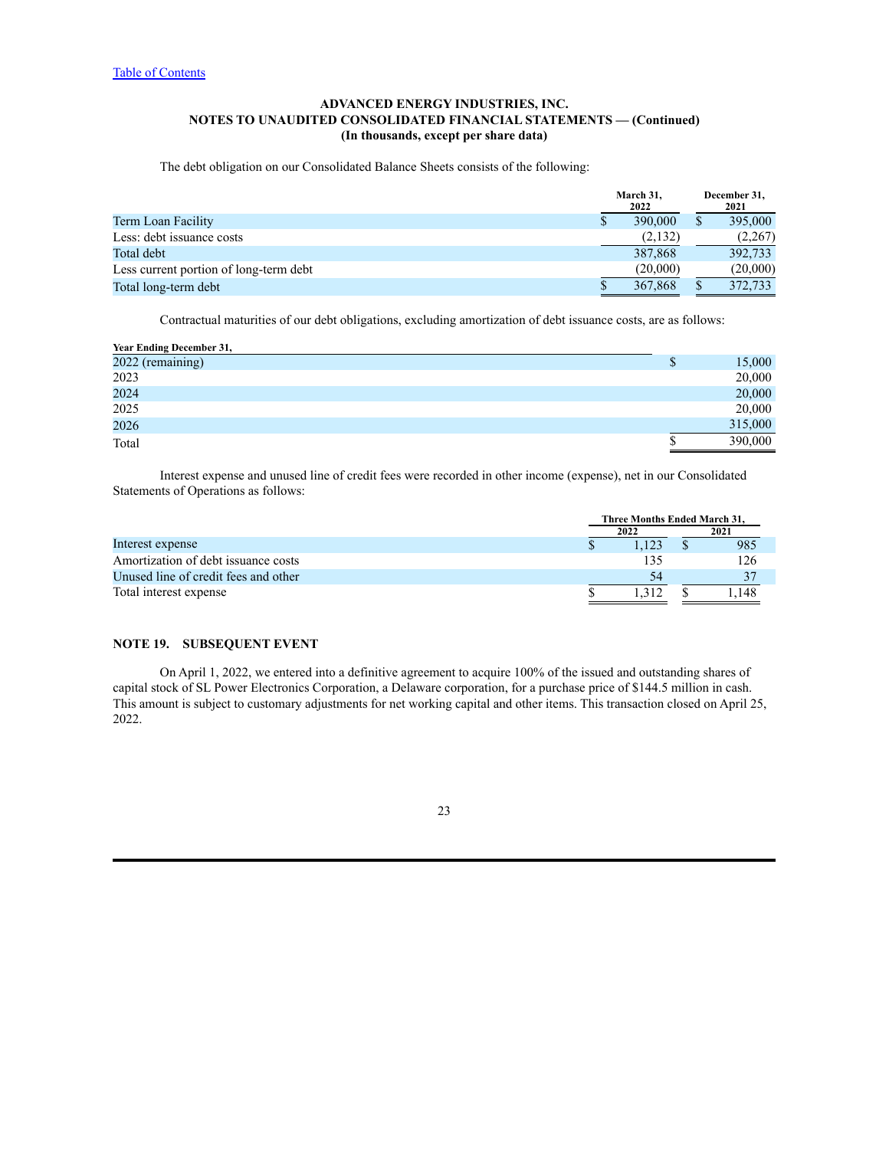The debt obligation on our Consolidated Balance Sheets consists of the following:

|                                        | March 31.<br>2022 | December 31.<br>2021 |
|----------------------------------------|-------------------|----------------------|
| Term Loan Facility                     | 390,000           | 395,000              |
| Less: debt issuance costs              | (2,132)           | (2,267)              |
| Total debt                             | 387,868           | 392.733              |
| Less current portion of long-term debt | (20.000)          | (20,000)             |
| Total long-term debt                   | 367,868           | 372.733              |

Contractual maturities of our debt obligations, excluding amortization of debt issuance costs, are as follows:

| <b>Year Ending December 31,</b> |         |
|---------------------------------|---------|
| 2022 (remaining)                | 15,000  |
| 2023                            | 20,000  |
| 2024                            | 20,000  |
| 2025                            | 20,000  |
| 2026                            | 315,000 |
| Total                           | 390,000 |

Interest expense and unused line of credit fees were recorded in other income (expense), net in our Consolidated Statements of Operations as follows:

|                                      | Three Months Ended March 31. |  |      |
|--------------------------------------|------------------------------|--|------|
|                                      | 2022                         |  | 2021 |
| Interest expense                     |                              |  | 985  |
| Amortization of debt issuance costs  |                              |  | 126  |
| Unused line of credit fees and other | 54                           |  |      |
| Total interest expense               |                              |  | .148 |

# **NOTE 19. SUBSEQUENT EVENT**

On April 1, 2022, we entered into a definitive agreement to acquire 100% of the issued and outstanding shares of capital stock of SL Power Electronics Corporation, a Delaware corporation, for a purchase price of \$144.5 million in cash. This amount is subject to customary adjustments for net working capital and other items. This transaction closed on April 25, 2022.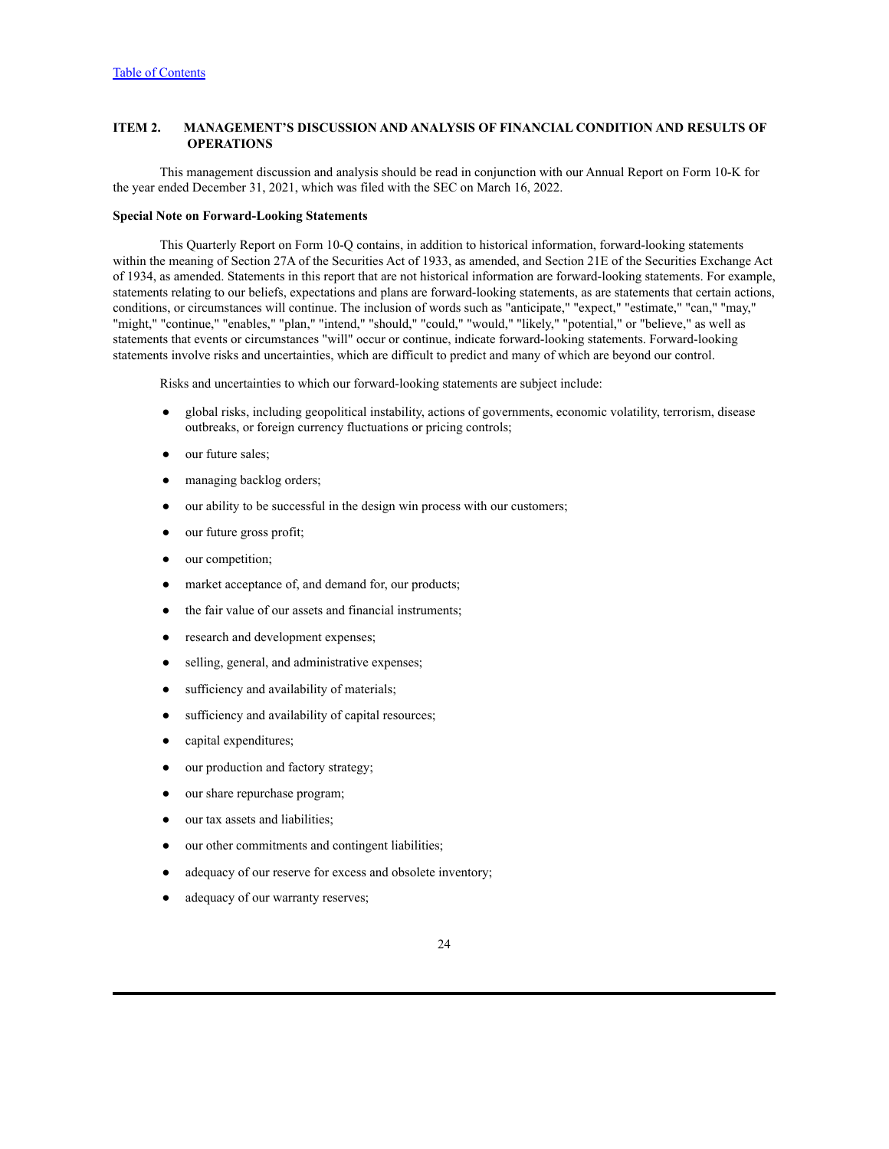## <span id="page-23-0"></span>**ITEM 2. MANAGEMENT'S DISCUSSION AND ANALYSIS OF FINANCIAL CONDITION AND RESULTS OF OPERATIONS**

This management discussion and analysis should be read in conjunction with our Annual Report on Form 10-K for the year ended December 31, 2021, which was filed with the SEC on March 16, 2022.

#### **Special Note on Forward-Looking Statements**

This Quarterly Report on Form 10-Q contains, in addition to historical information, forward-looking statements within the meaning of Section 27A of the Securities Act of 1933, as amended, and Section 21E of the Securities Exchange Act of 1934, as amended. Statements in this report that are not historical information are forward-looking statements. For example, statements relating to our beliefs, expectations and plans are forward-looking statements, as are statements that certain actions, conditions, or circumstances will continue. The inclusion of words such as "anticipate," "expect," "estimate," "can," "may," "might," "continue," "enables," "plan," "intend," "should," "could," "would," "likely," "potential," or "believe," as well as statements that events or circumstances "will" occur or continue, indicate forward-looking statements. Forward-looking statements involve risks and uncertainties, which are difficult to predict and many of which are beyond our control.

Risks and uncertainties to which our forward-looking statements are subject include:

- global risks, including geopolitical instability, actions of governments, economic volatility, terrorism, disease outbreaks, or foreign currency fluctuations or pricing controls;
- our future sales;
- managing backlog orders;
- our ability to be successful in the design win process with our customers;
- our future gross profit;
- our competition;
- market acceptance of, and demand for, our products;
- the fair value of our assets and financial instruments;
- research and development expenses;
- selling, general, and administrative expenses;
- sufficiency and availability of materials;
- sufficiency and availability of capital resources;
- capital expenditures;
- our production and factory strategy;
- our share repurchase program;
- our tax assets and liabilities;
- our other commitments and contingent liabilities;
- adequacy of our reserve for excess and obsolete inventory;
- adequacy of our warranty reserves;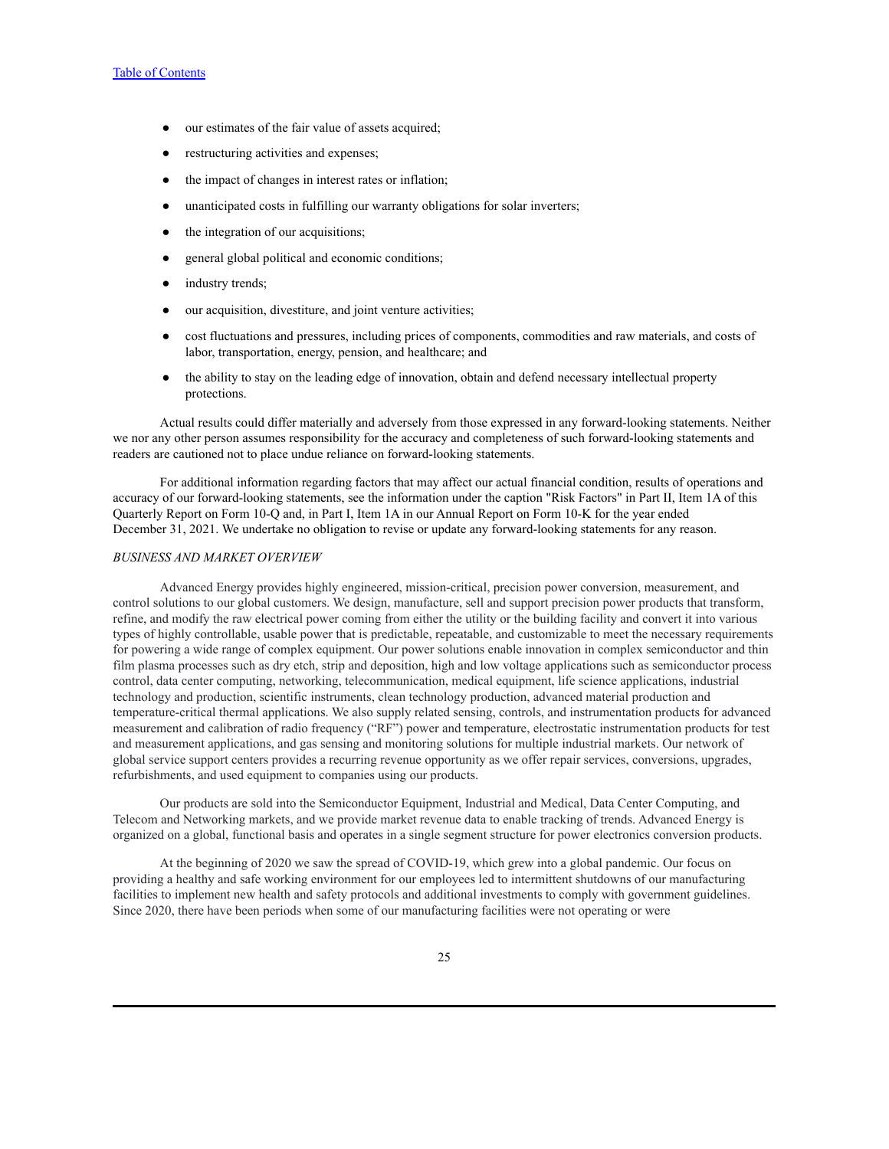- our estimates of the fair value of assets acquired;
- restructuring activities and expenses;
- the impact of changes in interest rates or inflation;
- unanticipated costs in fulfilling our warranty obligations for solar inverters;
- the integration of our acquisitions;
- general global political and economic conditions;
- industry trends;
- our acquisition, divestiture, and joint venture activities;
- cost fluctuations and pressures, including prices of components, commodities and raw materials, and costs of labor, transportation, energy, pension, and healthcare; and
- the ability to stay on the leading edge of innovation, obtain and defend necessary intellectual property protections.

Actual results could differ materially and adversely from those expressed in any forward-looking statements. Neither we nor any other person assumes responsibility for the accuracy and completeness of such forward-looking statements and readers are cautioned not to place undue reliance on forward-looking statements.

For additional information regarding factors that may affect our actual financial condition, results of operations and accuracy of our forward-looking statements, see the information under the caption "Risk Factors" in Part II, Item 1A of this Quarterly Report on Form 10-Q and, in Part I, Item 1A in our Annual Report on Form 10-K for the year ended December 31, 2021. We undertake no obligation to revise or update any forward-looking statements for any reason.

#### *BUSINESS AND MARKET OVERVIEW*

Advanced Energy provides highly engineered, mission-critical, precision power conversion, measurement, and control solutions to our global customers. We design, manufacture, sell and support precision power products that transform, refine, and modify the raw electrical power coming from either the utility or the building facility and convert it into various types of highly controllable, usable power that is predictable, repeatable, and customizable to meet the necessary requirements for powering a wide range of complex equipment. Our power solutions enable innovation in complex semiconductor and thin film plasma processes such as dry etch, strip and deposition, high and low voltage applications such as semiconductor process control, data center computing, networking, telecommunication, medical equipment, life science applications, industrial technology and production, scientific instruments, clean technology production, advanced material production and temperature-critical thermal applications. We also supply related sensing, controls, and instrumentation products for advanced measurement and calibration of radio frequency ("RF") power and temperature, electrostatic instrumentation products for test and measurement applications, and gas sensing and monitoring solutions for multiple industrial markets. Our network of global service support centers provides a recurring revenue opportunity as we offer repair services, conversions, upgrades, refurbishments, and used equipment to companies using our products.

Our products are sold into the Semiconductor Equipment, Industrial and Medical, Data Center Computing, and Telecom and Networking markets, and we provide market revenue data to enable tracking of trends. Advanced Energy is organized on a global, functional basis and operates in a single segment structure for power electronics conversion products.

At the beginning of 2020 we saw the spread of COVID-19, which grew into a global pandemic. Our focus on providing a healthy and safe working environment for our employees led to intermittent shutdowns of our manufacturing facilities to implement new health and safety protocols and additional investments to comply with government guidelines. Since 2020, there have been periods when some of our manufacturing facilities were not operating or were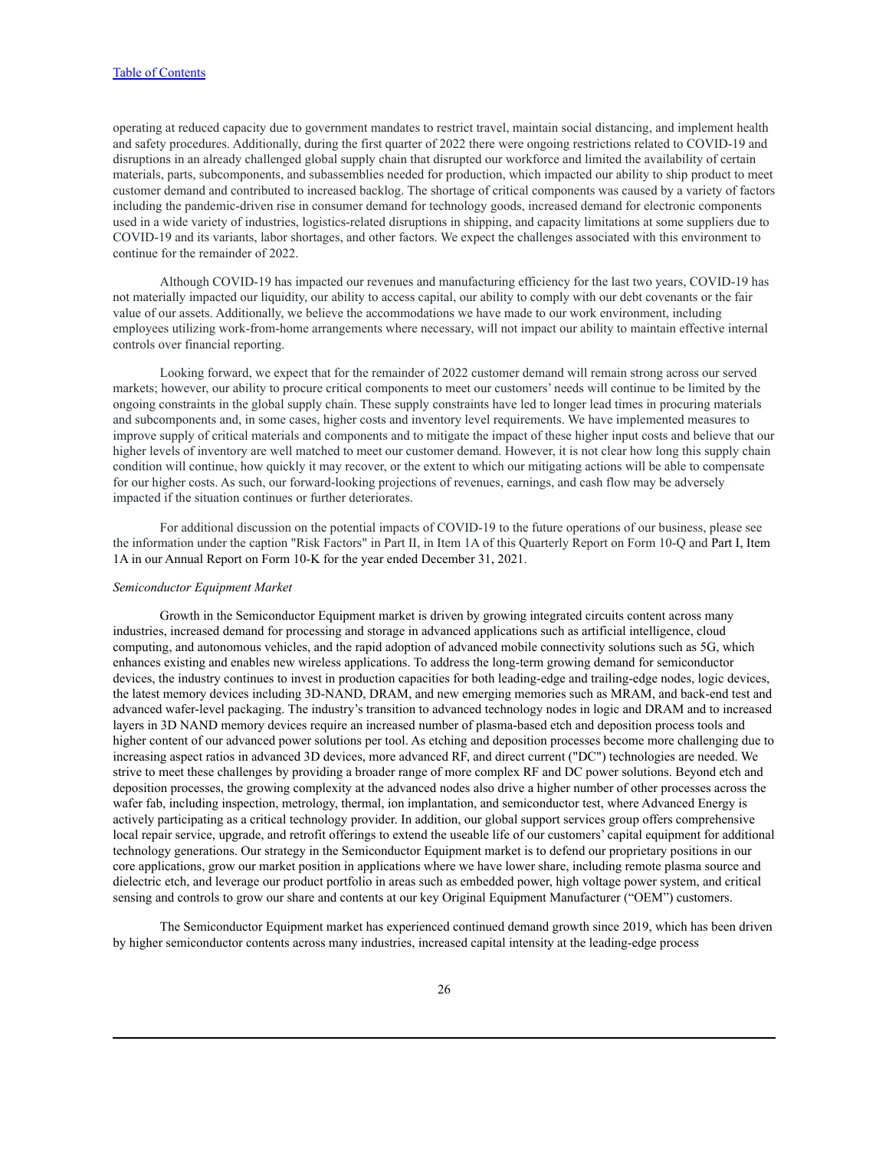operating at reduced capacity due to government mandates to restrict travel, maintain social distancing, and implement health and safety procedures. Additionally, during the first quarter of 2022 there were ongoing restrictions related to COVID-19 and disruptions in an already challenged global supply chain that disrupted our workforce and limited the availability of certain materials, parts, subcomponents, and subassemblies needed for production, which impacted our ability to ship product to meet customer demand and contributed to increased backlog. The shortage of critical components was caused by a variety of factors including the pandemic-driven rise in consumer demand for technology goods, increased demand for electronic components used in a wide variety of industries, logistics-related disruptions in shipping, and capacity limitations at some suppliers due to COVID-19 and its variants, labor shortages, and other factors. We expect the challenges associated with this environment to continue for the remainder of 2022.

Although COVID-19 has impacted our revenues and manufacturing efficiency for the last two years, COVID-19 has not materially impacted our liquidity, our ability to access capital, our ability to comply with our debt covenants or the fair value of our assets. Additionally, we believe the accommodations we have made to our work environment, including employees utilizing work-from-home arrangements where necessary, will not impact our ability to maintain effective internal controls over financial reporting.

Looking forward, we expect that for the remainder of 2022 customer demand will remain strong across our served markets; however, our ability to procure critical components to meet our customers' needs will continue to be limited by the ongoing constraints in the global supply chain. These supply constraints have led to longer lead times in procuring materials and subcomponents and, in some cases, higher costs and inventory level requirements. We have implemented measures to improve supply of critical materials and components and to mitigate the impact of these higher input costs and believe that our higher levels of inventory are well matched to meet our customer demand. However, it is not clear how long this supply chain condition will continue, how quickly it may recover, or the extent to which our mitigating actions will be able to compensate for our higher costs. As such, our forward-looking projections of revenues, earnings, and cash flow may be adversely impacted if the situation continues or further deteriorates.

For additional discussion on the potential impacts of COVID-19 to the future operations of our business, please see the information under the caption "Risk Factors" in Part II, in Item 1A of this Quarterly Report on Form 10-Q and Part I, Item 1A in our Annual Report on Form 10-K for the year ended December 31, 2021.

#### *Semiconductor Equipment Market*

Growth in the Semiconductor Equipment market is driven by growing integrated circuits content across many industries, increased demand for processing and storage in advanced applications such as artificial intelligence, cloud computing, and autonomous vehicles, and the rapid adoption of advanced mobile connectivity solutions such as 5G, which enhances existing and enables new wireless applications. To address the long-term growing demand for semiconductor devices, the industry continues to invest in production capacities for both leading-edge and trailing-edge nodes, logic devices, the latest memory devices including 3D-NAND, DRAM, and new emerging memories such as MRAM, and back-end test and advanced wafer-level packaging. The industry's transition to advanced technology nodes in logic and DRAM and to increased layers in 3D NAND memory devices require an increased number of plasma-based etch and deposition process tools and higher content of our advanced power solutions per tool. As etching and deposition processes become more challenging due to increasing aspect ratios in advanced 3D devices, more advanced RF, and direct current ("DC") technologies are needed. We strive to meet these challenges by providing a broader range of more complex RF and DC power solutions. Beyond etch and deposition processes, the growing complexity at the advanced nodes also drive a higher number of other processes across the wafer fab, including inspection, metrology, thermal, ion implantation, and semiconductor test, where Advanced Energy is actively participating as a critical technology provider. In addition, our global support services group offers comprehensive local repair service, upgrade, and retrofit offerings to extend the useable life of our customers' capital equipment for additional technology generations. Our strategy in the Semiconductor Equipment market is to defend our proprietary positions in our core applications, grow our market position in applications where we have lower share, including remote plasma source and dielectric etch, and leverage our product portfolio in areas such as embedded power, high voltage power system, and critical sensing and controls to grow our share and contents at our key Original Equipment Manufacturer ("OEM") customers.

The Semiconductor Equipment market has experienced continued demand growth since 2019, which has been driven by higher semiconductor contents across many industries, increased capital intensity at the leading-edge process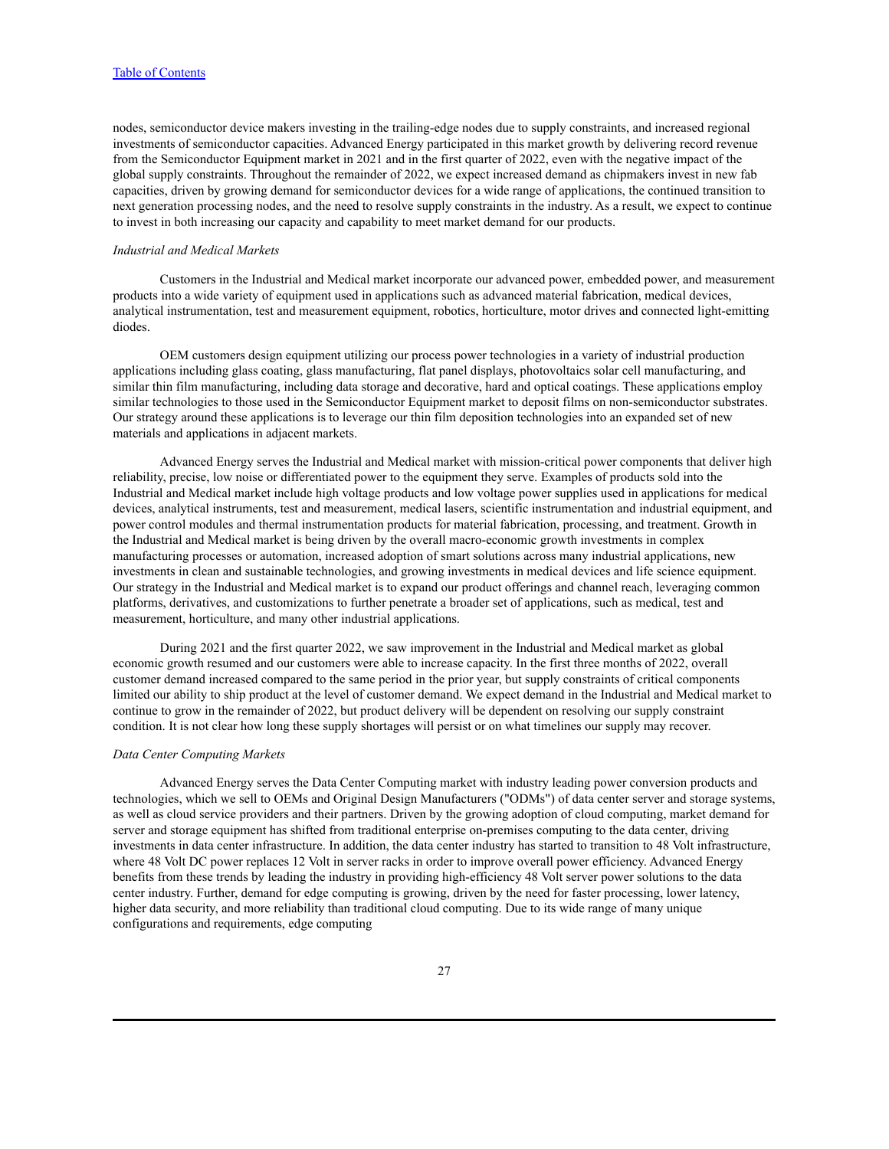nodes, semiconductor device makers investing in the trailing-edge nodes due to supply constraints, and increased regional investments of semiconductor capacities. Advanced Energy participated in this market growth by delivering record revenue from the Semiconductor Equipment market in 2021 and in the first quarter of 2022, even with the negative impact of the global supply constraints. Throughout the remainder of 2022, we expect increased demand as chipmakers invest in new fab capacities, driven by growing demand for semiconductor devices for a wide range of applications, the continued transition to next generation processing nodes, and the need to resolve supply constraints in the industry. As a result, we expect to continue to invest in both increasing our capacity and capability to meet market demand for our products.

#### *Industrial and Medical Markets*

Customers in the Industrial and Medical market incorporate our advanced power, embedded power, and measurement products into a wide variety of equipment used in applications such as advanced material fabrication, medical devices, analytical instrumentation, test and measurement equipment, robotics, horticulture, motor drives and connected light-emitting diodes.

OEM customers design equipment utilizing our process power technologies in a variety of industrial production applications including glass coating, glass manufacturing, flat panel displays, photovoltaics solar cell manufacturing, and similar thin film manufacturing, including data storage and decorative, hard and optical coatings. These applications employ similar technologies to those used in the Semiconductor Equipment market to deposit films on non-semiconductor substrates. Our strategy around these applications is to leverage our thin film deposition technologies into an expanded set of new materials and applications in adjacent markets.

Advanced Energy serves the Industrial and Medical market with mission-critical power components that deliver high reliability, precise, low noise or differentiated power to the equipment they serve. Examples of products sold into the Industrial and Medical market include high voltage products and low voltage power supplies used in applications for medical devices, analytical instruments, test and measurement, medical lasers, scientific instrumentation and industrial equipment, and power control modules and thermal instrumentation products for material fabrication, processing, and treatment. Growth in the Industrial and Medical market is being driven by the overall macro-economic growth investments in complex manufacturing processes or automation, increased adoption of smart solutions across many industrial applications, new investments in clean and sustainable technologies, and growing investments in medical devices and life science equipment. Our strategy in the Industrial and Medical market is to expand our product offerings and channel reach, leveraging common platforms, derivatives, and customizations to further penetrate a broader set of applications, such as medical, test and measurement, horticulture, and many other industrial applications.

During 2021 and the first quarter 2022, we saw improvement in the Industrial and Medical market as global economic growth resumed and our customers were able to increase capacity. In the first three months of 2022, overall customer demand increased compared to the same period in the prior year, but supply constraints of critical components limited our ability to ship product at the level of customer demand. We expect demand in the Industrial and Medical market to continue to grow in the remainder of 2022, but product delivery will be dependent on resolving our supply constraint condition. It is not clear how long these supply shortages will persist or on what timelines our supply may recover.

#### *Data Center Computing Markets*

Advanced Energy serves the Data Center Computing market with industry leading power conversion products and technologies, which we sell to OEMs and Original Design Manufacturers ("ODMs") of data center server and storage systems, as well as cloud service providers and their partners. Driven by the growing adoption of cloud computing, market demand for server and storage equipment has shifted from traditional enterprise on-premises computing to the data center, driving investments in data center infrastructure. In addition, the data center industry has started to transition to 48 Volt infrastructure, where 48 Volt DC power replaces 12 Volt in server racks in order to improve overall power efficiency. Advanced Energy benefits from these trends by leading the industry in providing high-efficiency 48 Volt server power solutions to the data center industry. Further, demand for edge computing is growing, driven by the need for faster processing, lower latency, higher data security, and more reliability than traditional cloud computing. Due to its wide range of many unique configurations and requirements, edge computing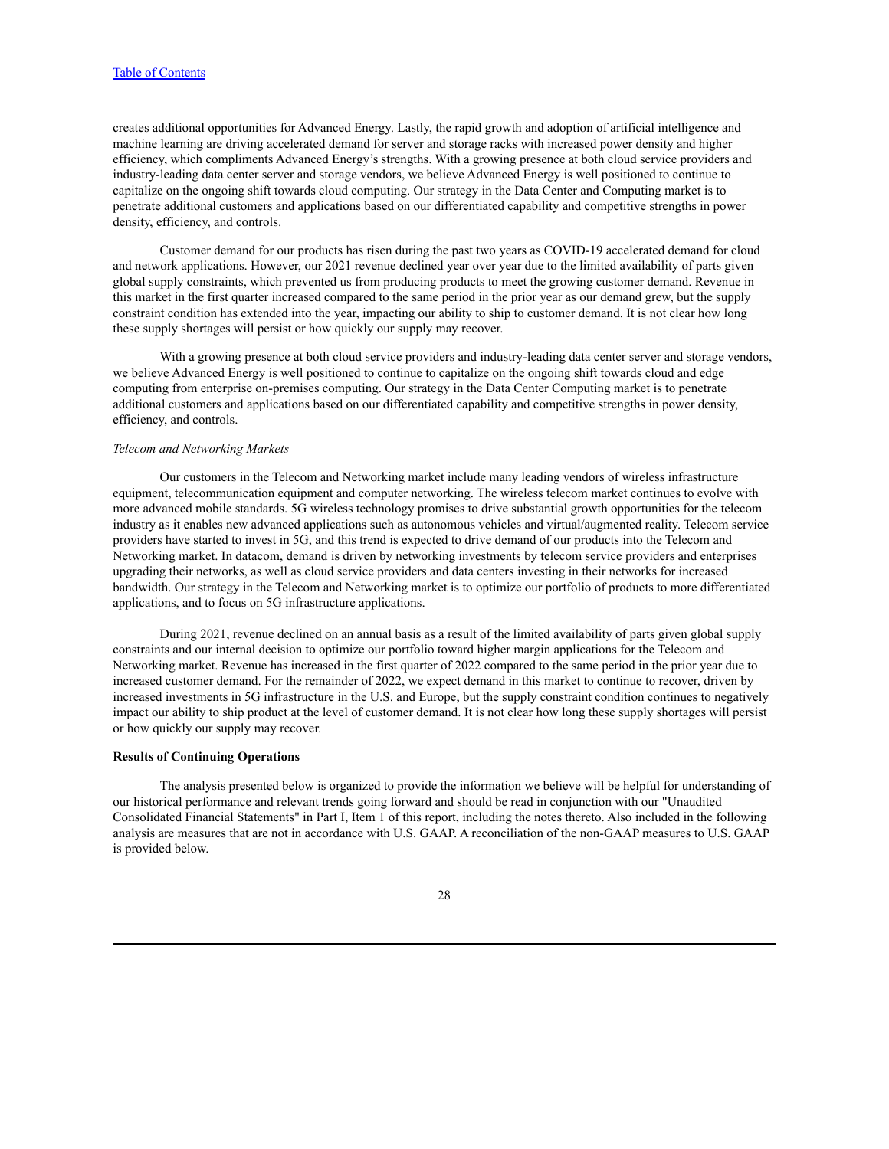creates additional opportunities for Advanced Energy. Lastly, the rapid growth and adoption of artificial intelligence and machine learning are driving accelerated demand for server and storage racks with increased power density and higher efficiency, which compliments Advanced Energy's strengths. With a growing presence at both cloud service providers and industry-leading data center server and storage vendors, we believe Advanced Energy is well positioned to continue to capitalize on the ongoing shift towards cloud computing. Our strategy in the Data Center and Computing market is to penetrate additional customers and applications based on our differentiated capability and competitive strengths in power density, efficiency, and controls.

Customer demand for our products has risen during the past two years as COVID-19 accelerated demand for cloud and network applications. However, our 2021 revenue declined year over year due to the limited availability of parts given global supply constraints, which prevented us from producing products to meet the growing customer demand. Revenue in this market in the first quarter increased compared to the same period in the prior year as our demand grew, but the supply constraint condition has extended into the year, impacting our ability to ship to customer demand. It is not clear how long these supply shortages will persist or how quickly our supply may recover.

With a growing presence at both cloud service providers and industry-leading data center server and storage vendors, we believe Advanced Energy is well positioned to continue to capitalize on the ongoing shift towards cloud and edge computing from enterprise on-premises computing. Our strategy in the Data Center Computing market is to penetrate additional customers and applications based on our differentiated capability and competitive strengths in power density, efficiency, and controls.

#### *Telecom and Networking Markets*

Our customers in the Telecom and Networking market include many leading vendors of wireless infrastructure equipment, telecommunication equipment and computer networking. The wireless telecom market continues to evolve with more advanced mobile standards. 5G wireless technology promises to drive substantial growth opportunities for the telecom industry as it enables new advanced applications such as autonomous vehicles and virtual/augmented reality. Telecom service providers have started to invest in 5G, and this trend is expected to drive demand of our products into the Telecom and Networking market. In datacom, demand is driven by networking investments by telecom service providers and enterprises upgrading their networks, as well as cloud service providers and data centers investing in their networks for increased bandwidth. Our strategy in the Telecom and Networking market is to optimize our portfolio of products to more differentiated applications, and to focus on 5G infrastructure applications.

During 2021, revenue declined on an annual basis as a result of the limited availability of parts given global supply constraints and our internal decision to optimize our portfolio toward higher margin applications for the Telecom and Networking market. Revenue has increased in the first quarter of 2022 compared to the same period in the prior year due to increased customer demand. For the remainder of 2022, we expect demand in this market to continue to recover, driven by increased investments in 5G infrastructure in the U.S. and Europe, but the supply constraint condition continues to negatively impact our ability to ship product at the level of customer demand. It is not clear how long these supply shortages will persist or how quickly our supply may recover.

#### **Results of Continuing Operations**

The analysis presented below is organized to provide the information we believe will be helpful for understanding of our historical performance and relevant trends going forward and should be read in conjunction with our "Unaudited Consolidated Financial Statements" in Part I, Item 1 of this report, including the notes thereto. Also included in the following analysis are measures that are not in accordance with U.S. GAAP. A reconciliation of the non-GAAP measures to U.S. GAAP is provided below.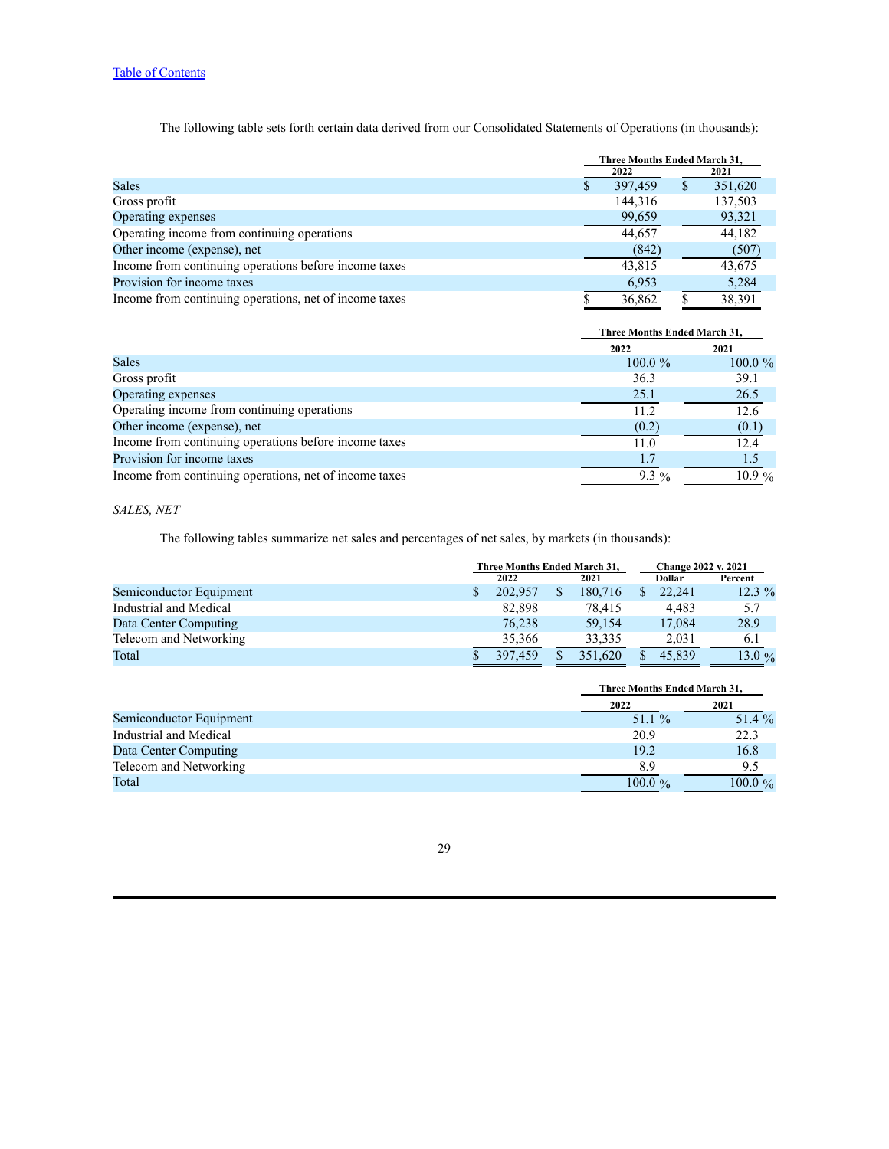The following table sets forth certain data derived from our Consolidated Statements of Operations (in thousands):

|                                                        | Three Months Ended March 31, |         |  |         |
|--------------------------------------------------------|------------------------------|---------|--|---------|
|                                                        | 2022                         |         |  | 2021    |
| <b>Sales</b>                                           |                              | 397,459 |  | 351,620 |
| Gross profit                                           |                              | 144,316 |  | 137,503 |
| Operating expenses                                     |                              | 99,659  |  | 93,321  |
| Operating income from continuing operations            |                              | 44.657  |  | 44,182  |
| Other income (expense), net                            |                              | (842)   |  | (507)   |
| Income from continuing operations before income taxes  |                              | 43,815  |  | 43,675  |
| Provision for income taxes                             |                              | 6,953   |  | 5,284   |
| Income from continuing operations, net of income taxes |                              | 36,862  |  | 38,391  |

|                                                        | Three Months Ended March 31, |                    |  |
|--------------------------------------------------------|------------------------------|--------------------|--|
|                                                        | 2022                         | 2021               |  |
| <b>Sales</b>                                           | $100.0 \%$                   | $100.0 \%$         |  |
| Gross profit                                           | 36.3                         | 39.1               |  |
| Operating expenses                                     | 25.1                         | 26.5               |  |
| Operating income from continuing operations            | 112                          | 12.6               |  |
| Other income (expense), net                            | (0.2)                        | (0.1)              |  |
| Income from continuing operations before income taxes  | 11.0                         | 12.4               |  |
| Provision for income taxes                             | 1.7                          | 1.5                |  |
| Income from continuing operations, net of income taxes | 9.3 $\frac{0}{6}$            | 10.9 $\frac{9}{6}$ |  |

# *SALES, NET*

The following tables summarize net sales and percentages of net sales, by markets (in thousands):

|                         | Three Months Ended March 31. |  |         | Change 2022 v. 2021 |                    |
|-------------------------|------------------------------|--|---------|---------------------|--------------------|
|                         | 2022                         |  | 2021    | Dollar              | Percent            |
| Semiconductor Equipment | 202,957                      |  | 180.716 | 22.241              | $12.3\%$           |
| Industrial and Medical  | 82.898                       |  | 78.415  | 4.483               | 5.7                |
| Data Center Computing   | 76,238                       |  | 59.154  | 17.084              | 28.9               |
| Telecom and Networking  | 35.366                       |  | 33.335  | 2.031               | 6.1                |
| Total                   | 397.459                      |  | 351.620 | 45.839              | 13.0 $\frac{9}{6}$ |

|                         | Three Months Ended March 31, |            |
|-------------------------|------------------------------|------------|
|                         | 2022                         | 2021       |
| Semiconductor Equipment | 51.1 %                       | 51.4 %     |
| Industrial and Medical  | 20.9                         | 22.3       |
| Data Center Computing   | 19.2                         | 16.8       |
| Telecom and Networking  | 8.9                          | 9.5        |
| Total                   | $100.0 \%$                   | $100.0 \%$ |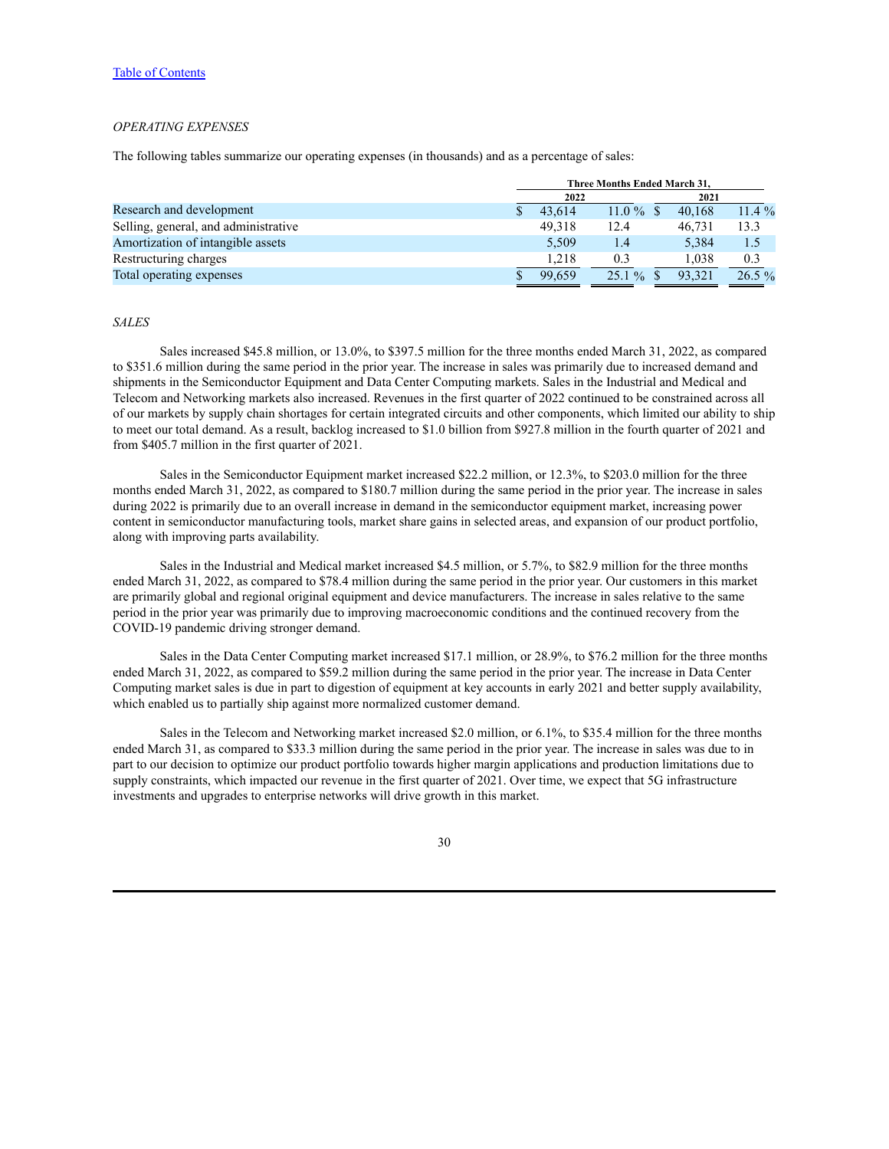#### *OPERATING EXPENSES*

The following tables summarize our operating expenses (in thousands) and as a percentage of sales:

|                                      | Three Months Ended March 31, |        |             |        |          |  |
|--------------------------------------|------------------------------|--------|-------------|--------|----------|--|
|                                      |                              | 2022   |             | 2021   |          |  |
| Research and development             |                              | 43.614 | $11.0\%$ \$ | 40.168 | 11.4%    |  |
| Selling, general, and administrative |                              | 49.318 | 12.4        | 46.731 | 13.3     |  |
| Amortization of intangible assets    |                              | 5.509  | 1.4         | 5,384  | 1.5      |  |
| Restructuring charges                |                              | 1.218  | 0.3         | 1.038  | 0.3      |  |
| Total operating expenses             |                              | 99.659 | $25.1\%$    | 93.321 | $26.5\%$ |  |

### *SALES*

Sales increased \$45.8 million, or 13.0%, to \$397.5 million for the three months ended March 31, 2022, as compared to \$351.6 million during the same period in the prior year. The increase in sales was primarily due to increased demand and shipments in the Semiconductor Equipment and Data Center Computing markets. Sales in the Industrial and Medical and Telecom and Networking markets also increased. Revenues in the first quarter of 2022 continued to be constrained across all of our markets by supply chain shortages for certain integrated circuits and other components, which limited our ability to ship to meet our total demand. As a result, backlog increased to \$1.0 billion from \$927.8 million in the fourth quarter of 2021 and from \$405.7 million in the first quarter of 2021.

Sales in the Semiconductor Equipment market increased \$22.2 million, or 12.3%, to \$203.0 million for the three months ended March 31, 2022, as compared to \$180.7 million during the same period in the prior year. The increase in sales during 2022 is primarily due to an overall increase in demand in the semiconductor equipment market, increasing power content in semiconductor manufacturing tools, market share gains in selected areas, and expansion of our product portfolio, along with improving parts availability.

Sales in the Industrial and Medical market increased \$4.5 million, or 5.7%, to \$82.9 million for the three months ended March 31, 2022, as compared to \$78.4 million during the same period in the prior year. Our customers in this market are primarily global and regional original equipment and device manufacturers. The increase in sales relative to the same period in the prior year was primarily due to improving macroeconomic conditions and the continued recovery from the COVID-19 pandemic driving stronger demand.

Sales in the Data Center Computing market increased \$17.1 million, or 28.9%, to \$76.2 million for the three months ended March 31, 2022, as compared to \$59.2 million during the same period in the prior year. The increase in Data Center Computing market sales is due in part to digestion of equipment at key accounts in early 2021 and better supply availability, which enabled us to partially ship against more normalized customer demand.

Sales in the Telecom and Networking market increased \$2.0 million, or 6.1%, to \$35.4 million for the three months ended March 31, as compared to \$33.3 million during the same period in the prior year. The increase in sales was due to in part to our decision to optimize our product portfolio towards higher margin applications and production limitations due to supply constraints, which impacted our revenue in the first quarter of 2021. Over time, we expect that 5G infrastructure investments and upgrades to enterprise networks will drive growth in this market.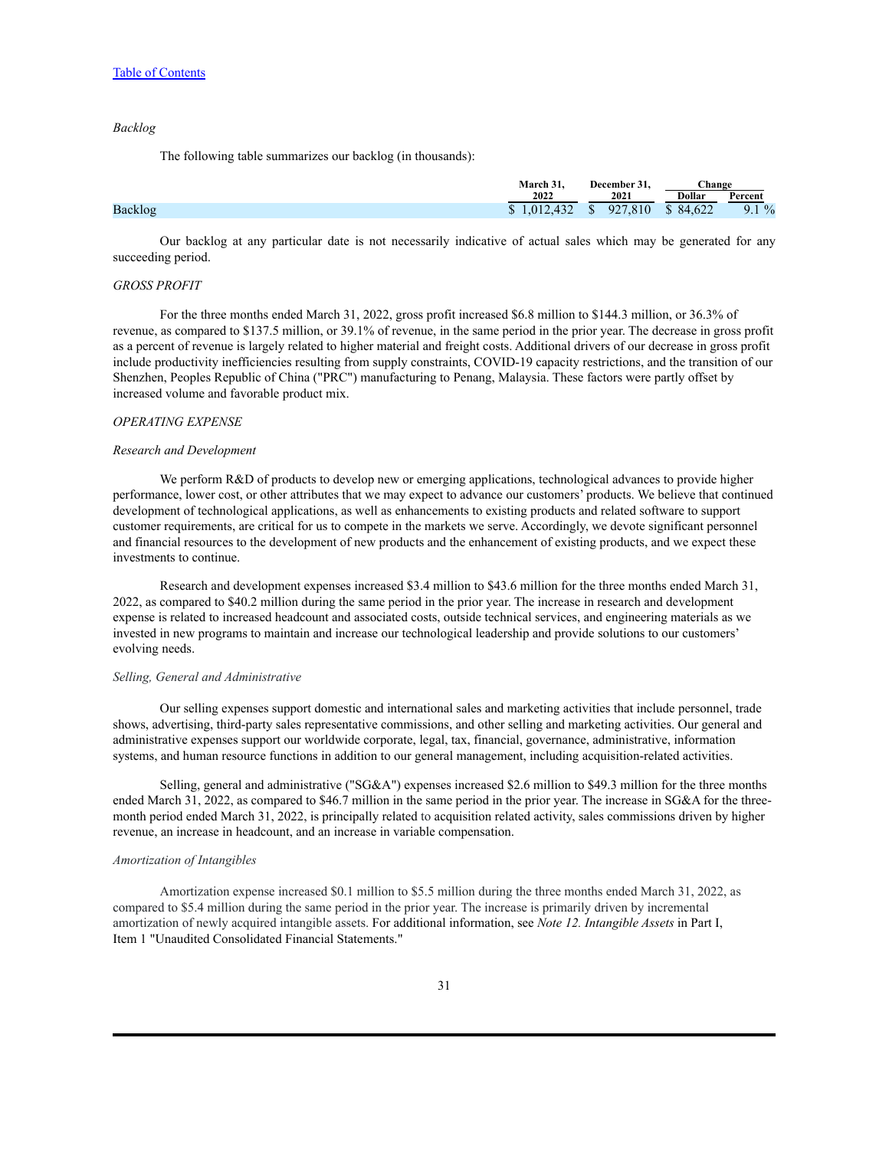#### *Backlog*

The following table summarizes our backlog (in thousands):

|         | March 31.                                 | December 31. | Change        |         |
|---------|-------------------------------------------|--------------|---------------|---------|
|         | 2022                                      | 2021         | <b>Dollar</b> | Percent |
| Backlog | $$1,012,432$ $$927,810$ $$84,622$ $9.1\%$ |              |               |         |

Our backlog at any particular date is not necessarily indicative of actual sales which may be generated for any succeeding period.

#### *GROSS PROFIT*

For the three months ended March 31, 2022, gross profit increased \$6.8 million to \$144.3 million, or 36.3% of revenue, as compared to \$137.5 million, or 39.1% of revenue, in the same period in the prior year. The decrease in gross profit as a percent of revenue is largely related to higher material and freight costs. Additional drivers of our decrease in gross profit include productivity inefficiencies resulting from supply constraints, COVID-19 capacity restrictions, and the transition of our Shenzhen, Peoples Republic of China ("PRC") manufacturing to Penang, Malaysia. These factors were partly offset by increased volume and favorable product mix.

#### *OPERATING EXPENSE*

#### *Research and Development*

We perform R&D of products to develop new or emerging applications, technological advances to provide higher performance, lower cost, or other attributes that we may expect to advance our customers' products. We believe that continued development of technological applications, as well as enhancements to existing products and related software to support customer requirements, are critical for us to compete in the markets we serve. Accordingly, we devote significant personnel and financial resources to the development of new products and the enhancement of existing products, and we expect these investments to continue.

Research and development expenses increased \$3.4 million to \$43.6 million for the three months ended March 31, 2022, as compared to \$40.2 million during the same period in the prior year. The increase in research and development expense is related to increased headcount and associated costs, outside technical services, and engineering materials as we invested in new programs to maintain and increase our technological leadership and provide solutions to our customers' evolving needs.

#### *Selling, General and Administrative*

Our selling expenses support domestic and international sales and marketing activities that include personnel, trade shows, advertising, third-party sales representative commissions, and other selling and marketing activities. Our general and administrative expenses support our worldwide corporate, legal, tax, financial, governance, administrative, information systems, and human resource functions in addition to our general management, including acquisition-related activities.

Selling, general and administrative ("SG&A") expenses increased \$2.6 million to \$49.3 million for the three months ended March 31, 2022, as compared to \$46.7 million in the same period in the prior year. The increase in SG&A for the threemonth period ended March 31, 2022, is principally related to acquisition related activity, sales commissions driven by higher revenue, an increase in headcount, and an increase in variable compensation.

#### *Amortization of Intangibles*

Amortization expense increased \$0.1 million to \$5.5 million during the three months ended March 31, 2022, as compared to \$5.4 million during the same period in the prior year. The increase is primarily driven by incremental amortization of newly acquired intangible assets. For additional information, see *Note 12. Intangible Assets* in Part I, Item 1 "Unaudited Consolidated Financial Statements."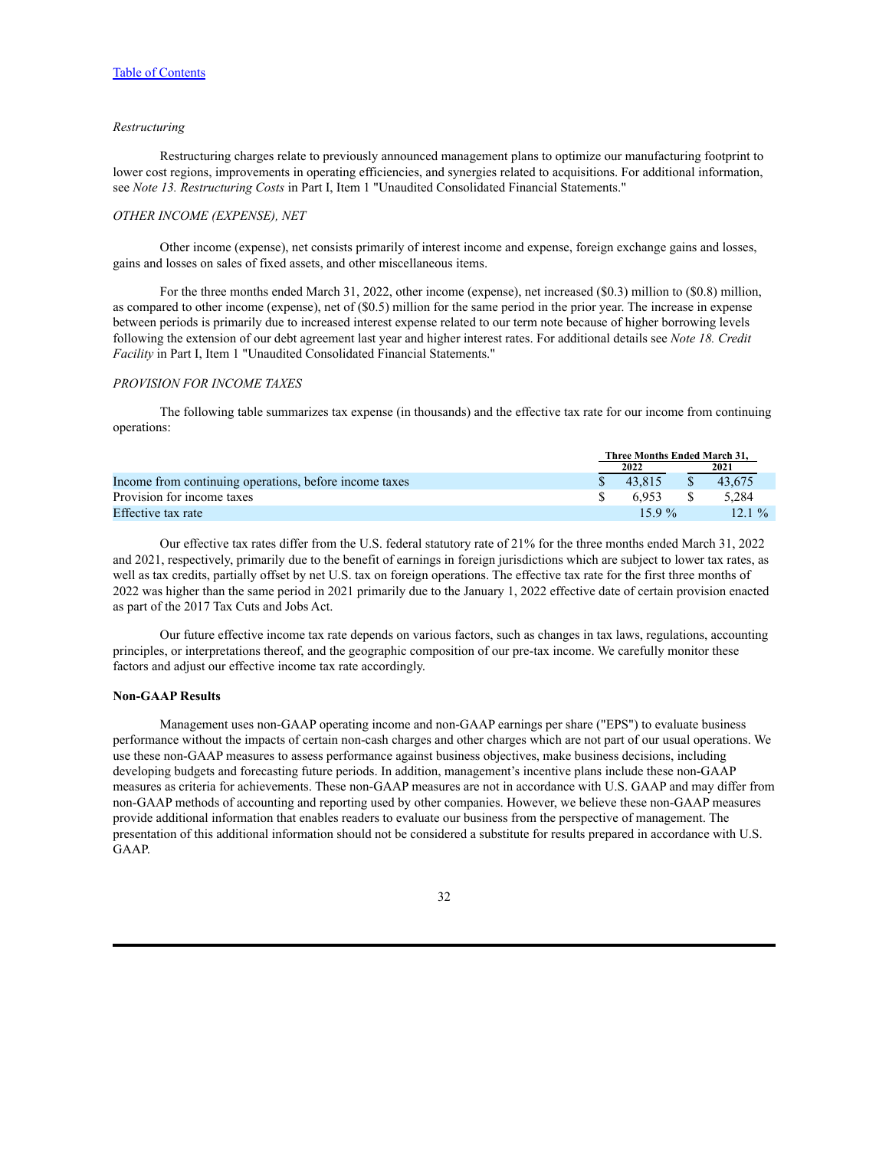#### Table of [Contents](#page-1-0)

#### *Restructuring*

Restructuring charges relate to previously announced management plans to optimize our manufacturing footprint to lower cost regions, improvements in operating efficiencies, and synergies related to acquisitions. For additional information, see *Note 13. Restructuring Costs* in Part I, Item 1 "Unaudited Consolidated Financial Statements."

#### *OTHER INCOME (EXPENSE), NET*

Other income (expense), net consists primarily of interest income and expense, foreign exchange gains and losses, gains and losses on sales of fixed assets, and other miscellaneous items.

For the three months ended March 31, 2022, other income (expense), net increased (\$0.3) million to (\$0.8) million, as compared to other income (expense), net of (\$0.5) million for the same period in the prior year. The increase in expense between periods is primarily due to increased interest expense related to our term note because of higher borrowing levels following the extension of our debt agreement last year and higher interest rates. For additional details see *Note 18. Credit Facility* in Part I, Item 1 "Unaudited Consolidated Financial Statements."

### *PROVISION FOR INCOME TAXES*

The following table summarizes tax expense (in thousands) and the effective tax rate for our income from continuing operations:

|                                                        | <b>Three Months Ended March 31.</b> |          |        |  |  |
|--------------------------------------------------------|-------------------------------------|----------|--------|--|--|
|                                                        | 2022                                |          | 2021   |  |  |
| Income from continuing operations, before income taxes | 43 815                              |          | 43.675 |  |  |
| Provision for income taxes                             | 6953                                |          | 5.284  |  |  |
| Effective tax rate                                     | $159\%$                             | $12.1\%$ |        |  |  |

Our effective tax rates differ from the U.S. federal statutory rate of 21% for the three months ended March 31, 2022 and 2021, respectively, primarily due to the benefit of earnings in foreign jurisdictions which are subject to lower tax rates, as well as tax credits, partially offset by net U.S. tax on foreign operations. The effective tax rate for the first three months of 2022 was higher than the same period in 2021 primarily due to the January 1, 2022 effective date of certain provision enacted as part of the 2017 Tax Cuts and Jobs Act.

Our future effective income tax rate depends on various factors, such as changes in tax laws, regulations, accounting principles, or interpretations thereof, and the geographic composition of our pre-tax income. We carefully monitor these factors and adjust our effective income tax rate accordingly.

#### **Non-GAAP Results**

Management uses non-GAAP operating income and non-GAAP earnings per share ("EPS") to evaluate business performance without the impacts of certain non-cash charges and other charges which are not part of our usual operations. We use these non-GAAP measures to assess performance against business objectives, make business decisions, including developing budgets and forecasting future periods. In addition, management's incentive plans include these non-GAAP measures as criteria for achievements. These non-GAAP measures are not in accordance with U.S. GAAP and may differ from non-GAAP methods of accounting and reporting used by other companies. However, we believe these non-GAAP measures provide additional information that enables readers to evaluate our business from the perspective of management. The presentation of this additional information should not be considered a substitute for results prepared in accordance with U.S. GAAP.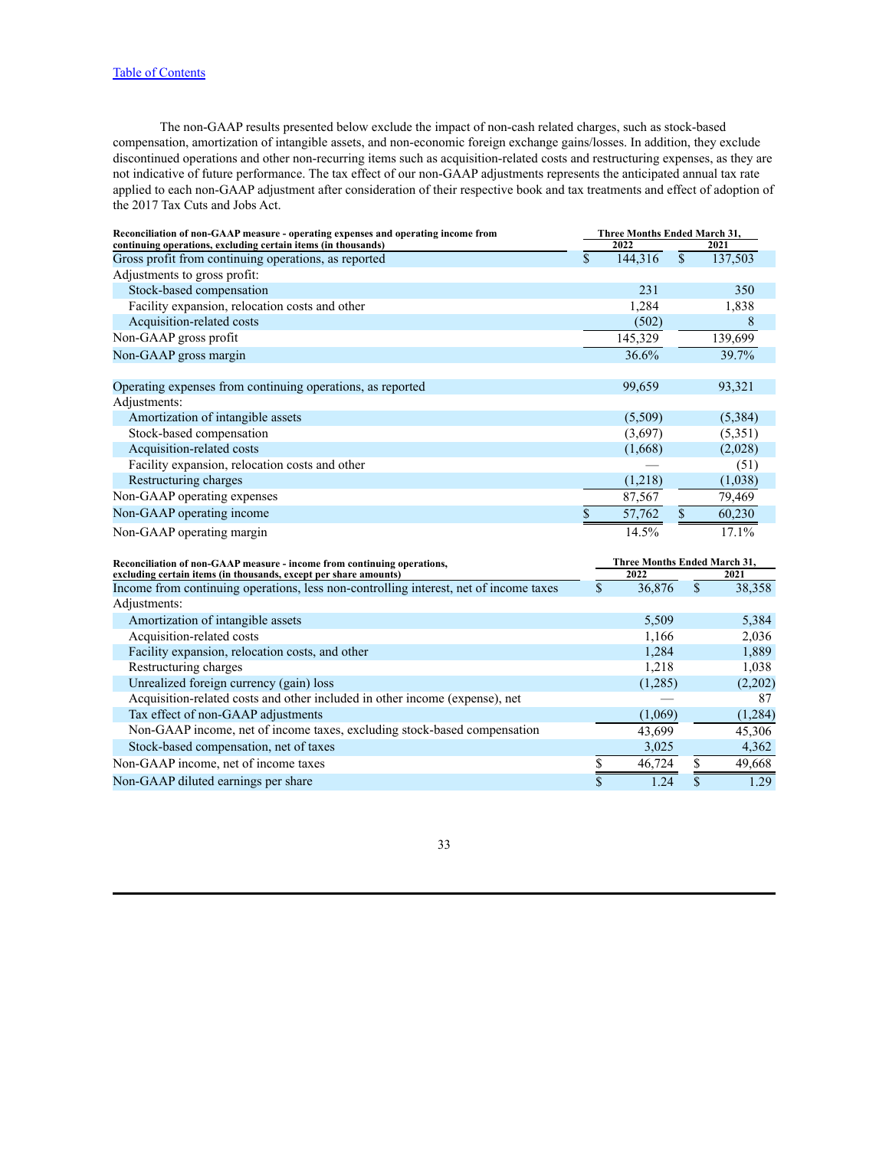The non-GAAP results presented below exclude the impact of non-cash related charges, such as stock-based compensation, amortization of intangible assets, and non-economic foreign exchange gains/losses. In addition, they exclude discontinued operations and other non-recurring items such as acquisition-related costs and restructuring expenses, as they are not indicative of future performance. The tax effect of our non-GAAP adjustments represents the anticipated annual tax rate applied to each non-GAAP adjustment after consideration of their respective book and tax treatments and effect of adoption of the 2017 Tax Cuts and Jobs Act.

| Reconciliation of non-GAAP measure - operating expenses and operating income from                                                                        | Three Months Ended March 31, |                              |              |         |
|----------------------------------------------------------------------------------------------------------------------------------------------------------|------------------------------|------------------------------|--------------|---------|
| continuing operations, excluding certain items (in thousands)                                                                                            |                              | 2022                         |              | 2021    |
| Gross profit from continuing operations, as reported                                                                                                     | \$                           | 144,316                      | $\mathbb{S}$ | 137,503 |
| Adjustments to gross profit:                                                                                                                             |                              |                              |              |         |
| Stock-based compensation                                                                                                                                 |                              | 231                          |              | 350     |
| Facility expansion, relocation costs and other                                                                                                           |                              | 1,284                        |              | 1,838   |
| Acquisition-related costs                                                                                                                                |                              | (502)                        |              | 8       |
| Non-GAAP gross profit                                                                                                                                    |                              | 145,329                      |              | 139,699 |
| Non-GAAP gross margin                                                                                                                                    |                              | 36.6%                        |              | 39.7%   |
|                                                                                                                                                          |                              |                              |              |         |
| Operating expenses from continuing operations, as reported                                                                                               |                              | 99,659                       |              | 93,321  |
| Adjustments:                                                                                                                                             |                              |                              |              |         |
| Amortization of intangible assets                                                                                                                        |                              | (5,509)                      |              | (5,384) |
| Stock-based compensation                                                                                                                                 |                              | (3,697)                      |              | (5,351) |
| Acquisition-related costs                                                                                                                                |                              | (1,668)                      |              | (2,028) |
| Facility expansion, relocation costs and other                                                                                                           |                              |                              |              | (51)    |
| Restructuring charges                                                                                                                                    |                              | (1,218)                      |              | (1,038) |
| Non-GAAP operating expenses                                                                                                                              |                              | 87,567                       |              | 79,469  |
| Non-GAAP operating income                                                                                                                                |                              | 57,762                       | \$           | 60,230  |
| Non-GAAP operating margin                                                                                                                                |                              | 14.5%                        |              | 17.1%   |
| Reconciliation of non-GAAP measure - income from continuing operations,                                                                                  |                              | Three Months Ended March 31, |              |         |
| excluding certain items (in thousands, except per share amounts)<br>La como Caran resultante e en enellano. Jose non resultant llino intenset, not e Cin |                              | 2022<br>20.07                |              | 2021    |
|                                                                                                                                                          | <b>Φ</b>                     |                              | $\sigma$     | 20.250  |

| 36,876  | \$. | 38,358  |
|---------|-----|---------|
|         |     |         |
| 5,509   |     | 5,384   |
| 1,166   |     | 2,036   |
| 1,284   |     | 1,889   |
| 1,218   |     | 1,038   |
| (1,285) |     | (2,202) |
|         |     | 87      |
| (1,069) |     | (1,284) |
| 43,699  |     | 45,306  |
| 3,025   |     | 4,362   |
| 46,724  | \$  | 49,668  |
| 1.24    | S   | 1 29    |
|         |     |         |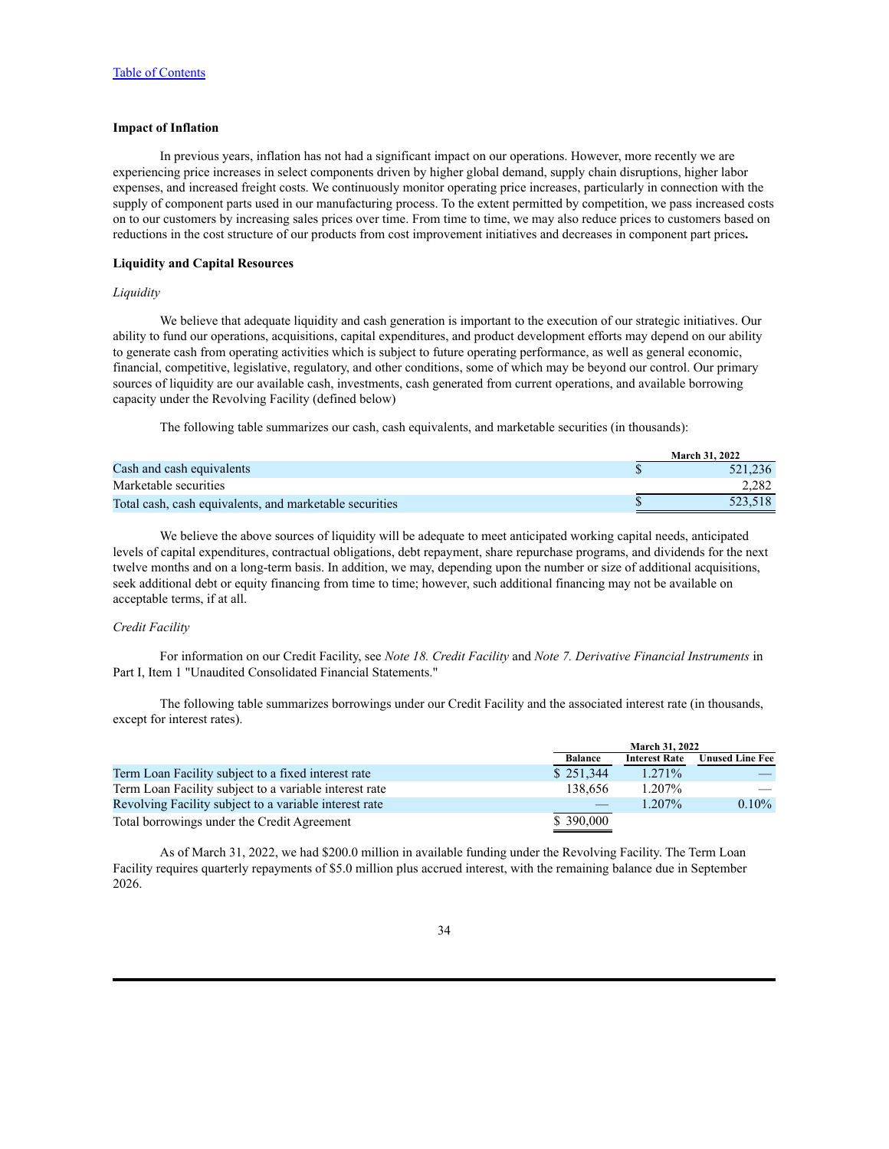#### **Impact of Inflation**

In previous years, inflation has not had a significant impact on our operations. However, more recently we are experiencing price increases in select components driven by higher global demand, supply chain disruptions, higher labor expenses, and increased freight costs. We continuously monitor operating price increases, particularly in connection with the supply of component parts used in our manufacturing process. To the extent permitted by competition, we pass increased costs on to our customers by increasing sales prices over time. From time to time, we may also reduce prices to customers based on reductions in the cost structure of our products from cost improvement initiatives and decreases in component part prices**.**

#### **Liquidity and Capital Resources**

#### *Liquidity*

We believe that adequate liquidity and cash generation is important to the execution of our strategic initiatives. Our ability to fund our operations, acquisitions, capital expenditures, and product development efforts may depend on our ability to generate cash from operating activities which is subject to future operating performance, as well as general economic, financial, competitive, legislative, regulatory, and other conditions, some of which may be beyond our control. Our primary sources of liquidity are our available cash, investments, cash generated from current operations, and available borrowing capacity under the Revolving Facility (defined below)

The following table summarizes our cash, cash equivalents, and marketable securities (in thousands):

|                                                         | <b>March 31, 2022</b> |
|---------------------------------------------------------|-----------------------|
| Cash and cash equivalents                               | 521.236               |
| Marketable securities                                   | 2.282                 |
| Total cash, cash equivalents, and marketable securities | 523.518               |

We believe the above sources of liquidity will be adequate to meet anticipated working capital needs, anticipated levels of capital expenditures, contractual obligations, debt repayment, share repurchase programs, and dividends for the next twelve months and on a long-term basis. In addition, we may, depending upon the number or size of additional acquisitions, seek additional debt or equity financing from time to time; however, such additional financing may not be available on acceptable terms, if at all.

#### *Credit Facility*

For information on our Credit Facility, see *Note 18. Credit Facility* and *Note 7. Derivative Financial Instruments* in Part I, Item 1 "Unaudited Consolidated Financial Statements."

The following table summarizes borrowings under our Credit Facility and the associated interest rate (in thousands, except for interest rates).

|                                                        |                | <b>March 31, 2022</b> |                        |  |
|--------------------------------------------------------|----------------|-----------------------|------------------------|--|
|                                                        | <b>Balance</b> | <b>Interest Rate</b>  | <b>Unused Line Fee</b> |  |
| Term Loan Facility subject to a fixed interest rate    | \$251.344      | 1.271%                |                        |  |
| Term Loan Facility subject to a variable interest rate | 138.656        | 1.207%                |                        |  |
| Revolving Facility subject to a variable interest rate |                | $1.207\%$             | $0.10\%$               |  |
| Total borrowings under the Credit Agreement            | \$390,000      |                       |                        |  |

As of March 31, 2022, we had \$200.0 million in available funding under the Revolving Facility. The Term Loan Facility requires quarterly repayments of \$5.0 million plus accrued interest, with the remaining balance due in September 2026.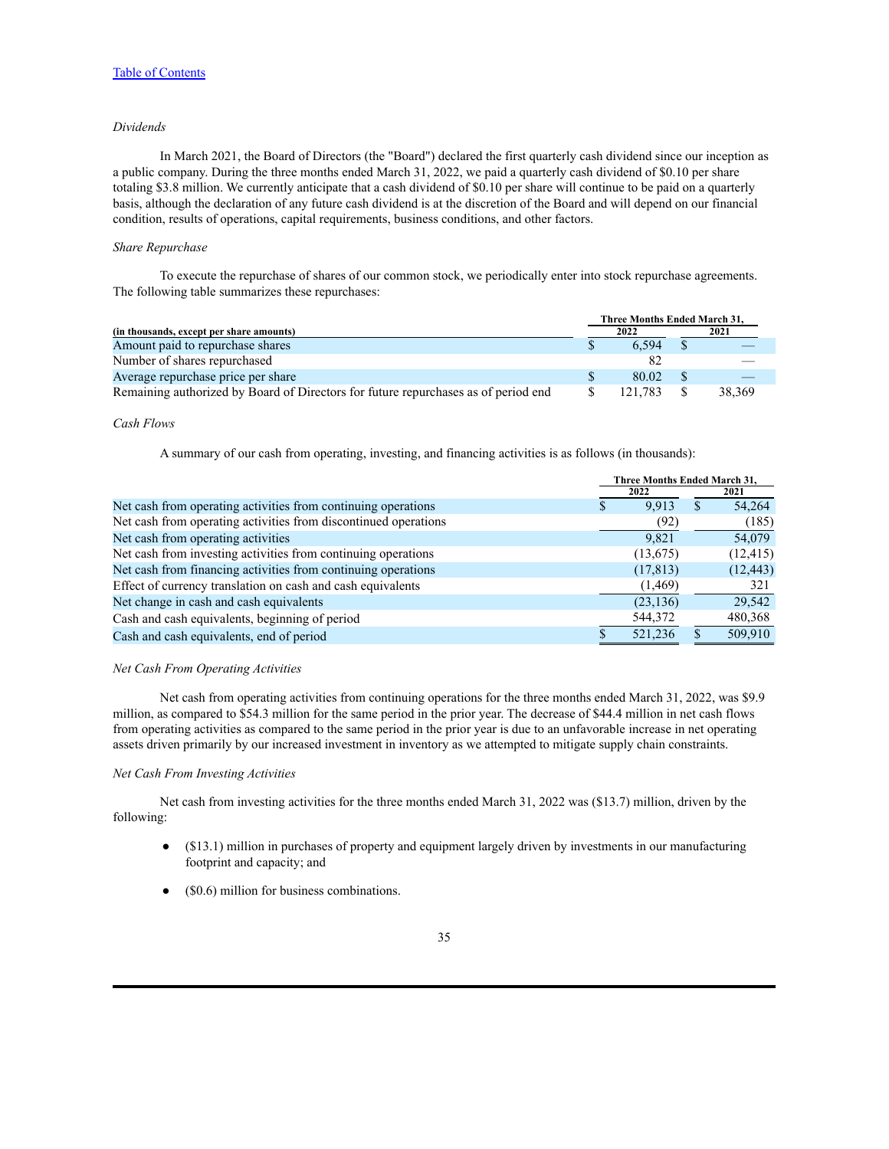# *Dividends*

In March 2021, the Board of Directors (the "Board") declared the first quarterly cash dividend since our inception as a public company. During the three months ended March 31, 2022, we paid a quarterly cash dividend of \$0.10 per share totaling \$3.8 million. We currently anticipate that a cash dividend of \$0.10 per share will continue to be paid on a quarterly basis, although the declaration of any future cash dividend is at the discretion of the Board and will depend on our financial condition, results of operations, capital requirements, business conditions, and other factors.

#### *Share Repurchase*

To execute the repurchase of shares of our common stock, we periodically enter into stock repurchase agreements. The following table summarizes these repurchases:

|                                                                                    | Three Months Ended March 31, |         |  |        |
|------------------------------------------------------------------------------------|------------------------------|---------|--|--------|
| (in thousands, except per share amounts)                                           |                              | 2022    |  | 2021   |
| Amount paid to repurchase shares                                                   |                              | 6.594   |  |        |
| Number of shares repurchased                                                       |                              | 82      |  |        |
| Average repurchase price per share                                                 |                              | 80.02   |  |        |
| Remaining authorized by Board of Directors for future repurchases as of period end |                              | 121.783 |  | 38.369 |

# *Cash Flows*

A summary of our cash from operating, investing, and financing activities is as follows (in thousands):

|                                                                 | Three Months Ended March 31, |           |    |           |
|-----------------------------------------------------------------|------------------------------|-----------|----|-----------|
|                                                                 |                              | 2022      |    | 2021      |
| Net cash from operating activities from continuing operations   |                              | 9,913     | S. | 54,264    |
| Net cash from operating activities from discontinued operations |                              | (92)      |    | (185)     |
| Net cash from operating activities                              |                              | 9.821     |    | 54,079    |
| Net cash from investing activities from continuing operations   |                              | (13,675)  |    | (12, 415) |
| Net cash from financing activities from continuing operations   |                              | (17, 813) |    | (12, 443) |
| Effect of currency translation on cash and cash equivalents     |                              | (1, 469)  |    | 321       |
| Net change in cash and cash equivalents                         |                              | (23, 136) |    | 29.542    |
| Cash and cash equivalents, beginning of period                  |                              | 544,372   |    | 480,368   |
| Cash and cash equivalents, end of period                        |                              | 521,236   |    | 509,910   |

# *Net Cash From Operating Activities*

Net cash from operating activities from continuing operations for the three months ended March 31, 2022, was \$9.9 million, as compared to \$54.3 million for the same period in the prior year. The decrease of \$44.4 million in net cash flows from operating activities as compared to the same period in the prior year is due to an unfavorable increase in net operating assets driven primarily by our increased investment in inventory as we attempted to mitigate supply chain constraints.

### *Net Cash From Investing Activities*

Net cash from investing activities for the three months ended March 31, 2022 was (\$13.7) million, driven by the following:

- (\$13.1) million in purchases of property and equipment largely driven by investments in our manufacturing footprint and capacity; and
- $($0.6)$  million for business combinations.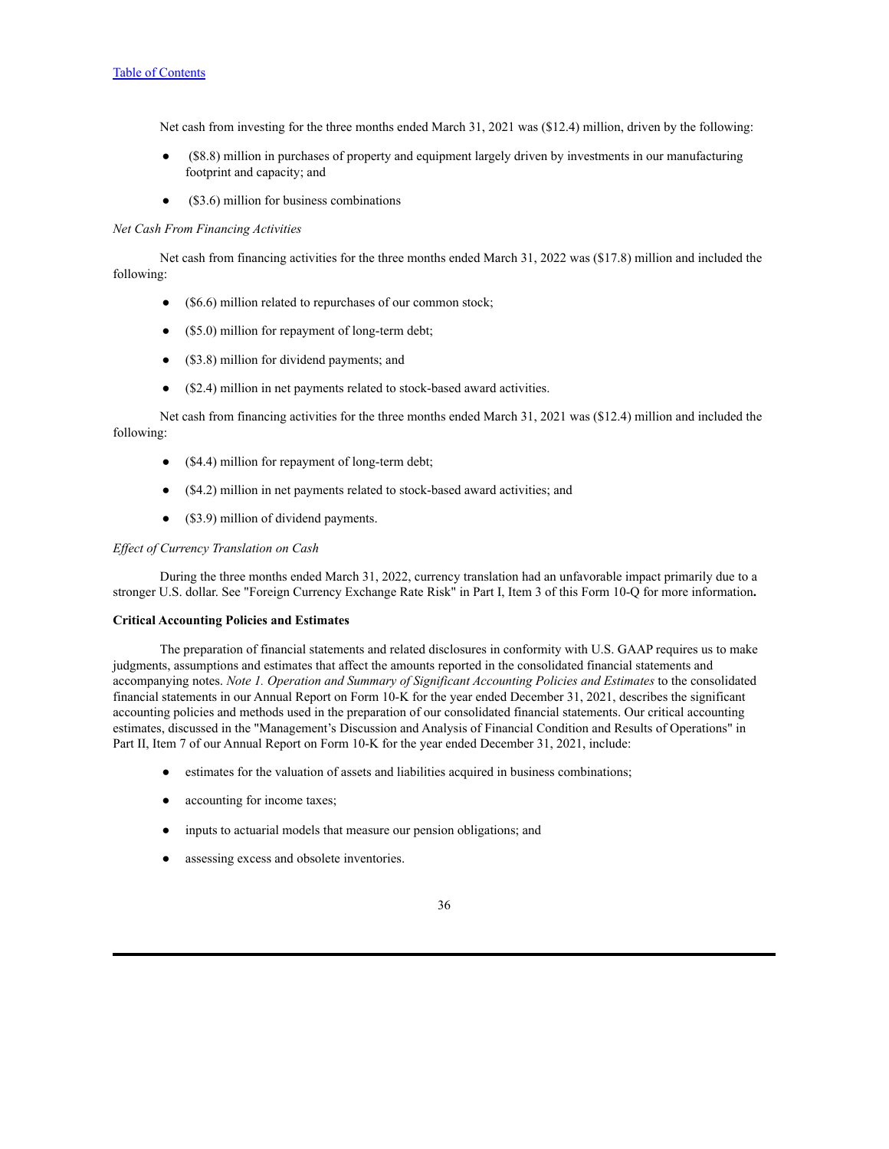Net cash from investing for the three months ended March 31, 2021 was (\$12.4) million, driven by the following:

- (\$8.8) million in purchases of property and equipment largely driven by investments in our manufacturing footprint and capacity; and
- $($3.6)$  million for business combinations

#### *Net Cash From Financing Activities*

Net cash from financing activities for the three months ended March 31, 2022 was (\$17.8) million and included the following:

- $($6.6)$  million related to repurchases of our common stock;
- (\$5.0) million for repayment of long-term debt;
- (\$3.8) million for dividend payments; and
- (\$2.4) million in net payments related to stock-based award activities.

Net cash from financing activities for the three months ended March 31, 2021 was (\$12.4) million and included the following:

- (\$4.4) million for repayment of long-term debt;
- (\$4.2) million in net payments related to stock-based award activities; and
- (\$3.9) million of dividend payments.

#### *Ef ect of Currency Translation on Cash*

During the three months ended March 31, 2022, currency translation had an unfavorable impact primarily due to a stronger U.S. dollar. See "Foreign Currency Exchange Rate Risk" in Part I, Item 3 of this Form 10-Q for more information**.**

### **Critical Accounting Policies and Estimates**

The preparation of financial statements and related disclosures in conformity with U.S. GAAP requires us to make judgments, assumptions and estimates that affect the amounts reported in the consolidated financial statements and accompanying notes. *Note 1. Operation and Summary of Significant Accounting Policies and Estimates* to the consolidated financial statements in our Annual Report on Form 10-K for the year ended December 31, 2021, describes the significant accounting policies and methods used in the preparation of our consolidated financial statements. Our critical accounting estimates, discussed in the "Management's Discussion and Analysis of Financial Condition and Results of Operations" in Part II, Item 7 of our Annual Report on Form 10-K for the year ended December 31, 2021, include:

- estimates for the valuation of assets and liabilities acquired in business combinations;
- accounting for income taxes;
- inputs to actuarial models that measure our pension obligations; and
- assessing excess and obsolete inventories.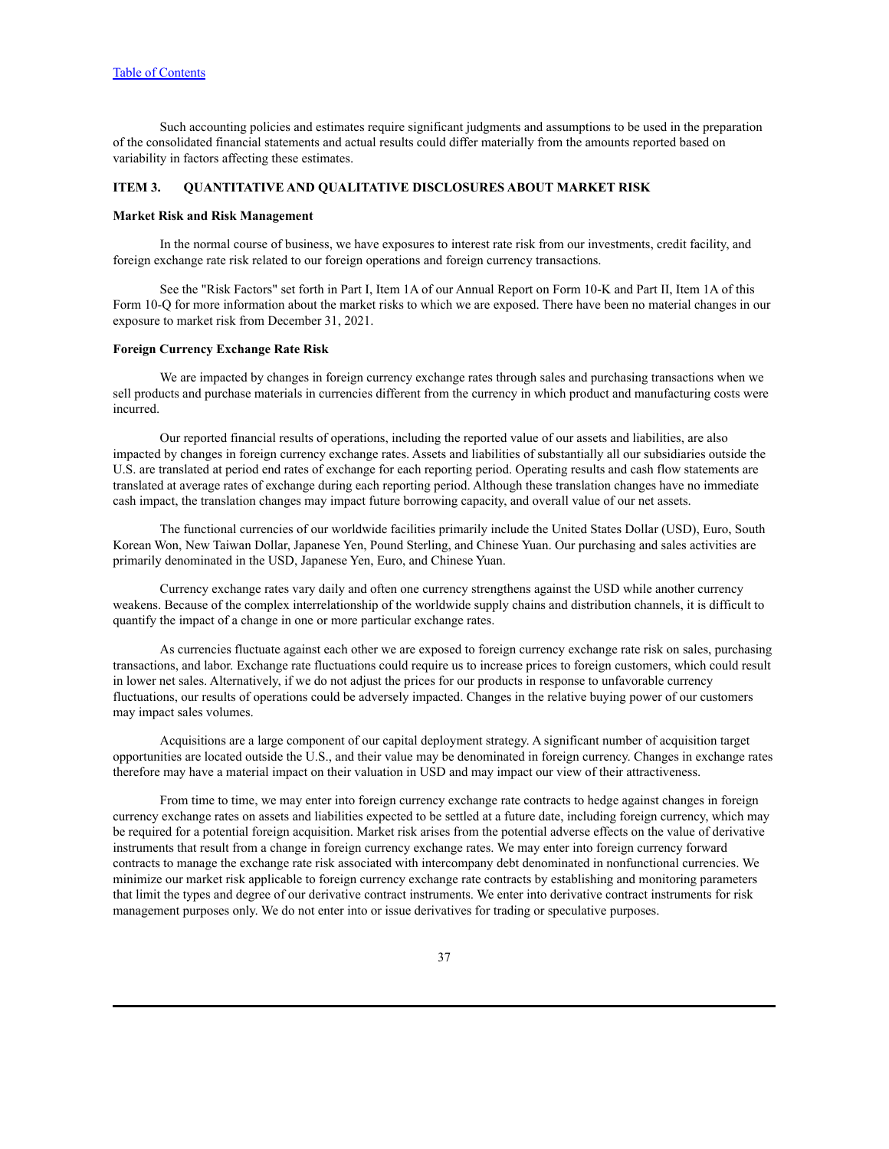Such accounting policies and estimates require significant judgments and assumptions to be used in the preparation of the consolidated financial statements and actual results could differ materially from the amounts reported based on variability in factors affecting these estimates.

### <span id="page-36-0"></span>**ITEM 3. QUANTITATIVE AND QUALITATIVE DISCLOSURES ABOUT MARKET RISK**

#### **Market Risk and Risk Management**

In the normal course of business, we have exposures to interest rate risk from our investments, credit facility, and foreign exchange rate risk related to our foreign operations and foreign currency transactions.

See the "Risk Factors" set forth in Part I, Item 1A of our Annual Report on Form 10-K and Part II, Item 1A of this Form 10-Q for more information about the market risks to which we are exposed. There have been no material changes in our exposure to market risk from December 31, 2021.

#### **Foreign Currency Exchange Rate Risk**

We are impacted by changes in foreign currency exchange rates through sales and purchasing transactions when we sell products and purchase materials in currencies different from the currency in which product and manufacturing costs were incurred.

Our reported financial results of operations, including the reported value of our assets and liabilities, are also impacted by changes in foreign currency exchange rates. Assets and liabilities of substantially all our subsidiaries outside the U.S. are translated at period end rates of exchange for each reporting period. Operating results and cash flow statements are translated at average rates of exchange during each reporting period. Although these translation changes have no immediate cash impact, the translation changes may impact future borrowing capacity, and overall value of our net assets.

The functional currencies of our worldwide facilities primarily include the United States Dollar (USD), Euro, South Korean Won, New Taiwan Dollar, Japanese Yen, Pound Sterling, and Chinese Yuan. Our purchasing and sales activities are primarily denominated in the USD, Japanese Yen, Euro, and Chinese Yuan.

Currency exchange rates vary daily and often one currency strengthens against the USD while another currency weakens. Because of the complex interrelationship of the worldwide supply chains and distribution channels, it is difficult to quantify the impact of a change in one or more particular exchange rates.

As currencies fluctuate against each other we are exposed to foreign currency exchange rate risk on sales, purchasing transactions, and labor. Exchange rate fluctuations could require us to increase prices to foreign customers, which could result in lower net sales. Alternatively, if we do not adjust the prices for our products in response to unfavorable currency fluctuations, our results of operations could be adversely impacted. Changes in the relative buying power of our customers may impact sales volumes.

Acquisitions are a large component of our capital deployment strategy. A significant number of acquisition target opportunities are located outside the U.S., and their value may be denominated in foreign currency. Changes in exchange rates therefore may have a material impact on their valuation in USD and may impact our view of their attractiveness.

From time to time, we may enter into foreign currency exchange rate contracts to hedge against changes in foreign currency exchange rates on assets and liabilities expected to be settled at a future date, including foreign currency, which may be required for a potential foreign acquisition. Market risk arises from the potential adverse effects on the value of derivative instruments that result from a change in foreign currency exchange rates. We may enter into foreign currency forward contracts to manage the exchange rate risk associated with intercompany debt denominated in nonfunctional currencies. We minimize our market risk applicable to foreign currency exchange rate contracts by establishing and monitoring parameters that limit the types and degree of our derivative contract instruments. We enter into derivative contract instruments for risk management purposes only. We do not enter into or issue derivatives for trading or speculative purposes.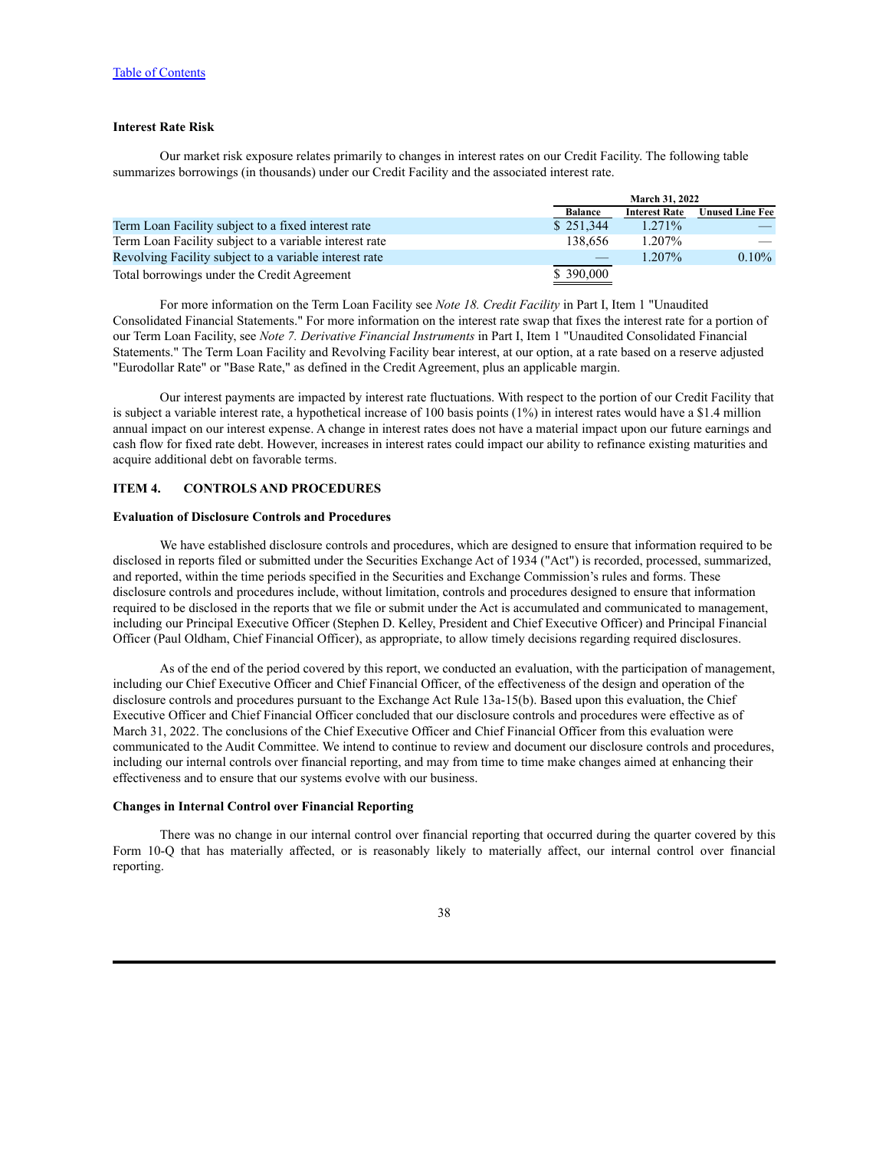### **Interest Rate Risk**

Our market risk exposure relates primarily to changes in interest rates on our Credit Facility. The following table summarizes borrowings (in thousands) under our Credit Facility and the associated interest rate.

|                                                        |                | <b>March 31, 2022</b> |                        |  |
|--------------------------------------------------------|----------------|-----------------------|------------------------|--|
|                                                        | <b>Balance</b> | <b>Interest Rate</b>  | <b>Unused Line Fee</b> |  |
| Term Loan Facility subject to a fixed interest rate    | \$251.344      | 1.271%                |                        |  |
| Term Loan Facility subject to a variable interest rate | 138.656        | 1.207%                |                        |  |
| Revolving Facility subject to a variable interest rate |                | $1.207\%$             | $0.10\%$               |  |
| Total borrowings under the Credit Agreement            | \$390,000      |                       |                        |  |

For more information on the Term Loan Facility see *Note 18. Credit Facility* in Part I, Item 1 "Unaudited Consolidated Financial Statements." For more information on the interest rate swap that fixes the interest rate for a portion of our Term Loan Facility, see *Note 7. Derivative Financial Instruments* in Part I, Item 1 "Unaudited Consolidated Financial Statements." The Term Loan Facility and Revolving Facility bear interest, at our option, at a rate based on a reserve adjusted "Eurodollar Rate" or "Base Rate," as defined in the Credit Agreement, plus an applicable margin.

Our interest payments are impacted by interest rate fluctuations. With respect to the portion of our Credit Facility that is subject a variable interest rate, a hypothetical increase of 100 basis points (1%) in interest rates would have a \$1.4 million annual impact on our interest expense. A change in interest rates does not have a material impact upon our future earnings and cash flow for fixed rate debt. However, increases in interest rates could impact our ability to refinance existing maturities and acquire additional debt on favorable terms.

### <span id="page-37-0"></span>**ITEM 4. CONTROLS AND PROCEDURES**

#### **Evaluation of Disclosure Controls and Procedures**

We have established disclosure controls and procedures, which are designed to ensure that information required to be disclosed in reports filed or submitted under the Securities Exchange Act of 1934 ("Act") is recorded, processed, summarized, and reported, within the time periods specified in the Securities and Exchange Commission's rules and forms. These disclosure controls and procedures include, without limitation, controls and procedures designed to ensure that information required to be disclosed in the reports that we file or submit under the Act is accumulated and communicated to management, including our Principal Executive Officer (Stephen D. Kelley, President and Chief Executive Officer) and Principal Financial Officer (Paul Oldham, Chief Financial Officer), as appropriate, to allow timely decisions regarding required disclosures.

As of the end of the period covered by this report, we conducted an evaluation, with the participation of management, including our Chief Executive Officer and Chief Financial Officer, of the effectiveness of the design and operation of the disclosure controls and procedures pursuant to the Exchange Act Rule 13a-15(b). Based upon this evaluation, the Chief Executive Officer and Chief Financial Officer concluded that our disclosure controls and procedures were effective as of March 31, 2022. The conclusions of the Chief Executive Officer and Chief Financial Officer from this evaluation were communicated to the Audit Committee. We intend to continue to review and document our disclosure controls and procedures, including our internal controls over financial reporting, and may from time to time make changes aimed at enhancing their effectiveness and to ensure that our systems evolve with our business.

#### **Changes in Internal Control over Financial Reporting**

There was no change in our internal control over financial reporting that occurred during the quarter covered by this Form 10-Q that has materially affected, or is reasonably likely to materially affect, our internal control over financial reporting.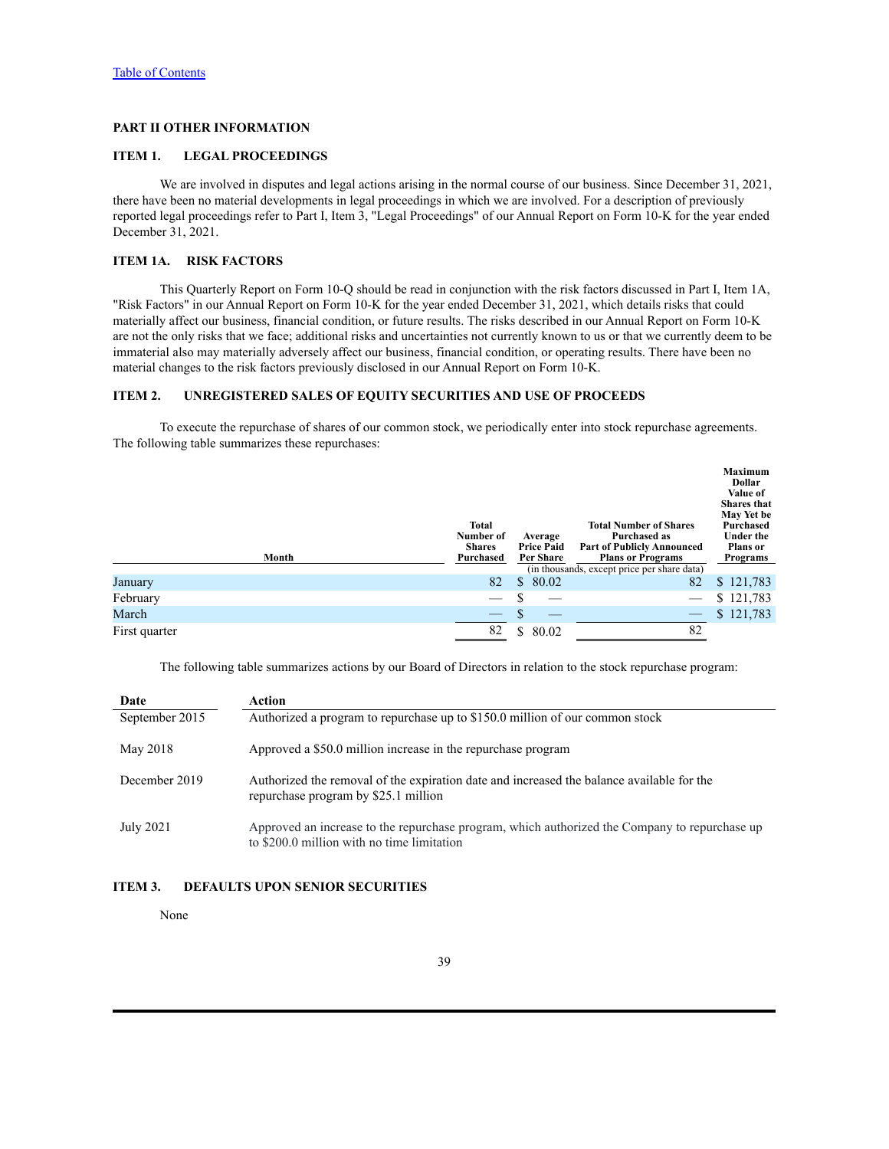# <span id="page-38-0"></span>**PART II OTHER INFORMATION**

## <span id="page-38-1"></span>**ITEM 1. LEGAL PROCEEDINGS**

We are involved in disputes and legal actions arising in the normal course of our business. Since December 31, 2021, there have been no material developments in legal proceedings in which we are involved. For a description of previously reported legal proceedings refer to Part I, Item 3, "Legal Proceedings" of our Annual Report on Form 10-K for the year ended December 31, 2021.

### <span id="page-38-2"></span>**ITEM 1A. RISK FACTORS**

This Quarterly Report on Form 10-Q should be read in conjunction with the risk factors discussed in Part I, Item 1A, "Risk Factors" in our Annual Report on Form 10-K for the year ended December 31, 2021, which details risks that could materially affect our business, financial condition, or future results. The risks described in our Annual Report on Form 10-K are not the only risks that we face; additional risks and uncertainties not currently known to us or that we currently deem to be immaterial also may materially adversely affect our business, financial condition, or operating results. There have been no material changes to the risk factors previously disclosed in our Annual Report on Form 10-K.

# <span id="page-38-3"></span>**ITEM 2. UNREGISTERED SALES OF EQUITY SECURITIES AND USE OF PROCEEDS**

To execute the repurchase of shares of our common stock, we periodically enter into stock repurchase agreements. The following table summarizes these repurchases:

|               | Month | <b>Total</b><br>Number of<br><b>Shares</b><br>Purchased | Average<br><b>Price Paid</b><br>Per Share | <b>Total Number of Shares</b><br><b>Purchased as</b><br><b>Part of Publicly Announced</b><br><b>Plans or Programs</b> | <b>Maximum</b><br>Dollar<br>Value of<br><b>Shares</b> that<br>May Yet be<br>Purchased<br><b>Under the</b><br><b>Plans or</b><br><b>Programs</b> |
|---------------|-------|---------------------------------------------------------|-------------------------------------------|-----------------------------------------------------------------------------------------------------------------------|-------------------------------------------------------------------------------------------------------------------------------------------------|
|               |       |                                                         |                                           | (in thousands, except price per share data)                                                                           |                                                                                                                                                 |
| January       |       | 82                                                      | \$80.02                                   | 82                                                                                                                    | \$121,783                                                                                                                                       |
| February      |       |                                                         | D                                         |                                                                                                                       | \$121,783                                                                                                                                       |
| March         |       |                                                         | S                                         |                                                                                                                       | \$121,783                                                                                                                                       |
| First quarter |       | 82                                                      | \$<br>80.02                               | 82                                                                                                                    |                                                                                                                                                 |

The following table summarizes actions by our Board of Directors in relation to the stock repurchase program:

| Date             | Action                                                                                                                                      |
|------------------|---------------------------------------------------------------------------------------------------------------------------------------------|
| September 2015   | Authorized a program to repurchase up to \$150.0 million of our common stock                                                                |
| May 2018         | Approved a \$50.0 million increase in the repurchase program                                                                                |
| December 2019    | Authorized the removal of the expiration date and increased the balance available for the<br>repurchase program by \$25.1 million           |
| <b>July 2021</b> | Approved an increase to the repurchase program, which authorized the Company to repurchase up<br>to \$200.0 million with no time limitation |

# <span id="page-38-4"></span>**ITEM 3. DEFAULTS UPON SENIOR SECURITIES**

None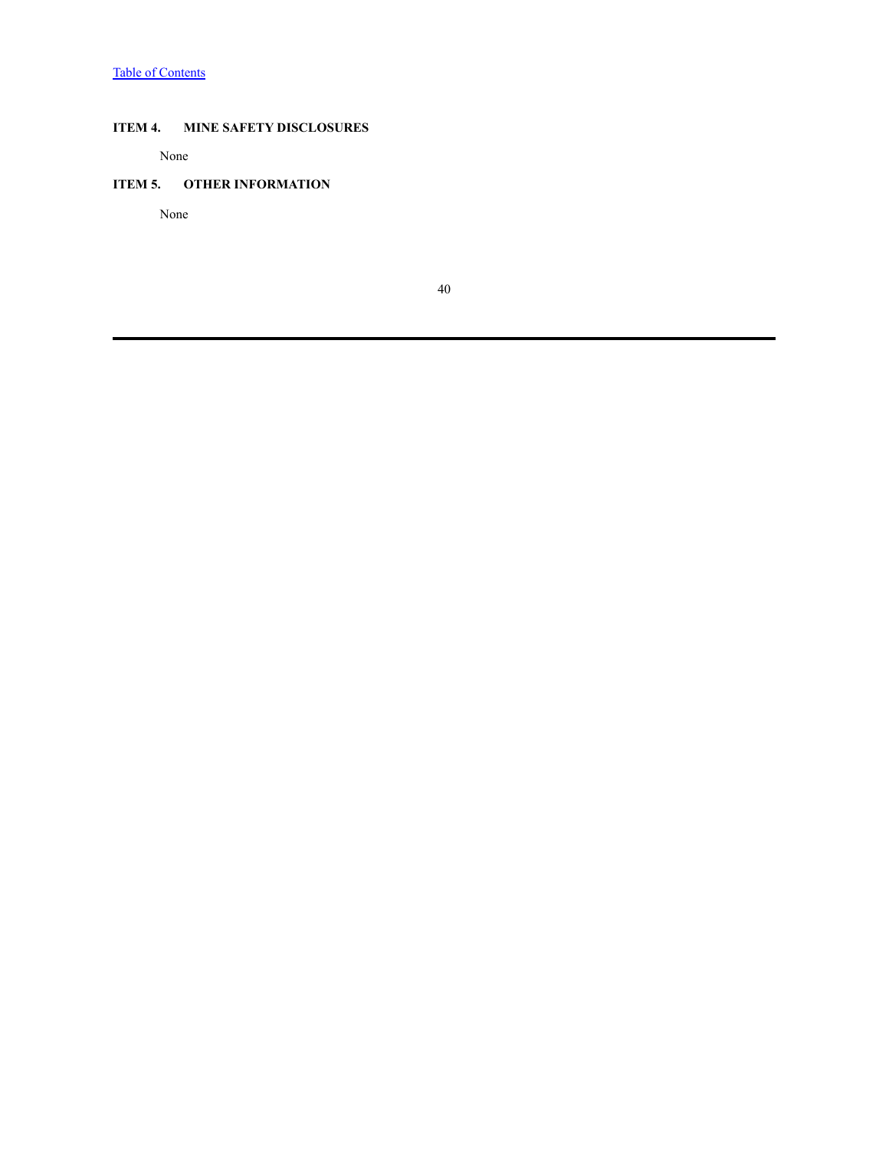Table of [Contents](#page-1-0)

# <span id="page-39-0"></span>**ITEM 4. MINE SAFETY DISCLOSURES**

None

# <span id="page-39-1"></span>**ITEM 5. OTHER INFORMATION**

None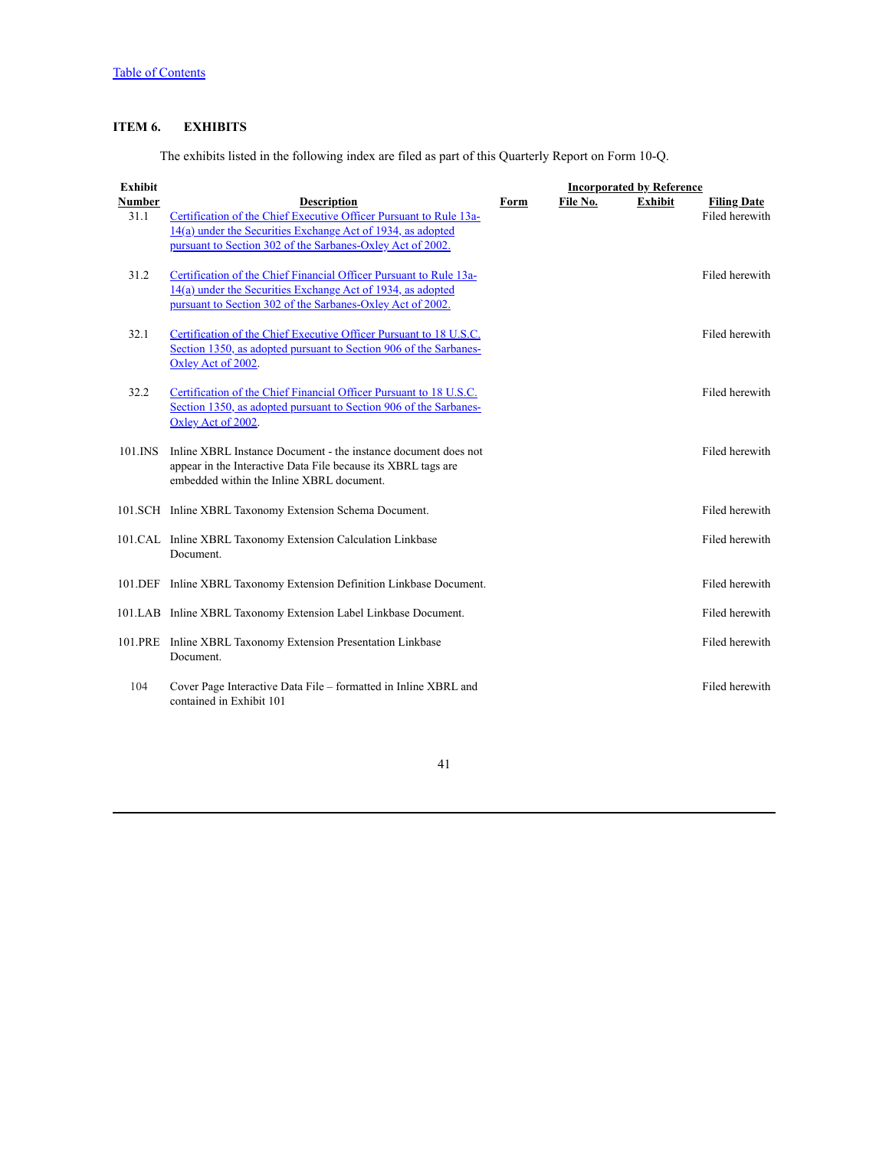# <span id="page-40-0"></span>**ITEM 6. EXHIBITS**

The exhibits listed in the following index are filed as part of this Quarterly Report on Form 10-Q.

| <b>Exhibit</b> |                                                                       |      | <b>Incorporated by Reference</b> |                |                    |  |  |
|----------------|-----------------------------------------------------------------------|------|----------------------------------|----------------|--------------------|--|--|
| Number         | <b>Description</b>                                                    | Form | File No.                         | <b>Exhibit</b> | <b>Filing Date</b> |  |  |
| 31.1           | Certification of the Chief Executive Officer Pursuant to Rule 13a-    |      |                                  |                | Filed herewith     |  |  |
|                | 14(a) under the Securities Exchange Act of 1934, as adopted           |      |                                  |                |                    |  |  |
|                | pursuant to Section 302 of the Sarbanes-Oxley Act of 2002.            |      |                                  |                |                    |  |  |
| 31.2           | Certification of the Chief Financial Officer Pursuant to Rule 13a-    |      |                                  |                | Filed herewith     |  |  |
|                | 14(a) under the Securities Exchange Act of 1934, as adopted           |      |                                  |                |                    |  |  |
|                | pursuant to Section 302 of the Sarbanes-Oxley Act of 2002.            |      |                                  |                |                    |  |  |
| 32.1           | Certification of the Chief Executive Officer Pursuant to 18 U.S.C.    |      |                                  |                | Filed herewith     |  |  |
|                | Section 1350, as adopted pursuant to Section 906 of the Sarbanes-     |      |                                  |                |                    |  |  |
|                | Oxley Act of 2002.                                                    |      |                                  |                |                    |  |  |
| 32.2           | Certification of the Chief Financial Officer Pursuant to 18 U.S.C.    |      |                                  |                | Filed herewith     |  |  |
|                | Section 1350, as adopted pursuant to Section 906 of the Sarbanes-     |      |                                  |                |                    |  |  |
|                | Oxley Act of 2002.                                                    |      |                                  |                |                    |  |  |
| 101.INS        | Inline XBRL Instance Document - the instance document does not        |      |                                  |                | Filed herewith     |  |  |
|                | appear in the Interactive Data File because its XBRL tags are         |      |                                  |                |                    |  |  |
|                | embedded within the Inline XBRL document.                             |      |                                  |                |                    |  |  |
|                | 101.SCH Inline XBRL Taxonomy Extension Schema Document.               |      |                                  |                | Filed herewith     |  |  |
|                |                                                                       |      |                                  |                |                    |  |  |
|                | 101.CAL Inline XBRL Taxonomy Extension Calculation Linkbase           |      |                                  |                | Filed herewith     |  |  |
|                | Document.                                                             |      |                                  |                |                    |  |  |
|                | 101. DEF Inline XBRL Taxonomy Extension Definition Linkbase Document. |      |                                  |                | Filed herewith     |  |  |
|                | 101.LAB Inline XBRL Taxonomy Extension Label Linkbase Document.       |      |                                  |                | Filed herewith     |  |  |
|                |                                                                       |      |                                  |                |                    |  |  |
|                | 101.PRE Inline XBRL Taxonomy Extension Presentation Linkbase          |      |                                  |                | Filed herewith     |  |  |
|                | Document.                                                             |      |                                  |                |                    |  |  |
| 104            | Cover Page Interactive Data File – formatted in Inline XBRL and       |      |                                  |                | Filed herewith     |  |  |
|                | contained in Exhibit 101                                              |      |                                  |                |                    |  |  |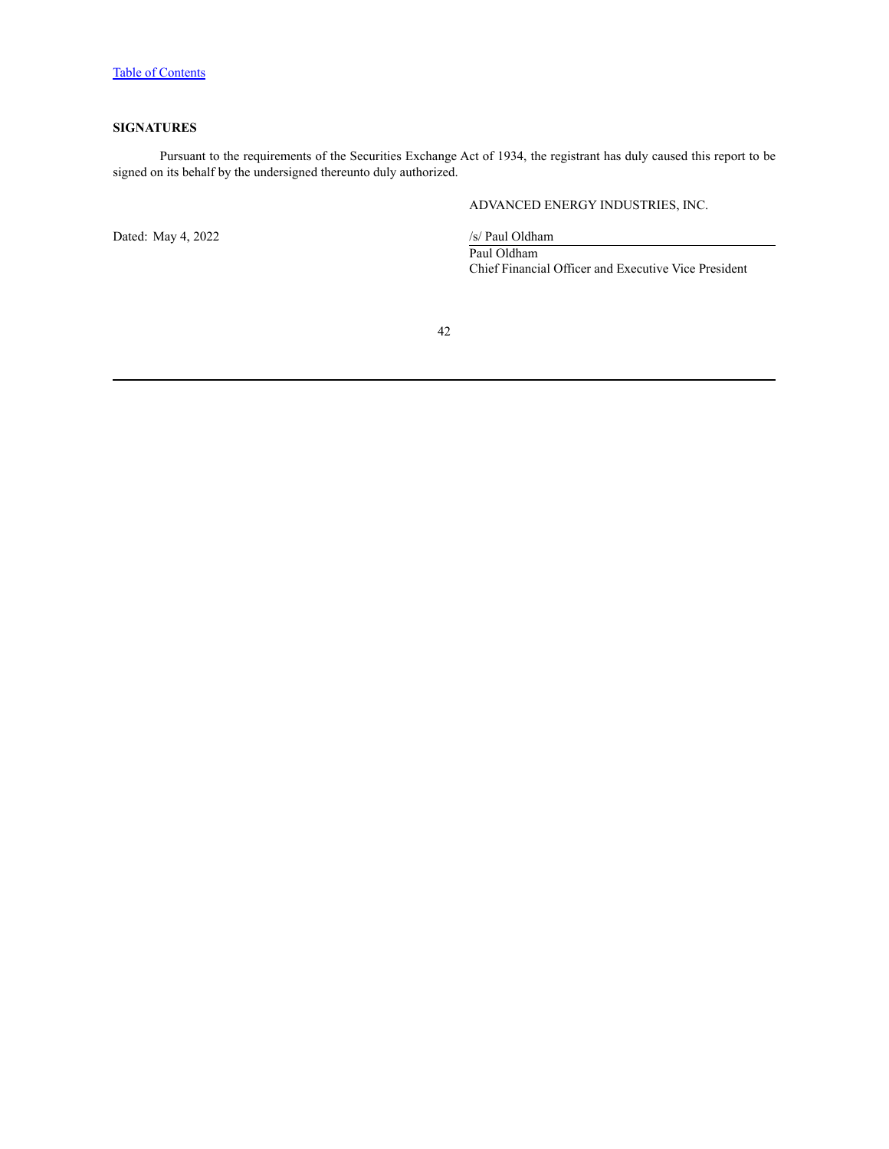# <span id="page-41-0"></span>**SIGNATURES**

Pursuant to the requirements of the Securities Exchange Act of 1934, the registrant has duly caused this report to be signed on its behalf by the undersigned thereunto duly authorized.

Dated: May 4, 2022 /s/ Paul Oldham

ADVANCED ENERGY INDUSTRIES, INC.

Paul Oldham Chief Financial Officer and Executive Vice President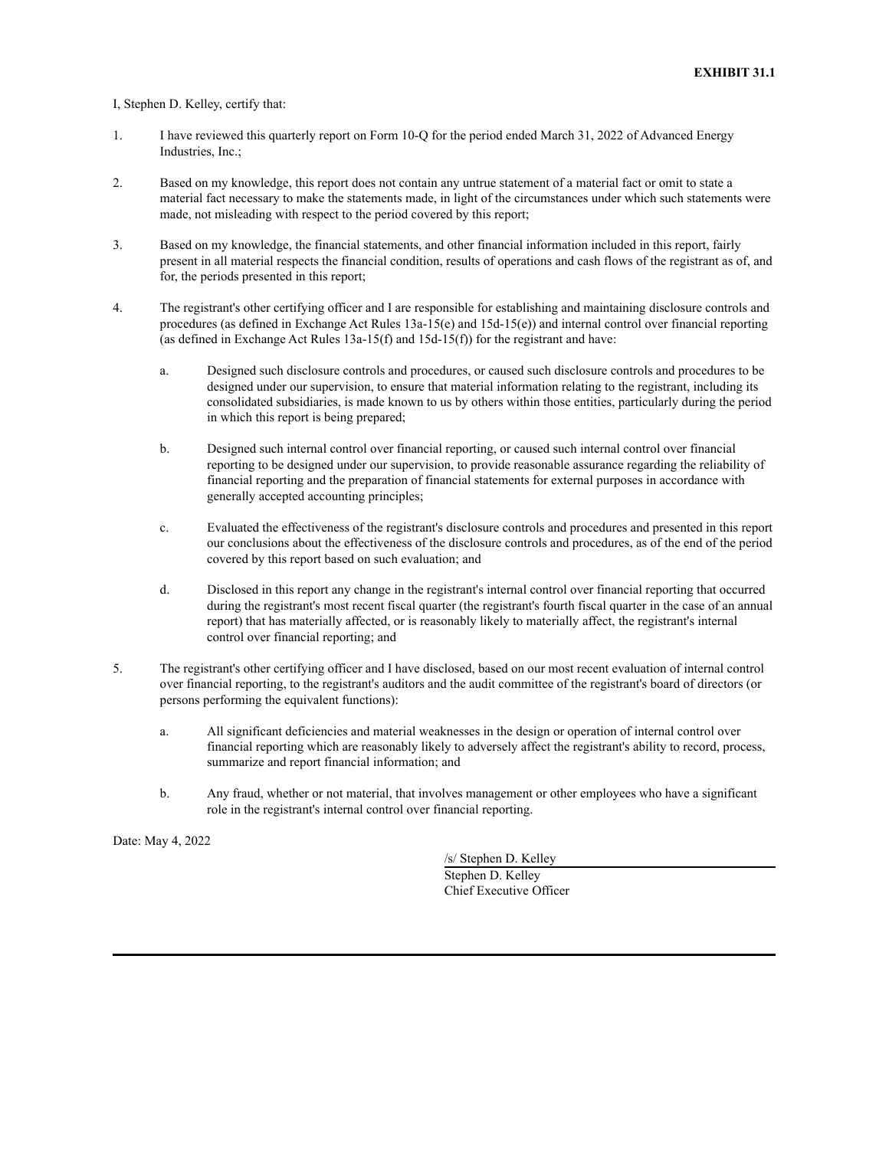<span id="page-42-0"></span>I, Stephen D. Kelley, certify that:

- 1. I have reviewed this quarterly report on Form 10-Q for the period ended March 31, 2022 of Advanced Energy Industries, Inc.;
- 2. Based on my knowledge, this report does not contain any untrue statement of a material fact or omit to state a material fact necessary to make the statements made, in light of the circumstances under which such statements were made, not misleading with respect to the period covered by this report;
- 3. Based on my knowledge, the financial statements, and other financial information included in this report, fairly present in all material respects the financial condition, results of operations and cash flows of the registrant as of, and for, the periods presented in this report;
- 4. The registrant's other certifying officer and I are responsible for establishing and maintaining disclosure controls and procedures (as defined in Exchange Act Rules 13a-15(e) and 15d-15(e)) and internal control over financial reporting (as defined in Exchange Act Rules 13a-15(f) and 15d-15(f)) for the registrant and have:
	- a. Designed such disclosure controls and procedures, or caused such disclosure controls and procedures to be designed under our supervision, to ensure that material information relating to the registrant, including its consolidated subsidiaries, is made known to us by others within those entities, particularly during the period in which this report is being prepared;
	- b. Designed such internal control over financial reporting, or caused such internal control over financial reporting to be designed under our supervision, to provide reasonable assurance regarding the reliability of financial reporting and the preparation of financial statements for external purposes in accordance with generally accepted accounting principles;
	- c. Evaluated the effectiveness of the registrant's disclosure controls and procedures and presented in this report our conclusions about the effectiveness of the disclosure controls and procedures, as of the end of the period covered by this report based on such evaluation; and
	- d. Disclosed in this report any change in the registrant's internal control over financial reporting that occurred during the registrant's most recent fiscal quarter (the registrant's fourth fiscal quarter in the case of an annual report) that has materially affected, or is reasonably likely to materially affect, the registrant's internal control over financial reporting; and
- 5. The registrant's other certifying officer and I have disclosed, based on our most recent evaluation of internal control over financial reporting, to the registrant's auditors and the audit committee of the registrant's board of directors (or persons performing the equivalent functions):
	- a. All significant deficiencies and material weaknesses in the design or operation of internal control over financial reporting which are reasonably likely to adversely affect the registrant's ability to record, process, summarize and report financial information; and
	- b. Any fraud, whether or not material, that involves management or other employees who have a significant role in the registrant's internal control over financial reporting.

Date: May 4, 2022

/s/ Stephen D. Kelley Stephen D. Kelley Chief Executive Officer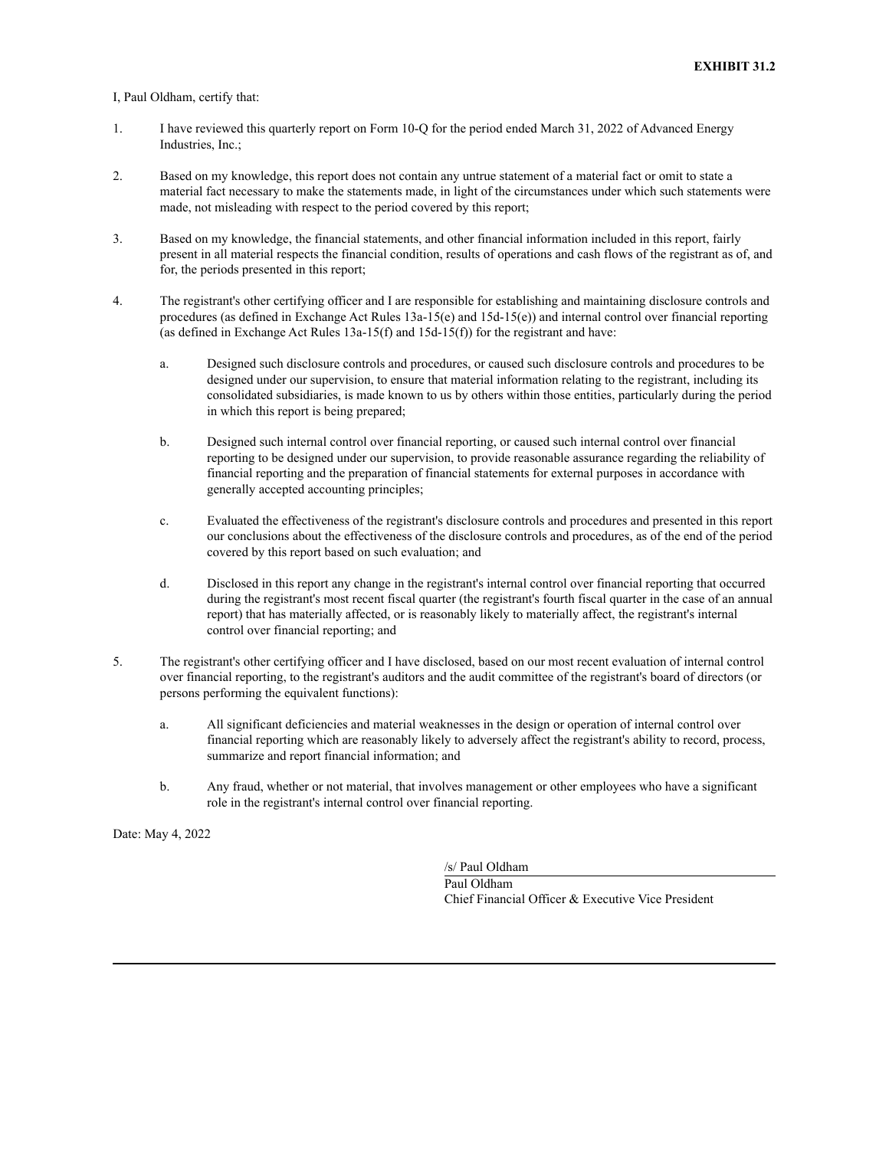## <span id="page-43-0"></span>I, Paul Oldham, certify that:

- 1. I have reviewed this quarterly report on Form 10-Q for the period ended March 31, 2022 of Advanced Energy Industries, Inc.;
- 2. Based on my knowledge, this report does not contain any untrue statement of a material fact or omit to state a material fact necessary to make the statements made, in light of the circumstances under which such statements were made, not misleading with respect to the period covered by this report;
- 3. Based on my knowledge, the financial statements, and other financial information included in this report, fairly present in all material respects the financial condition, results of operations and cash flows of the registrant as of, and for, the periods presented in this report;
- 4. The registrant's other certifying officer and I are responsible for establishing and maintaining disclosure controls and procedures (as defined in Exchange Act Rules 13a-15(e) and 15d-15(e)) and internal control over financial reporting (as defined in Exchange Act Rules 13a-15(f) and 15d-15(f)) for the registrant and have:
	- a. Designed such disclosure controls and procedures, or caused such disclosure controls and procedures to be designed under our supervision, to ensure that material information relating to the registrant, including its consolidated subsidiaries, is made known to us by others within those entities, particularly during the period in which this report is being prepared;
	- b. Designed such internal control over financial reporting, or caused such internal control over financial reporting to be designed under our supervision, to provide reasonable assurance regarding the reliability of financial reporting and the preparation of financial statements for external purposes in accordance with generally accepted accounting principles;
	- c. Evaluated the effectiveness of the registrant's disclosure controls and procedures and presented in this report our conclusions about the effectiveness of the disclosure controls and procedures, as of the end of the period covered by this report based on such evaluation; and
	- d. Disclosed in this report any change in the registrant's internal control over financial reporting that occurred during the registrant's most recent fiscal quarter (the registrant's fourth fiscal quarter in the case of an annual report) that has materially affected, or is reasonably likely to materially affect, the registrant's internal control over financial reporting; and
- 5. The registrant's other certifying officer and I have disclosed, based on our most recent evaluation of internal control over financial reporting, to the registrant's auditors and the audit committee of the registrant's board of directors (or persons performing the equivalent functions):
	- a. All significant deficiencies and material weaknesses in the design or operation of internal control over financial reporting which are reasonably likely to adversely affect the registrant's ability to record, process, summarize and report financial information; and
	- b. Any fraud, whether or not material, that involves management or other employees who have a significant role in the registrant's internal control over financial reporting.

Date: May 4, 2022

/s/ Paul Oldham Paul Oldham Chief Financial Officer & Executive Vice President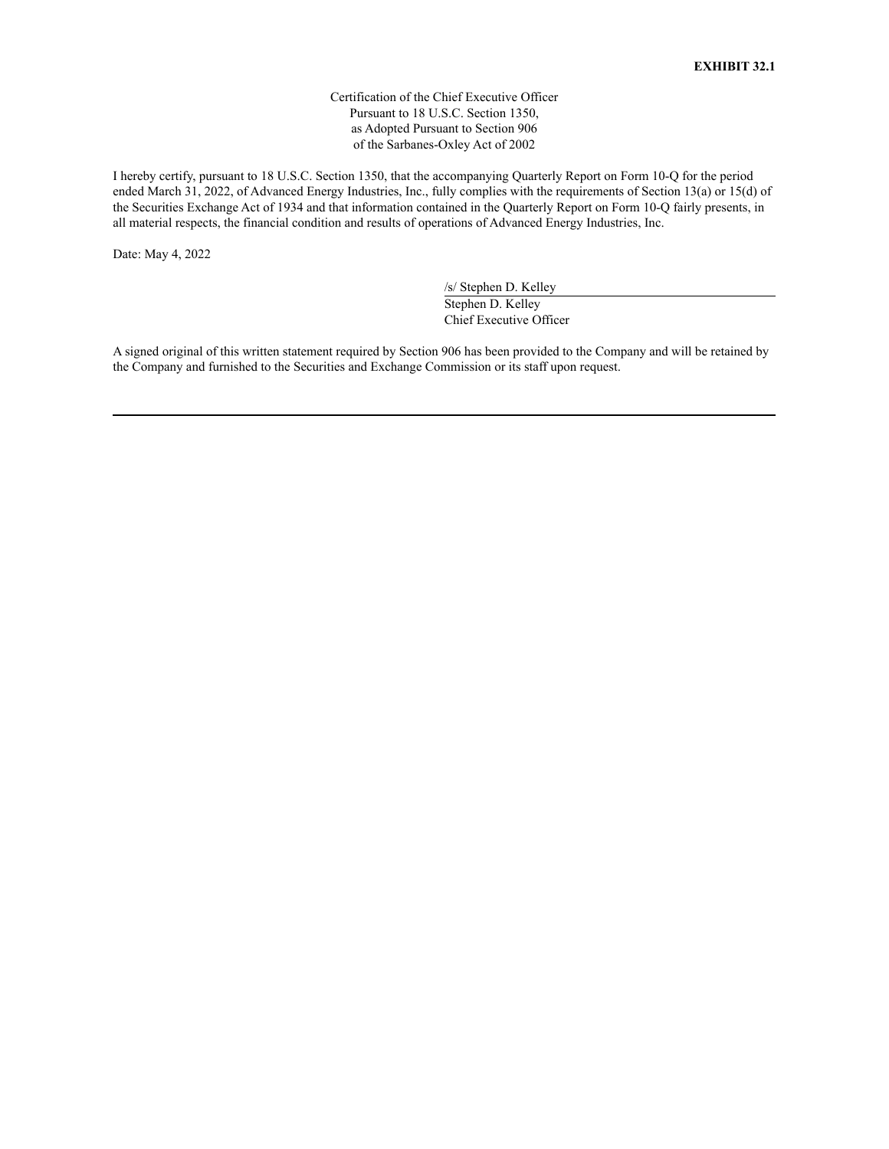Certification of the Chief Executive Officer Pursuant to 18 U.S.C. Section 1350, as Adopted Pursuant to Section 906 of the Sarbanes-Oxley Act of 2002

<span id="page-44-0"></span>I hereby certify, pursuant to 18 U.S.C. Section 1350, that the accompanying Quarterly Report on Form 10-Q for the period ended March 31, 2022, of Advanced Energy Industries, Inc., fully complies with the requirements of Section 13(a) or 15(d) of the Securities Exchange Act of 1934 and that information contained in the Quarterly Report on Form 10-Q fairly presents, in all material respects, the financial condition and results of operations of Advanced Energy Industries, Inc.

Date: May 4, 2022

/s/ Stephen D. Kelley Stephen D. Kelley Chief Executive Officer

A signed original of this written statement required by Section 906 has been provided to the Company and will be retained by the Company and furnished to the Securities and Exchange Commission or its staff upon request.